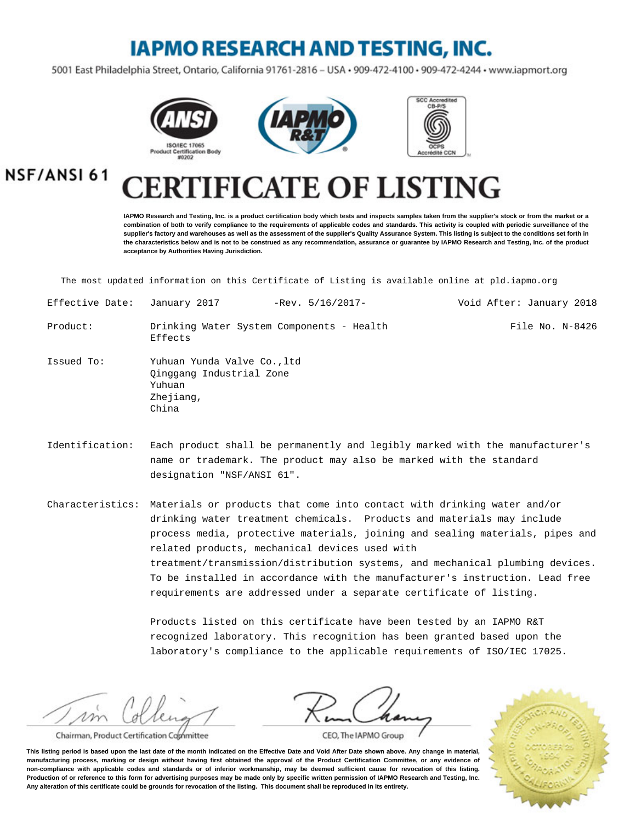# **IAPMO RESEARCH AND TESTING, INC.**

5001 East Philadelphia Street, Ontario, California 91761-2816 - USA · 909-472-4100 · 909-472-4244 · www.iapmort.org







NSF/ANSI 61

# **CATE OF LISTING**

**IAPMO Research and Testing, Inc. is a product certification body which tests and inspects samples taken from the supplier's stock or from the market or a combination of both to verify compliance to the requirements of applicable codes and standards. This activity is coupled with periodic surveillance of the supplier's factory and warehouses as well as the assessment of the supplier's Quality Assurance System. This listing is subject to the conditions set forth in the characteristics below and is not to be construed as any recommendation, assurance or guarantee by IAPMO Research and Testing, Inc. of the product acceptance by Authorities Having Jurisdiction.**

The most updated information on this Certificate of Listing is available online at pld.iapmo.org

| Effective Date: | January 2017                                                                            | $-$ Rev. $5/16/2017-$ | Void After: January 2018 |
|-----------------|-----------------------------------------------------------------------------------------|-----------------------|--------------------------|
| Product:        | Drinking Water System Components - Health<br>Effects                                    |                       | File No. N-8426          |
| Issued To:      | Yuhuan Yunda Valve Co., ltd<br>Qinggang Industrial Zone<br>Yuhuan<br>Zhejiang,<br>China |                       |                          |

Identification: Each product shall be permanently and legibly marked with the manufacturer's name or trademark. The product may also be marked with the standard designation "NSF/ANSI 61".

Characteristics: Materials or products that come into contact with drinking water and/or drinking water treatment chemicals. Products and materials may include process media, protective materials, joining and sealing materials, pipes and related products, mechanical devices used with treatment/transmission/distribution systems, and mechanical plumbing devices. To be installed in accordance with the manufacturer's instruction. Lead free requirements are addressed under a separate certificate of listing.

> Products listed on this certificate have been tested by an IAPMO R&T recognized laboratory. This recognition has been granted based upon the laboratory's compliance to the applicable requirements of ISO/IEC 17025.

 $\nu$ 

Chairman, Product Certification Committee



CEO, The IAPMO Group

**This listing period is based upon the last date of the month indicated on the Effective Date and Void After Date shown above. Any change in material, manufacturing process, marking or design without having first obtained the approval of the Product Certification Committee, or any evidence of non-compliance with applicable codes and standards or of inferior workmanship, may be deemed sufficient cause for revocation of this listing. Production of or reference to this form for advertising purposes may be made only by specific written permission of IAPMO Research and Testing, Inc. Any alteration of this certificate could be grounds for revocation of the listing. This document shall be reproduced in its entirety.**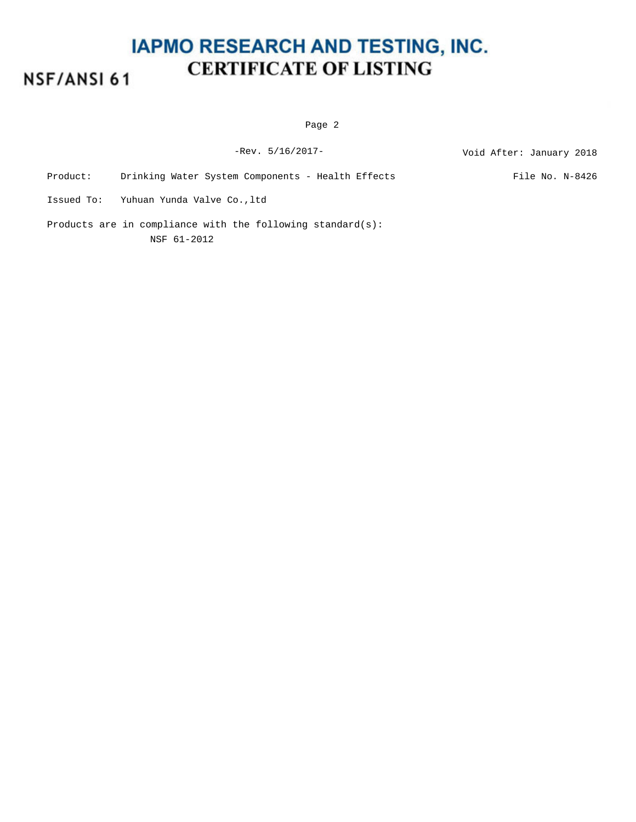# NSF/ANSI 61

Page 2

-Rev. 5/16/2017-<br>
Void After: January 2018

Product: Drinking Water System Components - Health Effects File No. N-8426

Issued To: Yuhuan Yunda Valve Co.,ltd

Products are in compliance with the following standard(s): NSF 61-2012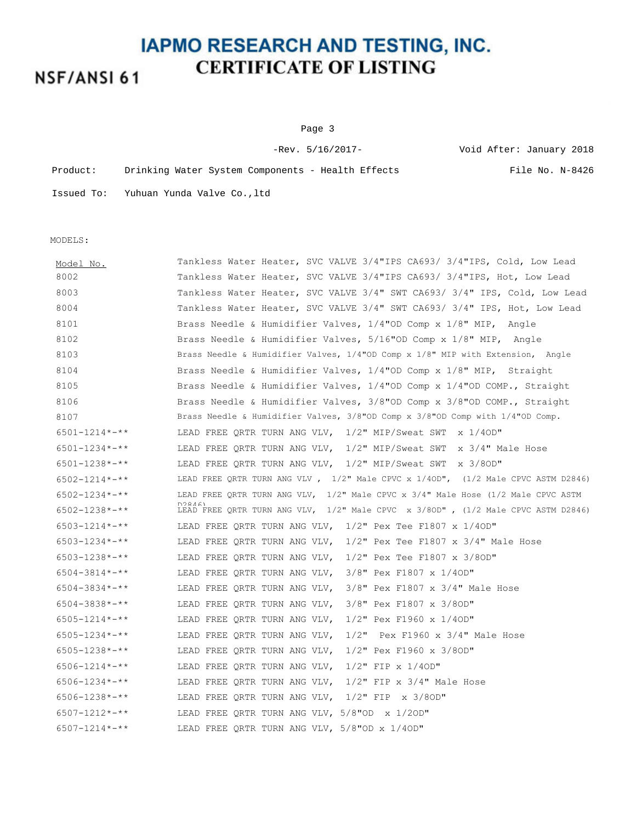# NSF/ANSI 61

Page 3

-Rev. 5/16/2017- Void After: January 2018

| Product: | Drinking Water System Components - Health Effects | File No. N-8426 |
|----------|---------------------------------------------------|-----------------|
|          | Issued To: Yuhuan Yunda Valve Co., ltd            |                 |

MODELS:

| Model No.                            | Tankless Water Heater, SVC VALVE 3/4"IPS CA693/ 3/4"IPS, Cold, Low Lead                    |
|--------------------------------------|--------------------------------------------------------------------------------------------|
| 8002                                 | Tankless Water Heater, SVC VALVE 3/4"IPS CA693/ 3/4"IPS, Hot, Low Lead                     |
| 8003                                 | Tankless Water Heater, SVC VALVE 3/4" SWT CA693/ 3/4" IPS, Cold, Low Lead                  |
| 8004                                 | Tankless Water Heater, SVC VALVE 3/4" SWT CA693/ 3/4" IPS, Hot, Low Lead                   |
| 8101                                 | Brass Needle & Humidifier Valves, 1/4"OD Comp x 1/8" MIP, Angle                            |
| 8102                                 | Brass Needle & Humidifier Valves, 5/16"OD Comp x 1/8" MIP, Angle                           |
| 8103                                 | Brass Needle & Humidifier Valves, 1/4"OD Comp x 1/8" MIP with Extension, Angle             |
| 8104                                 | Brass Needle & Humidifier Valves, 1/4"OD Comp x 1/8" MIP, Straight                         |
| 8105                                 | Brass Needle & Humidifier Valves, 1/4"OD Comp x 1/4"OD COMP., Straight                     |
| 8106                                 | Brass Needle & Humidifier Valves, 3/8"OD Comp x 3/8"OD COMP., Straight                     |
| 8107                                 | Brass Needle & Humidifier Valves, 3/8"OD Comp x 3/8"OD Comp with 1/4"OD Comp.              |
| $6501 - 1214$ *-**                   | LEAD FREE QRTR TURN ANG VLV, 1/2" MIP/Sweat SWT x 1/40D"                                   |
| $6501 - 1234 \times - \times \times$ | LEAD FREE QRTR TURN ANG VLV, 1/2" MIP/Sweat SWT x 3/4" Male Hose                           |
| $6501 - 1238 \times - \times \times$ | LEAD FREE QRTR TURN ANG VLV, 1/2" MIP/Sweat SWT x 3/80D"                                   |
| $6502 - 1214$ *-**                   | LEAD FREE QRTR TURN ANG VLV , 1/2" Male CPVC x 1/40D", (1/2 Male CPVC ASTM D2846)          |
| $6502 - 1234 \times - \times \times$ | LEAD FREE QRTR TURN ANG VLV, $1/2$ " Male CPVC x 3/4" Male Hose (1/2 Male CPVC ASTM        |
| $6502 - 1238 \times - \times \times$ | D99161<br>LEAD FREE QRTR TURN ANG VLV, 1/2" Male CPVC x 3/80D", (1/2 Male CPVC ASTM D2846) |
| $6503 - 1214$ *-**                   | LEAD FREE QRTR TURN ANG VLV, $1/2$ " Pex Tee F1807 x 1/40D"                                |
| $6503 - 1234 \times - \times \times$ | LEAD FREE QRTR TURN ANG VLV, $1/2$ " Pex Tee F1807 x 3/4" Male Hose                        |
| $6503 - 1238 \times - \times \times$ | LEAD FREE ORTR TURN ANG VLV, 1/2" Pex Tee F1807 x 3/8OD"                                   |
| $6504 - 3814$ *-**                   | 3/8" Pex F1807 x 1/40D"<br>LEAD FREE QRTR TURN ANG VLV,                                    |
| $6504 - 3834 \times 4 \times 4$      | LEAD FREE QRTR TURN ANG VLV, 3/8" Pex F1807 x 3/4" Male Hose                               |
| $6504 - 3838 \times 38 + 4 \times 5$ | 3/8" Pex F1807 x 3/8OD"<br>LEAD FREE ORTR TURN ANG VLV,                                    |
| $6505 - 1214$ *-**                   | $1/2$ " Pex F1960 x $1/40D$ "<br>LEAD FREE QRTR TURN ANG VLV,                              |
| $6505 - 1234 \times - \times \times$ | $1/2$ " Pex F1960 x $3/4$ " Male Hose<br>LEAD FREE QRTR TURN ANG VLV,                      |
| $6505 - 1238$ *-**                   | 1/2" Pex F1960 x 3/8OD"<br>LEAD FREE ORTR TURN ANG VLV,                                    |
| $6506 - 1214$ *-**                   | LEAD FREE QRTR TURN ANG VLV, 1/2" FIP x 1/40D"                                             |
| $6506 - 1234 \times - \times \times$ | LEAD FREE QRTR TURN ANG VLV, $1/2$ " FIP x 3/4" Male Hose                                  |
| $6506 - 1238$ *-**                   | LEAD FREE ORTR TURN ANG VLV, 1/2" FIP x 3/8OD"                                             |
| $6507 - 1212 \times - \times \times$ | LEAD FREE QRTR TURN ANG VLV, 5/8"OD x 1/20D"                                               |
| $6507 - 1214$ *-**                   | LEAD FREE QRTR TURN ANG VLV, 5/8"OD x 1/40D"                                               |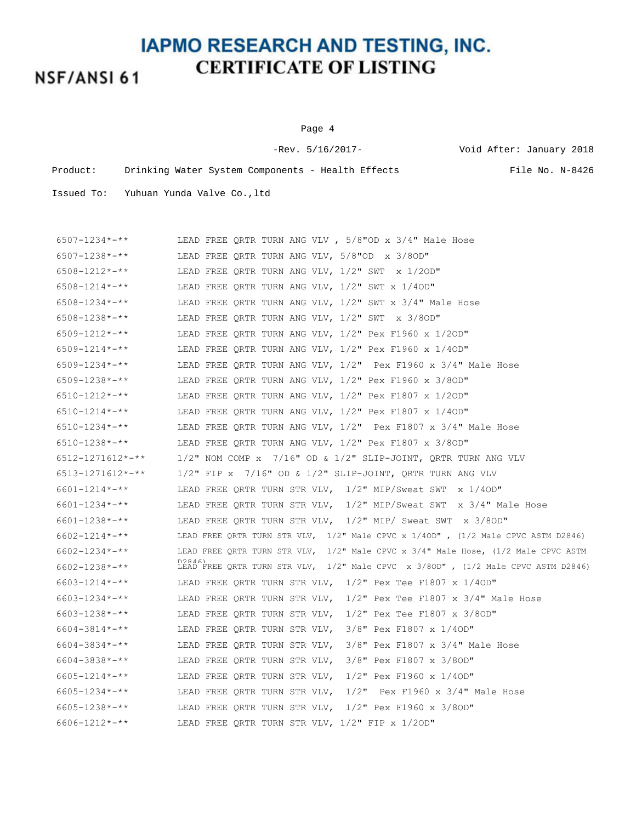NSF/ANSI 61

Page 4

-Rev. 5/16/2017- Void After: January 2018 Product: Drinking Water System Components - Health Effects File No. N-8426

| $6507 - 1234 \times - \times \times$ | LEAD FREE QRTR TURN ANG VLV , $5/8$ "OD x $3/4$ " Male Hose                                |
|--------------------------------------|--------------------------------------------------------------------------------------------|
| $6507 - 1238 \times 100$             | LEAD FREE QRTR TURN ANG VLV, 5/8"OD x 3/8OD"                                               |
| $6508 - 1212 \times - \times \times$ | LEAD FREE QRTR TURN ANG VLV, $1/2$ " SWT $\times$ 1/20D"                                   |
| $6508 - 1214 \times - \times \times$ | LEAD FREE QRTR TURN ANG VLV, 1/2" SWT x 1/40D"                                             |
| 6508-1234*-**                        | LEAD FREE ORTR TURN ANG VLV, $1/2$ " SWT x $3/4$ " Male Hose                               |
| $6508 - 1238 \times 100$             | LEAD FREE QRTR TURN ANG VLV, $1/2$ " SWT $\times$ 3/80D"                                   |
| $6509 - 1212 \times 4 \times 4$      | LEAD FREE QRTR TURN ANG VLV, 1/2" Pex F1960 x 1/20D"                                       |
| $6509 - 1214$ *-**                   | LEAD FREE ORTR TURN ANG VLV, 1/2" Pex F1960 x 1/40D"                                       |
| 6509-1234*-**                        | LEAD FREE QRTR TURN ANG VLV, $1/2$ " Pex F1960 x 3/4" Male Hose                            |
| 6509-1238*-**                        | LEAD FREE QRTR TURN ANG VLV, 1/2" Pex F1960 x 3/8OD"                                       |
| $6510 - 1212 \times - \times \times$ | LEAD FREE ORTR TURN ANG VLV, 1/2" Pex F1807 x 1/20D"                                       |
| 6510-1214*-**                        | LEAD FREE QRTR TURN ANG VLV, $1/2$ " Pex F1807 x $1/4$ OD"                                 |
| $6510 - 1234 \times - \times \times$ | LEAD FREE QRTR TURN ANG VLV, 1/2" Pex F1807 x 3/4" Male Hose                               |
| 6510-1238*-**                        | LEAD FREE QRTR TURN ANG VLV, 1/2" Pex F1807 x 3/8OD"                                       |
| 6512-1271612*-**                     | $1/2$ " NOM COMP x $7/16$ " OD & $1/2$ " SLIP-JOINT, QRTR TURN ANG VLV                     |
| 6513-1271612*-**                     | $1/2$ " FIP x $7/16$ " OD & $1/2$ " SLIP-JOINT, QRTR TURN ANG VLV                          |
| 6601-1214*-**                        | LEAD FREE QRTR TURN STR VLV, 1/2" MIP/Sweat SWT x 1/40D"                                   |
| $6601 - 1234 \times - \times \times$ | LEAD FREE QRTR TURN STR VLV, 1/2" MIP/Sweat SWT x 3/4" Male Hose                           |
| $6601 - 1238 \times - \times \times$ | LEAD FREE QRTR TURN STR VLV, 1/2" MIP/ Sweat SWT x 3/80D"                                  |
| 6602-1214*-**                        | LEAD FREE QRTR TURN STR VLV, $1/2$ " Male CPVC x $1/40D$ ", $(1/2$ Male CPVC ASTM D2846)   |
| 6602-1234*-**                        | LEAD FREE QRTR TURN STR VLV, 1/2" Male CPVC x 3/4" Male Hose, (1/2 Male CPVC ASTM          |
| $6602 - 1238 \times 300$             | D98461<br>LEAD FREE QRTR TURN STR VLV, 1/2" Male CPVC x 3/80D", (1/2 Male CPVC ASTM D2846) |
| 6603-1214*-**                        | LEAD FREE QRTR TURN STR VLV, 1/2" Pex Tee F1807 x 1/40D"                                   |
| $6603 - 1234 \times - \times \times$ | LEAD FREE QRTR TURN STR VLV, 1/2" Pex Tee F1807 x 3/4" Male Hose                           |
| 6603-1238*-**                        | LEAD FREE ORTR TURN STR VLV, 1/2" Pex Tee F1807 x 3/8OD"                                   |
| 6604-3814*-**                        | LEAD FREE QRTR TURN STR VLV, 3/8" Pex F1807 x 1/40D"                                       |
| 6604-3834*-**                        | LEAD FREE QRTR TURN STR VLV, $3/8$ " Pex F1807 x 3/4" Male Hose                            |
| 6604-3838*-**                        | LEAD FREE ORTR TURN STR VLV, 3/8" Pex F1807 x 3/8OD"                                       |
| $6605 - 1214 \times - \times \times$ | LEAD FREE QRTR TURN STR VLV, 1/2" Pex F1960 x 1/40D"                                       |
| 6605-1234*-**                        | LEAD FREE ORTR TURN STR VLV, $1/2$ " Pex F1960 x 3/4" Male Hose                            |
| $6605 - 1238 \times 300$             | LEAD FREE QRTR TURN STR VLV, $1/2$ " Pex F1960 x 3/8OD"                                    |
| $6606 - 1212 \times - \times \times$ | LEAD FREE QRTR TURN STR VLV, 1/2" FIP x 1/20D"                                             |
|                                      |                                                                                            |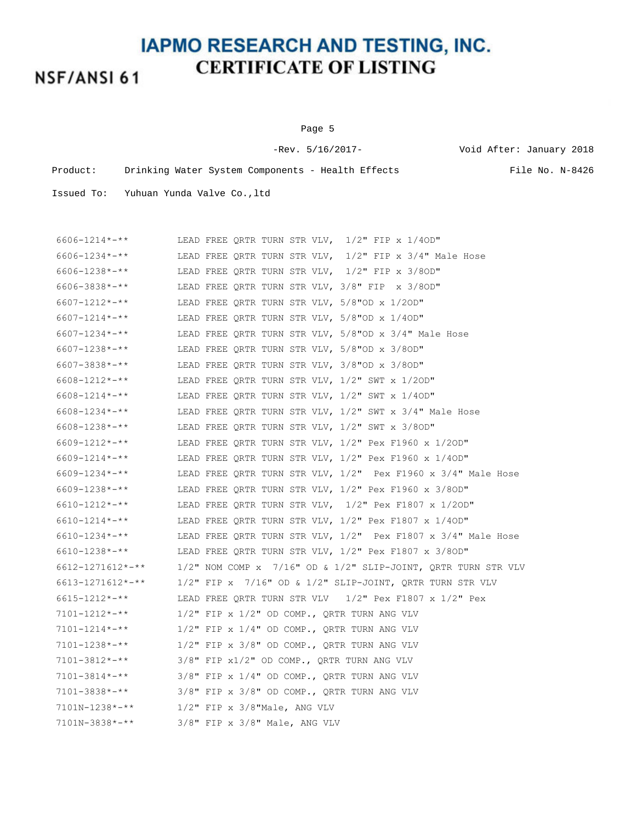NSF/ANSI 61

Page 5

-Rev. 5/16/2017- Void After: January 2018

Product: Drinking Water System Components - Health Effects File No. N-8426

| $6606 - 1214$ *-**                      | LEAD FREE QRTR TURN STR VLV, 1/2" FIP x 1/40D"                         |
|-----------------------------------------|------------------------------------------------------------------------|
| $6606 - 1234 \times - \times \times$    | LEAD FREE QRTR TURN STR VLV, 1/2" FIP x 3/4" Male Hose                 |
| 6606-1238*-**                           | LEAD FREE QRTR TURN STR VLV, 1/2" FIP x 3/80D"                         |
| 6606-3838*-**                           | LEAD FREE QRTR TURN STR VLV, 3/8" FIP x 3/8OD"                         |
| $6607 - 1212 \times - \times \times$    | LEAD FREE QRTR TURN STR VLV, 5/8"OD x 1/20D"                           |
| $6607 - 1214$ *-**                      | LEAD FREE ORTR TURN STR VLV, 5/8"OD x 1/40D"                           |
| $6607 - 1234 \times 4 \times 4$         | LEAD FREE QRTR TURN STR VLV, 5/8"OD x 3/4" Male Hose                   |
| $6607 - 1238 \times 10^{-4}$            | LEAD FREE QRTR TURN STR VLV, 5/8"OD x 3/8OD"                           |
| $6607 - 3838 \times 3.1$                | LEAD FREE QRTR TURN STR VLV, 3/8"OD x 3/8OD"                           |
| $6608 - 1212 \times 100$                | LEAD FREE QRTR TURN STR VLV, $1/2$ " SWT x $1/2$ OD"                   |
| $6608 - 1214$ *-**                      | LEAD FREE QRTR TURN STR VLV, 1/2" SWT x 1/40D"                         |
| $6608 - 1234 \times 10^{-4}$            | LEAD FREE QRTR TURN STR VLV, $1/2$ " SWT x $3/4$ " Male Hose           |
| 6608-1238*-**                           | LEAD FREE QRTR TURN STR VLV, 1/2" SWT x 3/80D"                         |
| $6609 - 1212 \times 7 \times 7$         | LEAD FREE QRTR TURN STR VLV, 1/2" Pex F1960 x 1/20D"                   |
| $6609 - 1214$ *-**                      | LEAD FREE QRTR TURN STR VLV, 1/2" Pex F1960 x 1/40D"                   |
| $6609 - 1234 \times - \times \times$    | LEAD FREE QRTR TURN STR VLV, $1/2$ " Pex F1960 x 3/4" Male Hose        |
| $6609 - 1238 \times 4 \times 4$         | LEAD FREE QRTR TURN STR VLV, 1/2" Pex F1960 x 3/8OD"                   |
| $6610 - 1212 \times - \times \times$    | LEAD FREE QRTR TURN STR VLV, 1/2" Pex F1807 x 1/20D"                   |
| 6610-1214*-**                           | LEAD FREE QRTR TURN STR VLV, 1/2" Pex F1807 x 1/40D"                   |
| $6610 - 1234 \times - \times \times$    | LEAD FREE QRTR TURN STR VLV, $1/2$ " Pex F1807 x $3/4$ " Male Hose     |
| 6610-1238*-**                           | LEAD FREE QRTR TURN STR VLV, 1/2" Pex F1807 x 3/8OD"                   |
| $6612 - 1271612 \times - \times \times$ | $1/2$ " NOM COMP x $7/16$ " OD & $1/2$ " SLIP-JOINT, QRTR TURN STR VLV |
| $6613 - 1271612 \times - \times$        | $1/2$ " FIP x $7/16$ " OD & $1/2$ " SLIP-JOINT, QRTR TURN STR VLV      |
| $6615 - 1212 \times - \times \times$    | LEAD FREE QRTR TURN STR VLV $1/2$ " Pex F1807 x $1/2$ " Pex            |
| 7101-1212*-**                           | $1/2$ " FIP x $1/2$ " OD COMP., QRTR TURN ANG VLV                      |
| $7101 - 1214 \times - \times \times$    | $1/2$ " FIP x $1/4$ " OD COMP., QRTR TURN ANG VLV                      |
| $7101 - 1238 \times - \times \times$    | $1/2$ " FIP x 3/8" OD COMP., QRTR TURN ANG VLV                         |
| $7101 - 3812 \times 4 \times 4$         | $3/8"$ FIP $x1/2"$ OD COMP., QRTR TURN ANG VLV                         |
| $7101 - 3814 \times - \times \times$    | 3/8" FIP x 1/4" OD COMP., QRTR TURN ANG VLV                            |
| $7101 - 3838 \times - \times \times$    | $3/8"$ FIP x $3/8"$ OD COMP., QRTR TURN ANG VLV                        |
| 7101N-1238*-**                          | $1/2$ " FIP x $3/8$ "Male, ANG VLV                                     |
| $7101N - 3838* - **$                    | $3/8"$ FIP x $3/8"$ Male, ANG VLV                                      |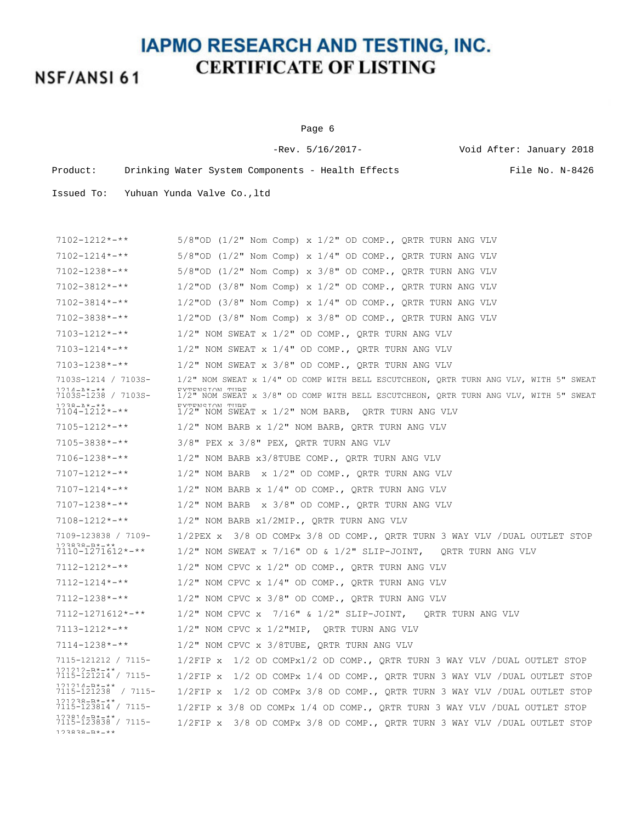NSF/ANSI 61

Page 6

-Rev. 5/16/2017- Void After: January 2018 Product: Drinking Water System Components - Health Effects File No. N-8426 Issued To: Yuhuan Yunda Valve Co.,ltd

7102-1212\*-\*\* 5/8"OD (1/2" Nom Comp) x 1/2" OD COMP., QRTR TURN ANG VLV 7102-1214\*-\*\* 5/8"OD (1/2" Nom Comp) x 1/4" OD COMP., QRTR TURN ANG VLV 7102-1238\*-\*\* 5/8"OD (1/2" Nom Comp) x 3/8" OD COMP., QRTR TURN ANG VLV 7102-3812\*-\*\* 1/2"OD (3/8" Nom Comp) x 1/2" OD COMP., QRTR TURN ANG VLV 7102-3814\*-\*\* 1/2"OD (3/8" Nom Comp) x 1/4" OD COMP., QRTR TURN ANG VLV 7102-3838\*-\*\* 1/2"OD (3/8" Nom Comp) x 3/8" OD COMP., QRTR TURN ANG VLV 7103-1212\*-\*\* 1/2" NOM SWEAT x 1/2" OD COMP., QRTR TURN ANG VLV 7103-1214\*-\*\* 1/2" NOM SWEAT x 1/4" OD COMP., QRTR TURN ANG VLV 7103-1238\*-\*\* 1/2" NOM SWEAT x 3/8" OD COMP., QRTR TURN ANG VLV 7103S-1214 / 7103S-1214-<sup>1</sup>\*-\*\*<br>7103S-1238 / 7103S-1/2" NOM SWEAT x 1/4" OD COMP WITH BELL ESCUTCHEON, QRTR TURN ANG VLV, WITH 5" SWEAT 1214-A\*-\*\*<br>7103S-1238 / 7103S- 1/2" NOM SWEAT x 3/8" OD COMP WITH BELL ESCUTCHEON, QRTR TURN ANG VLV, WITH 5" SWEAT 1238-A\*-\*\* EXTENSION TUBE.<br>1/2" NOM SWEAT x 1/2" NOM BARB, ORTR TURN ANG VLV 7105-1212\*-\*\* 1/2" NOM BARB x 1/2" NOM BARB, QRTR TURN ANG VLV 7105-3838\*-\*\* 3/8" PEX x 3/8" PEX, QRTR TURN ANG VLV 7106-1238\*-\*\* 1/2" NOM BARB x3/8TUBE COMP., QRTR TURN ANG VLV 7107-1212\*-\*\* 1/2" NOM BARB x 1/2" OD COMP., QRTR TURN ANG VLV 7107-1214\*-\*\* 1/2" NOM BARB x 1/4" OD COMP., QRTR TURN ANG VLV 7107-1238\*-\*\* 1/2" NOM BARB x 3/8" OD COMP., QRTR TURN ANG VLV 7108-1212\*-\*\* 1/2" NOM BARB x1/2MIP., QRTR TURN ANG VLV 7109-123838 / 7109- 123838-B\*-\*\*<br>7110-1271612\*-\*\* 1/2PEX x 3/8 OD COMPx 3/8 OD COMP., QRTR TURN 3 WAY VLV /DUAL OUTLET STOP  $1/2$ " NOM SWEAT x  $7/16$ " OD &  $1/2$ " SLIP-JOINT, ORTR TURN ANG VLV 7112-1212\*-\*\* 1/2" NOM CPVC x 1/2" OD COMP., QRTR TURN ANG VLV 7112-1214\*-\*\* 1/2" NOM CPVC x 1/4" OD COMP., QRTR TURN ANG VLV 7112-1238\*-\*\* 1/2" NOM CPVC x 3/8" OD COMP., QRTR TURN ANG VLV 7112-1271612\*-\*\* 1/2" NOM CPVC x 7/16" & 1/2" SLIP-JOINT, QRTR TURN ANG VLV 7113-1212\*-\*\* 1/2" NOM CPVC x 1/2"MIP, QRTR TURN ANG VLV 7114-1238\*-\*\* 1/2" NOM CPVC x 3/8TUBE, QRTR TURN ANG VLV 7115-121212 / 7115- 121212-B\*-\*\* 7115-121214 / 7115- 1/2FIP x 1/2 OD COMPx1/2 OD COMP., QRTR TURN 3 WAY VLV /DUAL OUTLET STOP 121214-B\*-\*\* 7115-121238 / 7115- 1/2FIP x 1/2 OD COMPx 1/4 OD COMP., QRTR TURN 3 WAY VLV /DUAL OUTLET STOP 121238-B\*-\*\*<br>7115-123814 / 7115- 1/2FIP x 3/8 OD COMPx 1/4 OD COMP., QRTR TURN 3 WAY VLV /DUAL OUTLET STOP 1/2FIP x 1/2 OD COMPx 3/8 OD COMP., QRTR TURN 3 WAY VLV /DUAL OUTLET STOP 123814-B\*-\*\* 7115-123838 / 7115- 123838-B\*-\*\* 1/2FIP x 3/8 OD COMPx 3/8 OD COMP., QRTR TURN 3 WAY VLV /DUAL OUTLET STOP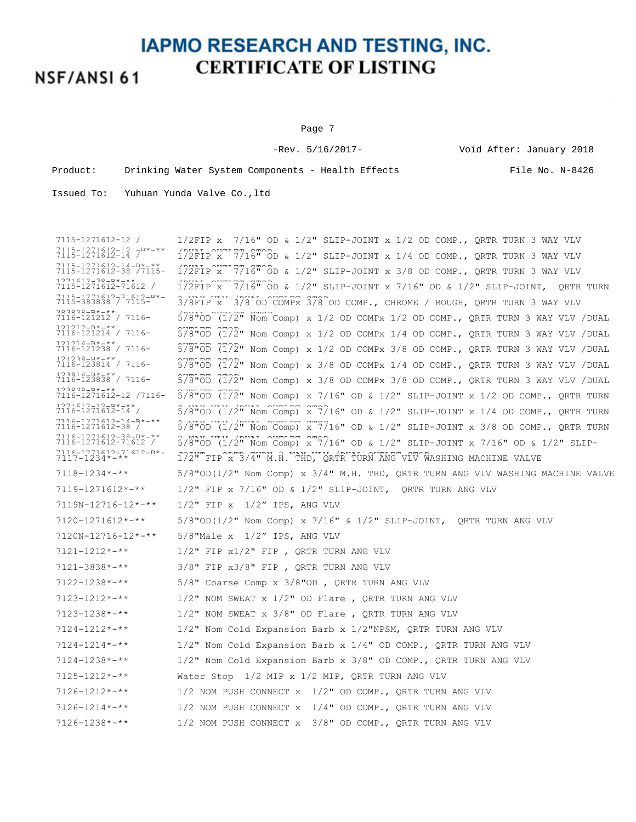Page 7

-Rev. 5/16/2017- Void After: January 2018

Product: Drinking Water System Components - Health Effects File No. N-8426

Issued To: Yuhuan Yunda Valve Co.,ltd

7115-1271612-12 /  $7115-1271612-12$   $-R*-*$ <br> $7115-1271612-14$  /  $1/2$ FIP x 7/16" OD &  $1/2$ " SLIP-JOINT x 1/2 OD COMP., QRTR TURN 3 WAY VLV  $7115-1271612-13$   $-18-18$   $1/2$   $-1/2$   $1/2$   $-1/2$   $-7/16$   $-0$   $-1/2$   $-1/2$   $-1/2$   $-1/2$   $-1/2$   $-1/2$   $-1/2$   $-1/2$   $-1/2$   $-1/2$   $-1/2$   $-1/2$   $-1/2$   $-1/2$   $-1/2$   $-1/2$   $-1/2$   $-1/2$   $-1/2$   $-1/2$   $-1/2$   $-1/2$  7115-1271612-14-B\*-\*\*<br>7115-1271612-38 /7115- 1/2FIP^x" 7/16"^OD & 1/2" SLIP-JOINT x 3/8 OD COMP., QRTR TURN 3 WAY VLV 1271612-38-B\*-\*\*<br>7115-1271612-71612 / 1271612-38-B\*-\*\*<br>7115-1271612-71612 / 172fip^x"^7716"^Od & 1/2" SLIP-JOINT x 7/16" OD & 1/2" SLIP-JOINT, QRTR TURN 7115-1271612-71612-B\*-<br>7115-383838 / 7115-7115-1221612-71612-B\*- 3/8FIP x 378 OD COMPx 378 OD COMP., CHROME / ROUGH, QRTR TURN 3 WAY VLV 383838-B\*-\*\* 7116-121212 / 7116- /DUAL OUTLET STOP 121212-B\*-\*\* 7116-121214 / 7116- OUTLET STOP  $5/8$ "OD ( $1/2$ "  $\widetilde{N}$ omp) x 1/2 OD COMPx 1/2 OD COMP., ORTR TURN 3 WAY VLV /DUAL 121214-B\*-\*\* 7116-121238 / 7116- OUTLET STOP  $5\overline{3}$  $\overline{6}$  $\overline{1}$  $\overline{2}$  $\overline{1}$  $\overline{2}$ " Nom Comp) x 1/2 OD COMPx 1/4 OD COMP., ORTR TURN 3 WAY VLV /DUAL 121238-B\*-\*\* 7116-123814 / 7116- OUTLET STOP  $5/8"$ OD  $(1/2"$  Nom Comp) x 1/2 OD COMPx 3/8 OD COMP., QRTR TURN 3 WAY VLV /DUAL 123814-B\*-\*\* 7116-123838 / 7116- OUTLET STOP  $5\overline{3}$  $\overline{6}$  $\overline{1}$  $\overline{2}$  $\overline{1}$   $\overline{2}$ " Nom Comp) x 3/8 OD COMPx 1/4 OD COMP., QRTR TURN 3 WAY VLV /DUAL 123838-B\*-\*\*<br>7116-1271612-12 /7116- 578"OD (172" Nom Comp) x 7/16" OD & 1/2" SLIP-JOINT x 1/2 OD COMP., QRTR TURN  $5/8"$ OD  $(1/2"$  Nom Comp) x 3/8 OD COMPx 3/8 OD COMP., QRTR TURN 3 WAY VLV /DUAL 1271612-12-B\*-\*\* 7116-1271612-14 / 3 WAY VLV /DUAL OUTLET STOP 5/8"OD (1/2" Nom Comp) x 7/16" OD & 1/2" SLIP-JOINT x 1/4 OD COMP., QRTR TURN 7116-1271612-14-B\*-\*\* 7116-1271612-38 / 3 WAY VLV /DUAL OUTLET STOP 5/8"OD (1/2" Nom Comp) x 7/16" OD & 1/2" SLIP-JOINT x 3/8 OD COMP., QRTR TURN 7116-1271612-38-B\*-\*\* 7116-1271612-71612 / 3 WAY VLV /DUAL OUTLET STOP 5/8"OD (1/2" Nom Comp) x 7/16" OD & 1/2" SLIP-JOINT x 7/16" OD & 1/2" SLIP-7116-1271612-71612-B\*-  $1/2$ <sup>NT</sup>FIP x 3/4" M.H. THD, ORTR TURN ANG VLV WASHING MACHINE VALVE 7118-1234\*-\*\* 5/8"OD(1/2" Nom Comp) x 3/4" M.H. THD, QRTR TURN ANG VLV WASHING MACHINE VALVE 7119-1271612\*-\*\* 1/2" FIP x 7/16" OD & 1/2" SLIP-JOINT, QRTR TURN ANG VLV 7119N-12716-12\*-\*\* 1/2" FIP x 1/2" IPS, ANG VLV 7120-1271612\*-\*\* 5/8"OD(1/2" Nom Comp) x 7/16" & 1/2" SLIP-JOINT, QRTR TURN ANG VLV 7120N-12716-12\*-\*\* 5/8"Male x 1/2" IPS, ANG VLV 7121-1212\*-\*\* 1/2" FIP x1/2" FIP , QRTR TURN ANG VLV 7121-3838\*-\*\* 3/8" FIP x3/8" FIP , QRTR TURN ANG VLV 7122-1238\*-\*\* 5/8" Coarse Comp x 3/8"OD , QRTR TURN ANG VLV 7123-1212\*-\*\* 1/2" NOM SWEAT x 1/2" OD Flare , QRTR TURN ANG VLV 7123-1238\*-\*\* 1/2" NOM SWEAT x 3/8" OD Flare , QRTR TURN ANG VLV 7124-1212\*-\*\* 1/2" Nom Cold Expansion Barb x 1/2"NPSM, QRTR TURN ANG VLV 7124-1214\*-\*\* 1/2" Nom Cold Expansion Barb x 1/4" OD COMP., QRTR TURN ANG VLV 7124-1238\*-\*\* 1/2" Nom Cold Expansion Barb x 3/8" OD COMP., QRTR TURN ANG VLV 7125-1212\*-\*\* Water Stop 1/2 MIP x 1/2 MIP, QRTR TURN ANG VLV 7126-1212\*-\*\* 1/2 NOM PUSH CONNECT x 1/2" OD COMP., QRTR TURN ANG VLV 7126-1214\*-\*\* 1/2 NOM PUSH CONNECT x 1/4" OD COMP., QRTR TURN ANG VLV 7126-1238\*-\*\* 1/2 NOM PUSH CONNECT x 3/8" OD COMP., QRTR TURN ANG VLV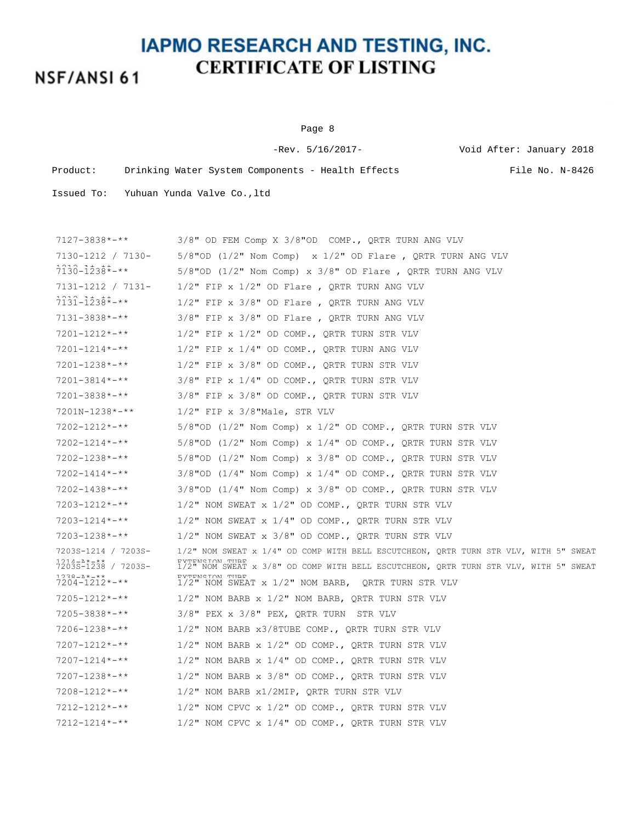NSF/ANSI 61

Page 8

-Rev. 5/16/2017- Void After: January 2018 Product: Drinking Water System Components - Health Effects File No. N-8426

| $7127 - 3838 \times 311$                                                                                         | $3/8$ " OD FEM Comp X $3/8$ "OD COMP., QRTR TURN ANG VLV                                                                                                                                                                                                                                    |
|------------------------------------------------------------------------------------------------------------------|---------------------------------------------------------------------------------------------------------------------------------------------------------------------------------------------------------------------------------------------------------------------------------------------|
| 7130-1212 / 7130-                                                                                                | $5/8$ "OD (1/2" Nom Comp) x 1/2" OD Flare, QRTR TURN ANG VLV                                                                                                                                                                                                                                |
| $7130 - 1238 \div - \times$                                                                                      | $5/8$ "OD (1/2" Nom Comp) x 3/8" OD Flare, QRTR TURN ANG VLV                                                                                                                                                                                                                                |
| 7131-1212 / 7131-                                                                                                | $1/2$ " FIP x $1/2$ " OD Flare, QRTR TURN ANG VLV                                                                                                                                                                                                                                           |
| $7131 - 1238$ *-**                                                                                               | $1/2$ " FIP x $3/8$ " OD Flare, QRTR TURN ANG VLV                                                                                                                                                                                                                                           |
| $7131 - 3838 \times 4 \times 4$                                                                                  | $3/8"$ FIP x $3/8"$ OD Flare, QRTR TURN ANG VLV                                                                                                                                                                                                                                             |
| $7201 - 1212 \times - \times \times$                                                                             | $1/2$ " FIP x $1/2$ " OD COMP., QRTR TURN STR VLV                                                                                                                                                                                                                                           |
| $7201 - 1214$ *-**                                                                                               | $1/2$ " FIP x $1/4$ " OD COMP., QRTR TURN ANG VLV                                                                                                                                                                                                                                           |
| $7201 - 1238 \times 100$                                                                                         | $1/2$ " FIP x 3/8" OD COMP., QRTR TURN STR VLV                                                                                                                                                                                                                                              |
| $7201 - 3814 \times - \times \times$                                                                             | 3/8" FIP x 1/4" OD COMP., QRTR TURN STR VLV                                                                                                                                                                                                                                                 |
| $7201 - 3838 \times 3.1$                                                                                         | $3/8"$ FIP x $3/8"$ OD COMP., QRTR TURN STR VLV                                                                                                                                                                                                                                             |
| 7201N-1238*-**                                                                                                   | $1/2$ " FIP x $3/8$ "Male, STR VLV                                                                                                                                                                                                                                                          |
| $7202 - 1212 \times - \times \times$                                                                             | $5/8$ "OD (1/2" Nom Comp) x 1/2" OD COMP., QRTR TURN STR VLV                                                                                                                                                                                                                                |
| $7202 - 1214$ *-**                                                                                               | $5/8$ "OD (1/2" Nom Comp) x 1/4" OD COMP., QRTR TURN STR VLV                                                                                                                                                                                                                                |
| $7202 - 1238 \times 10^{-4}$                                                                                     | $5/8$ "OD (1/2" Nom Comp) x $3/8$ " OD COMP., QRTR TURN STR VLV                                                                                                                                                                                                                             |
| $7202 - 1414$ *-**                                                                                               | $3/8$ "OD (1/4" Nom Comp) x 1/4" OD COMP., QRTR TURN STR VLV                                                                                                                                                                                                                                |
| $7202 - 1438$ *-**                                                                                               | $3/8$ "OD (1/4" Nom Comp) x $3/8$ " OD COMP., QRTR TURN STR VLV                                                                                                                                                                                                                             |
| $7203 - 1212 \times - \times \times$                                                                             | $1/2$ " NOM SWEAT x $1/2$ " OD COMP., QRTR TURN STR VLV                                                                                                                                                                                                                                     |
| $7203 - 1214$ *-**                                                                                               | $1/2$ " NOM SWEAT x $1/4$ " OD COMP., QRTR TURN STR VLV                                                                                                                                                                                                                                     |
| $7203 - 1238 \times 100$                                                                                         | $1/2$ " NOM SWEAT x $3/8$ " OD COMP., QRTR TURN STR VLV                                                                                                                                                                                                                                     |
| 7203S-1214 / 7203S-<br>$1214 - 2* - * *$<br>7203S-1238 / 7203S-<br>$1238 - 412$<br>$7204 - 1212 \times - \times$ | 1/2" NOM SWEAT x 1/4" OD COMP WITH BELL ESCUTCHEON, QRTR TURN STR VLV, WITH 5" SWEAT<br><b>EYTENSTON THRE</b><br>1/2" NOM SWEAT x 3/8" OD COMP WITH BELL ESCUTCHEON, QRTR TURN STR VLV, WITH 5" SWEAT<br><b>EXTENSION THRE</b><br>$1/2$ " NOM SWEAT $x$ $1/2$ " NOM BARB, QRTR TURN STR VLV |
| $7205 - 1212 \times - \times \times$                                                                             | $1/2$ " NOM BARB x $1/2$ " NOM BARB, QRTR TURN STR VLV                                                                                                                                                                                                                                      |
| $7205 - 3838 \times - \times \times$                                                                             | $3/8$ " PEX x $3/8$ " PEX, ORTR TURN STR VLV                                                                                                                                                                                                                                                |
| $7206 - 1238$ *-**                                                                                               | 1/2" NOM BARB x3/8TUBE COMP., QRTR TURN STR VLV                                                                                                                                                                                                                                             |
| $7207 - 1212 \times - \times \times$                                                                             | $1/2$ " NOM BARB x $1/2$ " OD COMP., QRTR TURN STR VLV                                                                                                                                                                                                                                      |
| $7207 - 1214$ *-**                                                                                               | $1/2$ " NOM BARB x $1/4$ " OD COMP., QRTR TURN STR VLV                                                                                                                                                                                                                                      |
| $7207 - 1238 \times 100$                                                                                         | $1/2$ " NOM BARB x $3/8$ " OD COMP., QRTR TURN STR VLV                                                                                                                                                                                                                                      |
| $7208 - 1212 \times - \times \times$                                                                             | 1/2" NOM BARB x1/2MIP, ORTR TURN STR VLV                                                                                                                                                                                                                                                    |
| $7212 - 1212 \times - \times \times$                                                                             | $1/2$ " NOM CPVC x $1/2$ " OD COMP., QRTR TURN STR VLV                                                                                                                                                                                                                                      |
| $7212 - 1214$ *-**                                                                                               | $1/2$ " NOM CPVC x $1/4$ " OD COMP., QRTR TURN STR VLV                                                                                                                                                                                                                                      |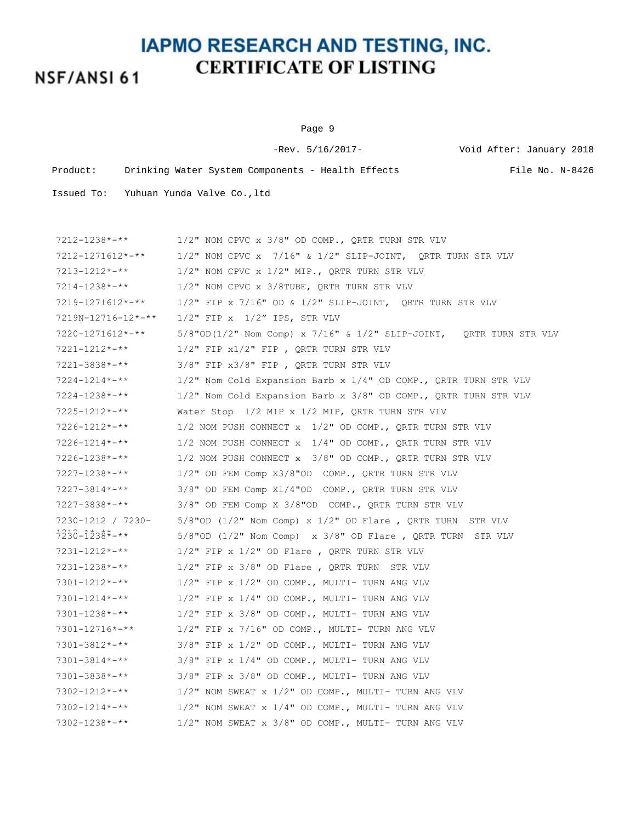# NSF/ANSI 61

Page 9

-Rev. 5/16/2017- Void After: January 2018

Product: Drinking Water System Components - Health Effects File No. N-8426

| $7212 - 1238 \times - \times \times$ | $1/2$ " NOM CPVC x $3/8$ " OD COMP., QRTR TURN STR VLV                |
|--------------------------------------|-----------------------------------------------------------------------|
| 7212-1271612*-**                     | $1/2$ " NOM CPVC x $7/16$ " & $1/2$ " SLIP-JOINT, QRTR TURN STR VLV   |
| 7213-1212*-**                        | $1/2$ " NOM CPVC x $1/2$ " MIP., QRTR TURN STR VLV                    |
| $7214 - 1238 \times - \times \times$ | $1/2$ " NOM CPVC x 3/8TUBE, QRTR TURN STR VLV                         |
| 7219-1271612*-**                     | $1/2$ " FIP x 7/16" OD & $1/2$ " SLIP-JOINT, QRTR TURN STR VLV        |
| 7219N-12716-12*-**                   | $1/2$ " FIP x $1/2$ " IPS, STR VLV                                    |
| 7220-1271612*-**                     | $5/8$ "OD(1/2" Nom Comp) x 7/16" & 1/2" SLIP-JOINT, QRTR TURN STR VLV |
| $7221 - 1212 \times - \times \times$ | $1/2$ " FIP $x1/2$ " FIP, QRTR TURN STR VLV                           |
| 7221-3838*-**                        | $3/8"$ FIP $x3/8"$ FIP, QRTR TURN STR VLV                             |
| $7224 - 1214 \times - \times \times$ | $1/2$ " Nom Cold Expansion Barb x $1/4$ " OD COMP., QRTR TURN STR VLV |
| $7224 - 1238 \times - \times \times$ | $1/2$ " Nom Cold Expansion Barb x $3/8$ " OD COMP., QRTR TURN STR VLV |
| $7225 - 1212 \times - \times \times$ | Water Stop $1/2$ MIP x $1/2$ MIP, QRTR TURN STR VLV                   |
| 7226-1212*-**                        | 1/2 NOM PUSH CONNECT $x$ 1/2" OD COMP., QRTR TURN STR VLV             |
| $7226 - 1214 \times - \times \times$ | 1/2 NOM PUSH CONNECT $x$ 1/4" OD COMP., QRTR TURN STR VLV             |
| 7226-1238*-**                        | 1/2 NOM PUSH CONNECT x 3/8" OD COMP., QRTR TURN STR VLV               |
| $7227 - 1238 \times - \times \times$ | 1/2" OD FEM Comp X3/8"OD COMP., QRTR TURN STR VLV                     |
| $7227 - 3814 \times - \times \times$ | $3/8$ " OD FEM Comp X1/4"OD COMP., QRTR TURN STR VLV                  |
| 7227-3838*-**                        | $3/8$ " OD FEM Comp X $3/8$ "OD COMP., QRTR TURN STR VLV              |
| 7230-1212 / 7230-                    | $5/8$ "OD (1/2" Nom Comp) x 1/2" OD Flare , QRTR TURN STR VLV         |
| $7230 - 1238 \dots$                  | $5/8$ "OD (1/2" Nom Comp) x 3/8" OD Flare, QRTR TURN STR VLV          |
| 7231-1212*-**                        | $1/2$ " FIP x $1/2$ " OD Flare, QRTR TURN STR VLV                     |
| $7231 - 1238 \times - \times \times$ | $1/2$ " FIP x 3/8" OD Flare, QRTR TURN STR VLV                        |
| $7301 - 1212 \times - \times \times$ | $1/2$ " FIP x $1/2$ " OD COMP., MULTI- TURN ANG VLV                   |
| $7301 - 1214 \star - \star \star$    | $1/2$ " FIP x $1/4$ " OD COMP., MULTI- TURN ANG VLV                   |
| 7301-1238*-**                        | 1/2" FIP x 3/8" OD COMP., MULTI- TURN ANG VLV                         |
| $7301 - 12716* - **$                 | $1/2$ " FIP x 7/16" OD COMP., MULTI- TURN ANG VLV                     |
| 7301-3812*-**                        | 3/8" FIP x 1/2" OD COMP., MULTI- TURN ANG VLV                         |
| $7301 - 3814 \times 4 \times 4$      | 3/8" FIP x 1/4" OD COMP., MULTI- TURN ANG VLV                         |
| $7301 - 3838 \times 3.1$             | 3/8" FIP x 3/8" OD COMP., MULTI- TURN ANG VLV                         |
| $7302 - 1212 \times 7 \times 7$      | $1/2$ " NOM SWEAT x $1/2$ " OD COMP., MULTI- TURN ANG VLV             |
| $7302 - 1214$ *-**                   | 1/2" NOM SWEAT x 1/4" OD COMP., MULTI- TURN ANG VLV                   |
| $7302 - 1238 \times 100$             | 1/2" NOM SWEAT x 3/8" OD COMP., MULTI- TURN ANG VLV                   |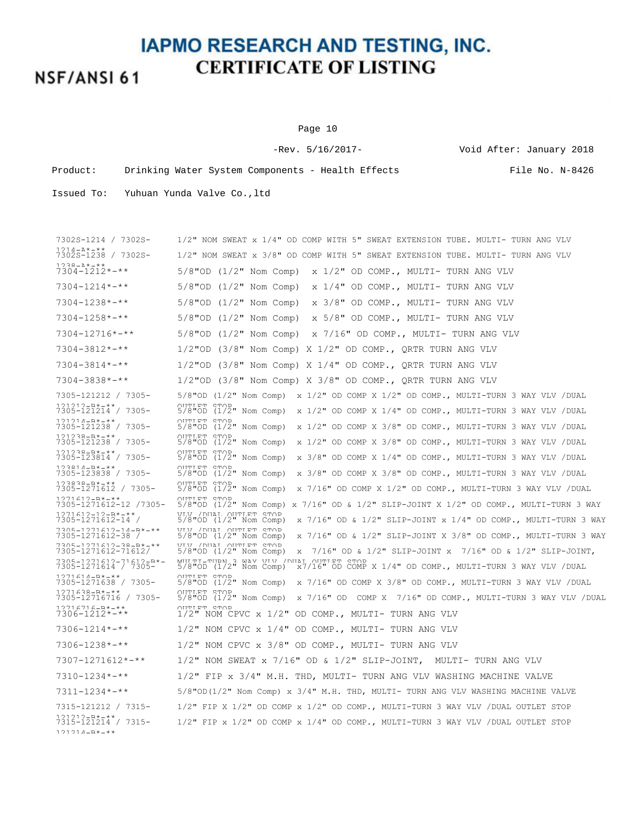Page 10

-Rev. 5/16/2017- Void After: January 2018 Product: Drinking Water System Components - Health Effects File No. N-8426

Issued To: Yuhuan Yunda Valve Co.,ltd

7302S-1214 / 7302S-1214-A\*-\*\* 7302S-1238 / 7302S-1/2" NOM SWEAT x 1/4" OD COMP WITH 5" SWEAT EXTENSION TUBE. MULTI- TURN ANG VLV 1238-A\*-\*\* 1/2" NOM SWEAT x 3/8" OD COMP WITH 5" SWEAT EXTENSION TUBE. MULTI- TURN ANG VLV  $5/8"$ OD (1/2" Nom Comp) x 1/2" OD COMP., MULTI- TURN ANG VLV 7304-1214\*-\*\* 5/8"OD (1/2" Nom Comp) x 1/4" OD COMP., MULTI- TURN ANG VLV 7304-1238\*-\*\* 5/8"OD (1/2" Nom Comp) x 3/8" OD COMP., MULTI- TURN ANG VLV 7304-1258\*-\*\* 5/8"OD (1/2" Nom Comp) x 5/8" OD COMP., MULTI- TURN ANG VLV 7304-12716\*-\*\* 5/8"OD (1/2" Nom Comp) x 7/16" OD COMP., MULTI- TURN ANG VLV 7304-3812\*-\*\* 1/2"OD (3/8" Nom Comp) X 1/2" OD COMP., QRTR TURN ANG VLV 7304-3814\*-\*\* 1/2"OD (3/8" Nom Comp) X 1/4" OD COMP., QRTR TURN ANG VLV 7304-3838\*-\*\* 1/2"OD (3/8" Nom Comp) X 3/8" OD COMP., QRTR TURN ANG VLV 7305-121212 / 7305- 121212-B\*-\*\*<br>1305-121214 / 7305- 5/8"OD (1/2 5/8"OD (1/2" Nom Comp) x 1/2" OD COMP X 1/2" OD COMP., MULTI-TURN 3 WAY VLV /DUAL 121214-B\*-\*\*<br>1305-121238 / 7305- 5/8"OD (1/2 5/8"OD (1/2" Nom Comp) x 1/2" OD COMP X 1/4" OD COMP., MULTI-TURN 3 WAY VLV /DUAL 121238-B\*-\*\*<br>1305-121238 / 7305- 5/8"OD (1/2 5/8"OD (1/2" Nom Comp) x 1/2" OD COMP X 3/8" OD COMP., MULTI-TURN 3 WAY VLV /DUAL 121238-B\*-\*\*<br>1305-123814 / 7305- 5/8"OD (1/2 5/8"OD (1/2" Nom Comp) x 1/2" OD COMP X 3/8" OD COMP., MULTI-TURN 3 WAY VLV /DUAL 123814-B\*-\*\*<br>1305-123838 / 1305- 5/8"OD (1/2 5/8"OD (1/2" Nom Comp) x 3/8" OD COMP X 1/4" OD COMP., MULTI-TURN 3 WAY VLV /DUAL 123838-B\*-\*\*<br>7305-1271612 / 7305- 5/8"OD (1/2" Nom Comp) x 7/16" OD COMP X 1/2" OD COMP., MULTI-TURN 3 WAY VLV /DUAL 5/8"OD (1/2" Nom Comp) x 3/8" OD COMP X 3/8" OD COMP., MULTI-TURN 3 WAY VLV /DUAL 1271612-B\*-\*\*<br>7305-1271612-12 /7305- 5/8"OD (1/2" Nom Comp) x 7/16" OD & 1/2" SLIP-JOINT X 1/2" OD COMP., MULTI-TURN 3 WAY 1271612-12-B\*-\*\*<br>7305-1271612-14 / 1271612-12-B\*-\*\* VLV /DIAL OUTLET STOP<br>7305-1271612-14 / 5/8"OD (1/2" Nom Comp) x 7/16" OD & 1/2" SLIP-JOINT x 1/4" OD COMP., MULTI-TURN 3 WAY 7305-1271612-14-B\*-\*\* 7305-1271612-14-R\*-\*\* - VLV /DHAL OUTLET STOP<br>7305-1271612-38 / - - - - - 5/8"OD (1/2" Nom Comp) - x 7/16" OD & 1/2" SLIP-JOINT X 3/8" OD COMP., MULTI-TURN 3 WAY 7305-1271612-38-B\*-\*\* 7305-1271612-38-R\*-\*\* - VLV /DHAL OUTLET STOP<br>7305-1271612-71612/ - - 5/8"OD (1/2" Nom Comp) - x - 7/16" OD & 1/2" SLIP-JOINT x - 7/16" OD & 1/2" SLIP-JOINT, 7305-1271612-71612-B\*- MULTI-TURN 3 WAY VLV /DUAL OUTLET STOP 7305-1271614 / 7305- 5/8"OD (1/2" Nom Comp) x7/16" OD COMP X 1/4" OD COMP., MULTI-TURN 3 WAY VLV /DUAL 1271614-B\*-\*\*<br>7305-1271638 / 7305- 5/8"OD (1/2 1271638-B\*-\*\*<br>7305-12716716 / 7305- 5/8"OD (1/2 5/8"OD (1/2" Nom Comp) x 7/16" OD COMP X 3/8" OD COMP., MULTI-TURN 3 WAY VLV /DUAL 12716716-B\*-\*\*<br>7306-1212\*-\*\* 5/8"OD (1/2" Nom Comp) x 7/16" OD COMP X 7/16" OD COMP., MULTI-TURN 3 WAY VLV /DUAL OUTLET STOP<br>1/2" NOM CPVC x 1/2" OD COMP., MULTI- TURN ANG VLV 7306-1214\*-\*\* 1/2" NOM CPVC x 1/4" OD COMP., MULTI- TURN ANG VLV 7306-1238\*-\*\* 1/2" NOM CPVC x 3/8" OD COMP., MULTI- TURN ANG VLV 7307-1271612\*-\*\* 1/2" NOM SWEAT x 7/16" OD & 1/2" SLIP-JOINT, MULTI- TURN ANG VLV 7310-1234\*-\*\* 1/2" FIP x 3/4" M.H. THD, MULTI- TURN ANG VLV WASHING MACHINE VALVE 7311-1234\*-\*\* 5/8"OD(1/2" Nom Comp) x 3/4" M.H. THD, MULTI- TURN ANG VLV WASHING MACHINE VALVE 7315-121212 / 7315- 121212-B\*-\*\* 7315-121214 / 7315- 1/2" FIP X 1/2" OD COMP x 1/2" OD COMP., MULTI-TURN 3 WAY VLV /DUAL OUTLET STOP  $121214 - B* - **$ 1/2" FIP x 1/2" OD COMP x 1/4" OD COMP., MULTI-TURN 3 WAY VLV /DUAL OUTLET STOP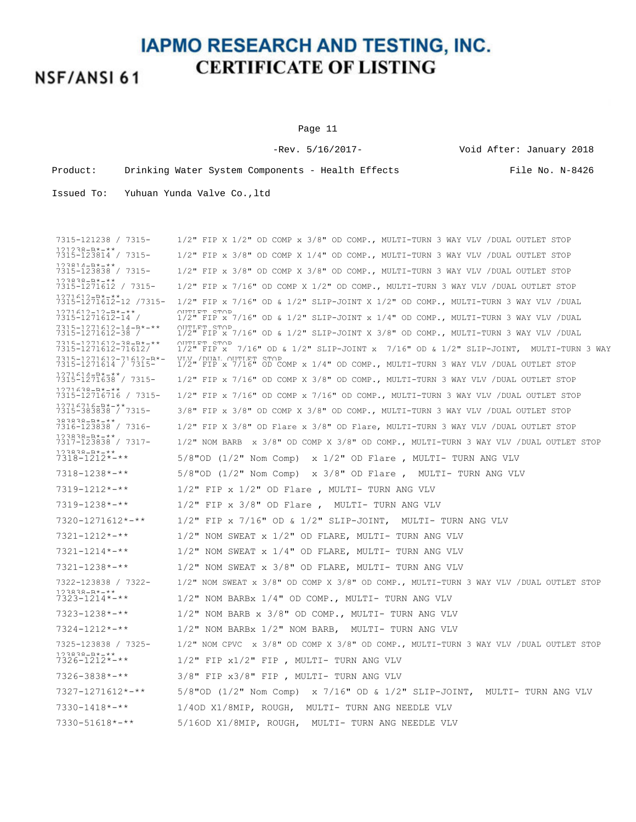### NSF/ANSI 61

Page 11

-Rev. 5/16/2017- Void After: January 2018 Product: Drinking Water System Components - Health Effects File No. N-8426

| 7315-121238 / 7315-                                        | $1/2$ " FIP X $1/2$ " OD COMP x $3/8$ " OD COMP., MULTI-TURN 3 WAY VLV /DUAL OUTLET STOP                            |
|------------------------------------------------------------|---------------------------------------------------------------------------------------------------------------------|
| $121232 - R* - * *$<br>7315-123814 / 7315-                 | $1/2$ " FIP x 3/8" OD COMP X 1/4" OD COMP., MULTI-TURN 3 WAY VLV / DUAL OUTLET STOP                                 |
| $123814 - R* - * *$<br>7315-123838 / 7315-                 | $1/2$ " FIP x 3/8" OD COMP X 3/8" OD COMP., MULTI-TURN 3 WAY VLV /DUAL OUTLET STOP                                  |
| $123838 - R* - **$<br>7315-1271612 / 7315-                 | $1/2$ " FIP x 7/16" OD COMP X 1/2" OD COMP., MULTI-TURN 3 WAY VLV /DUAL OUTLET STOP                                 |
| $1271612 - R* - * *$<br>7315-1271612-12 /7315-             | $1/2$ " FIP x 7/16" OD & 1/2" SLIP-JOINT X 1/2" OD COMP., MULTI-TURN 3 WAY VLV /DUAL                                |
| $1271612 - 12 - R* - * *$<br>7315-1271612-14 /             | OUTTLET STOP<br>$1/2$ " FIP x 7/16" OD & $1/2$ " SLIP-JOINT x $1/4$ " OD COMP., MULTI-TURN 3 WAY VLV /DUAL          |
| 7315-1271612-14-R*-**<br>7315-1271612-38 /                 | OUTTLET STOP<br>$1/2$ " FIP x 7/16" OD & 1/2" SLIP-JOINT X 3/8" OD COMP., MULTI-TURN 3 WAY VLV /DUAL                |
| $7315 - 1271612 - 38 - R* - **$<br>7315-1271612-71612/     | OUTTLET STOP<br>$1/2$ " FIP x $7/16$ " OD & $1/2$ " SLIP-JOINT x $7/16$ " OD & $1/2$ " SLIP-JOINT, MULTI-TURN 3 WAY |
| 7315-1271612-71612-R*-<br>7315-1271614 / 7315-             | VI.V / DIIAT. OHTT.RT STOP<br>$1/2$ " FIP x 7/16" OD COMP x 1/4" OD COMP., MULTI-TURN 3 WAY VLV /DUAL OUTLET STOP   |
| $1271614 - R* - * *$<br>7315-1271638 / 7315-               | $1/2$ " FIP x 7/16" OD COMP X 3/8" OD COMP., MULTI-TURN 3 WAY VLV /DUAL OUTLET STOP                                 |
| $1271638 - R* - * *$<br>7315-12716716 / 7315-              | $1/2$ " FIP x 7/16" OD COMP x 7/16" OD COMP., MULTI-TURN 3 WAY VLV /DUAL OUTLET STOP                                |
| $12716716 - R* - **$<br>7315-383838 / 7315-                | 3/8" FIP x 3/8" OD COMP X 3/8" OD COMP., MULTI-TURN 3 WAY VLV /DUAL OUTLET STOP                                     |
| $383838 - R* - **$<br>7316-123838 / 7316-                  | 1/2" FIP X 3/8" OD Flare x 3/8" OD Flare, MULTI-TURN 3 WAY VLV /DUAL OUTLET STOP                                    |
| $123838 - R* - * *$<br>7317-123838 / 7317-                 | $1/2$ " NOM BARB x $3/8$ " OD COMP X $3/8$ " OD COMP., MULTI-TURN 3 WAY VLV / DUAL OUTLET STOP                      |
| $123838 - R* - **$<br>$7318 - 1212 \times 100$             | x 1/2" OD Flare , MULTI- TURN ANG VLV<br>5/8"OD (1/2" Nom Comp)                                                     |
| $7318 - 1238 \times - \times \times$                       | $5/8"$ OD (1/2" Nom Comp) x $3/8"$ OD Flare , MULTI- TURN ANG VLV                                                   |
| $7319 - 1212 \times - \times \times$                       | $1/2$ " FIP x $1/2$ " OD Flare, MULTI- TURN ANG VLV                                                                 |
| $7319 - 1238 \times 100$                                   | $1/2$ " FIP x 3/8" OD Flare, MULTI- TURN ANG VLV                                                                    |
| $7320 - 1271612 \times - \times \times$                    | $1/2$ " FIP x 7/16" OD & 1/2" SLIP-JOINT,<br>MULTI- TURN ANG VLV                                                    |
| $7321 - 1212 \times - \times \times$                       | $1/2$ " NOM SWEAT x $1/2$ " OD FLARE, MULTI- TURN ANG VLV                                                           |
| $7321 - 1214$ *-**                                         | 1/2" NOM SWEAT x 1/4" OD FLARE, MULTI- TURN ANG VLV                                                                 |
| $7321 - 1238 \times - \times \times$                       | $1/2$ " NOM SWEAT x $3/8$ " OD FLARE, MULTI- TURN ANG VLV                                                           |
| 7322-123838 / 7322-                                        | $1/2$ " NOM SWEAT x $3/8$ " OD COMP X $3/8$ " OD COMP., MULTI-TURN 3 WAY VLV /DUAL OUTLET STOP                      |
| $123838 - R* - **$<br>7323-1214*-**                        | $1/2$ " NOM BARBx $1/4$ " OD COMP., MULTI- TURN ANG VLV                                                             |
| $7323 - 1238 \times - \times \times$                       | $1/2$ " NOM BARB x $3/8$ " OD COMP., MULTI- TURN ANG VLV                                                            |
| $7324 - 1212 \times - \times \times$                       | $1/2$ " NOM BARBx $1/2$ " NOM BARB, MULTI- TURN ANG VLV                                                             |
| 7325-123838 / 7325-<br>$123838 - R* - **$<br>7326-1212*-** | $1/2$ " NOM CPVC x $3/8$ " OD COMP X $3/8$ " OD COMP., MULTI-TURN 3 WAY VLV /DUAL OUTLET STOP                       |
|                                                            | $1/2"$ FIP $x1/2"$ FIP, MULTI-TURN ANG VLV                                                                          |
| $7326 - 3838 \times 311$                                   | $3/8"$ FIP $x3/8"$ FIP, MULTI-TURN ANG VLV                                                                          |
| $7327 - 1271612 \times - \times \times$                    | x 7/16" OD & 1/2" SLIP-JOINT,<br>5/8"OD (1/2" Nom Comp)<br>MULTI- TURN ANG VLV                                      |
| $7330 - 1418$ *-**                                         | 1/40D X1/8MIP, ROUGH, MULTI- TURN ANG NEEDLE VLV                                                                    |
| $7330 - 51618* - **$                                       | 5/16OD X1/8MIP, ROUGH, MULTI- TURN ANG NEEDLE VLV                                                                   |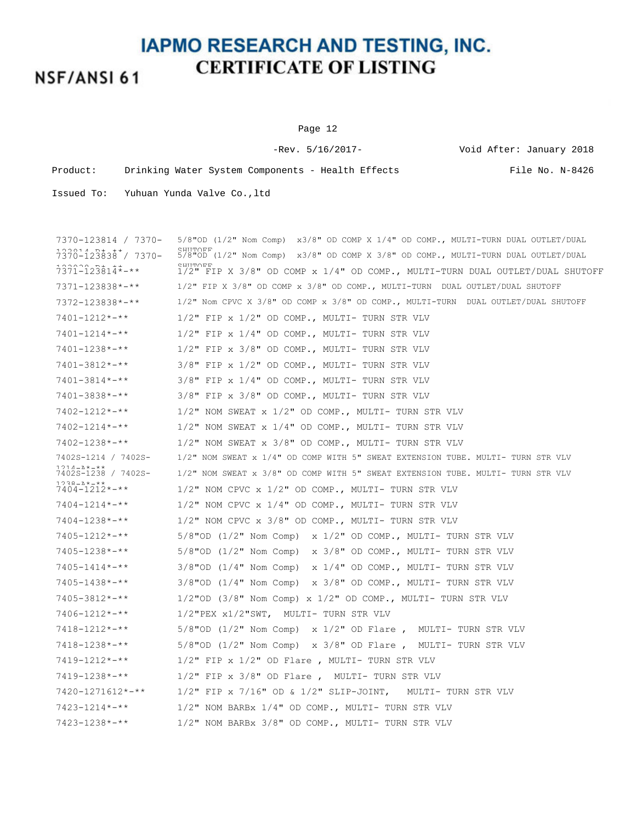# NSF/ANSI 61

Page 12

|          | $-$ Rev. 5/16/2017-                               | Void After: January 2018 |
|----------|---------------------------------------------------|--------------------------|
| Product: | Drinking Water System Components - Health Effects | File No. N-8426          |

| 7370-123814 / 7370-                                 | $5/8$ "OD (1/2" Nom Comp) x3/8" OD COMP X 1/4" OD COMP., MULTI-TURN DUAL OUTLET/DUAL                 |
|-----------------------------------------------------|------------------------------------------------------------------------------------------------------|
| $7370 - 123838$ / 7370-                             | <b>CHILLULE</b><br>5/8"OD (1/2" Nom Comp) x3/8" OD COMP X 3/8" OD COMP., MULTI-TURN DUAL OUTLET/DUAL |
| $7371 - 123814$ *-**                                | <b>CHIITOFF</b><br>1/2" FIP X 3/8" OD COMP x 1/4" OD COMP., MULTI-TURN DUAL OUTLET/DUAL SHUTOFF      |
| 7371-123838*-**                                     | 1/2" FIP X 3/8" OD COMP x 3/8" OD COMP., MULTI-TURN DUAL OUTLET/DUAL SHUTOFF                         |
| 7372-123838*-**                                     | $1/2$ " Nom CPVC X 3/8" OD COMP x 3/8" OD COMP., MULTI-TURN DUAL OUTLET/DUAL SHUTOFF                 |
| $7401 - 1212 \times - \times \times$                | $1/2$ " FIP x $1/2$ " OD COMP., MULTI- TURN STR VLV                                                  |
| $7401 - 1214$ *-**                                  | 1/2" FIP x 1/4" OD COMP., MULTI- TURN STR VLV                                                        |
| $7401 - 1238 \times - \times \times$                | $1/2$ " FIP x 3/8" OD COMP., MULTI- TURN STR VLV                                                     |
| 7401-3812*-**                                       | $3/8"$ FIP x $1/2"$ OD COMP., MULTI- TURN STR VLV                                                    |
| $7401 - 3814$ *-**                                  | $3/8"$ FIP x $1/4"$ OD COMP., MULTI- TURN STR VLV                                                    |
| $7401 - 3838 \times 4 \times 4$                     | 3/8" FIP x 3/8" OD COMP., MULTI- TURN STR VLV                                                        |
| $7402 - 1212 \times - \times \times$                | $1/2$ " NOM SWEAT x $1/2$ " OD COMP., MULTI- TURN STR VLV                                            |
| $7402 - 1214$ *-**                                  | $1/2$ " NOM SWEAT x $1/4$ " OD COMP., MULTI- TURN STR VLV                                            |
| 7402-1238*-**                                       | $1/2$ " NOM SWEAT x $3/8$ " OD COMP., MULTI- TURN STR VLV                                            |
| 7402S-1214 / 7402S-                                 | 1/2" NOM SWEAT x 1/4" OD COMP WITH 5" SWEAT EXTENSION TUBE. MULTI- TURN STR VLV                      |
| $1214 - 2* - * *$<br>7402S-1238 / 7402S-            | 1/2" NOM SWEAT x 3/8" OD COMP WITH 5" SWEAT EXTENSION TUBE. MULTI- TURN STR VLV                      |
| $1238 - 212 + 122$<br>$7404 - 1212 \times + \times$ | $1/2$ " NOM CPVC x $1/2$ " OD COMP., MULTI- TURN STR VLV                                             |
| $7404 - 1214$ *-**                                  | $1/2$ " NOM CPVC x $1/4$ " OD COMP., MULTI- TURN STR VLV                                             |
| 7404-1238*-**                                       | $1/2$ " NOM CPVC x $3/8$ " OD COMP., MULTI- TURN STR VLV                                             |
| $7405 - 1212 \times - \times \times$                | $5/8$ "OD (1/2" Nom Comp) x 1/2" OD COMP., MULTI- TURN STR VLV                                       |
| $7405 - 1238 \times - \times \times$                | $5/8$ "OD (1/2" Nom Comp) x $3/8$ " OD COMP., MULTI- TURN STR VLV                                    |
| $7405 - 1414$ *-**                                  | $3/8$ "OD $(1/4$ " Nom Comp) x $1/4$ " OD COMP., MULTI- TURN STR VLV                                 |
| $7405 - 1438$ *-**                                  | $3/8$ "OD (1/4" Nom Comp) x $3/8$ " OD COMP., MULTI- TURN STR VLV                                    |
| $7405 - 3812 \times 4 \times 4$                     | $1/2$ "OD (3/8" Nom Comp) x $1/2$ " OD COMP., MULTI- TURN STR VLV                                    |
| $7406 - 1212 \times - \times \times$                | 1/2"PEX x1/2"SWT, MULTI- TURN STR VLV                                                                |
| $7418 - 1212 \times - \times \times$                | $5/8$ "OD (1/2" Nom Comp) x 1/2" OD Flare, MULTI- TURN STR VLV                                       |
| $7418 - 1238$ *-**                                  | $5/8$ "OD (1/2" Nom Comp) x 3/8" OD Flare, MULTI- TURN STR VLV                                       |
| $7419 - 1212 \times - \times \times$                | $1/2$ " FIP x $1/2$ " OD Flare, MULTI- TURN STR VLV                                                  |
| $7419 - 1238$ *-**                                  | $1/2$ " FIP x $3/8$ " OD Flare, MULTI- TURN STR VLV                                                  |
| 7420-1271612*-**                                    | $1/2$ " FIP x 7/16" OD & 1/2" SLIP-JOINT,<br>MULTI- TURN STR VLV                                     |
| $7423 - 1214 \times - \times \times$                | $1/2$ " NOM BARBx $1/4$ " OD COMP., MULTI- TURN STR VLV                                              |
| $7423 - 1238 \times - \times \times$                | 1/2" NOM BARBx 3/8" OD COMP., MULTI- TURN STR VLV                                                    |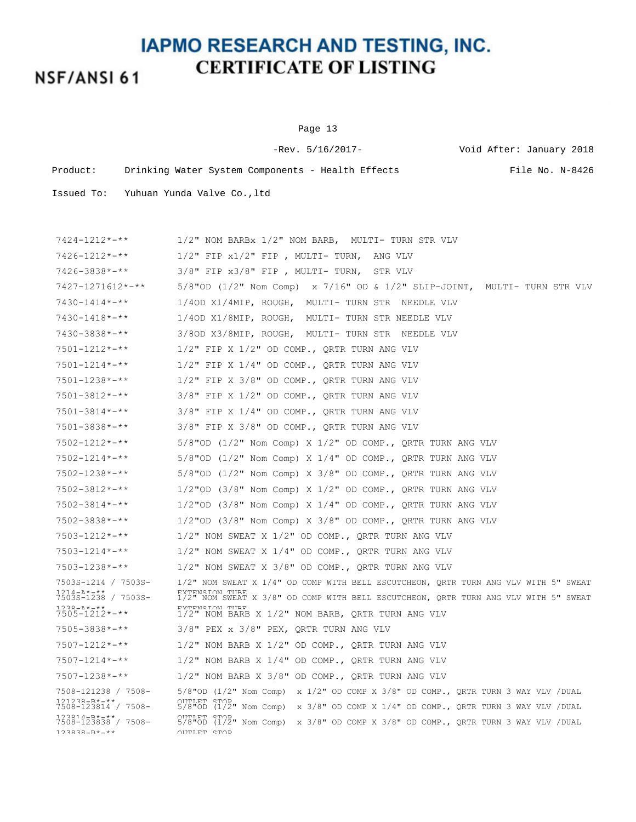# NSF/ANSI 61

#### Page 13

-Rev. 5/16/2017- Void After: January 2018 Product: Drinking Water System Components - Health Effects File No. N-8426

| $7424 - 1212 \times 7 \times 7$                                 | $1/2$ " NOM BARBx $1/2$ " NOM BARB, MULTI- TURN STR VLV                                                                    |
|-----------------------------------------------------------------|----------------------------------------------------------------------------------------------------------------------------|
| $7426 - 1212 \times - \times \times$                            | $1/2$ " FIP $x1/2$ " FIP , MULTI- TURN,<br>ANG VLV                                                                         |
| $7426 - 3838 \times - \times \times$                            | $3/8"$ FIP $x3/8"$ FIP , MULTI- TURN,<br>STR VLV                                                                           |
| $7427 - 1271612 \times - \times \times$                         | 5/8"OD (1/2" Nom Comp) $\chi$ 7/16" OD & 1/2" SLIP-JOINT, MULTI- TURN STR VLV                                              |
| $7430 - 1414$ *-**                                              | 1/40D X1/4MIP, ROUGH, MULTI- TURN STR NEEDLE VLV                                                                           |
| $7430 - 1418$ *-**                                              | 1/40D X1/8MIP, ROUGH, MULTI- TURN STR NEEDLE VLV                                                                           |
| 7430-3838*-**                                                   | 3/80D X3/8MIP, ROUGH, MULTI- TURN STR NEEDLE VLV                                                                           |
| $7501 - 1212 \times - \times \times$                            | $1/2$ " FIP X $1/2$ " OD COMP., QRTR TURN ANG VLV                                                                          |
| $7501 - 1214 \times - \times \times$                            | $1/2$ " FIP X $1/4$ " OD COMP., QRTR TURN ANG VLV                                                                          |
| $7501 - 1238 \times - \times \times$                            | $1/2$ " FIP X 3/8" OD COMP., QRTR TURN ANG VLV                                                                             |
| $7501 - 3812 \times 4 \times 4$                                 | $3/8"$ FIP X $1/2"$ OD COMP., QRTR TURN ANG VLV                                                                            |
| $7501 - 3814 \times - \times \times$                            | $3/8$ " FIP X $1/4$ " OD COMP., QRTR TURN ANG VLV                                                                          |
| $7501 - 3838 \times 4 \times 4$                                 | 3/8" FIP X 3/8" OD COMP., QRTR TURN ANG VLV                                                                                |
| $7502 - 1212 \times - \times \times$                            | $5/8$ "OD ( $1/2$ " Nom Comp) X $1/2$ " OD COMP., QRTR TURN ANG VLV                                                        |
| $7502 - 1214$ *-**                                              | $5/8$ "OD (1/2" Nom Comp) X 1/4" OD COMP., QRTR TURN ANG VLV                                                               |
| $7502 - 1238 \times - \times \times$                            | $5/8$ "OD (1/2" Nom Comp) X 3/8" OD COMP., QRTR TURN ANG VLV                                                               |
| $7502 - 3812 \times 4 \times 4$                                 | $1/2$ "OD (3/8" Nom Comp) X $1/2$ " OD COMP., QRTR TURN ANG VLV                                                            |
| $7502 - 3814$ *-**                                              | $1/2$ "OD (3/8" Nom Comp) X $1/4$ " OD COMP., QRTR TURN ANG VLV                                                            |
| $7502 - 3838 \times 300$                                        | $1/2$ "OD (3/8" Nom Comp) X 3/8" OD COMP., QRTR TURN ANG VLV                                                               |
| $7503 - 1212 \times - \times \times$                            | $1/2$ " NOM SWEAT X $1/2$ " OD COMP., QRTR TURN ANG VLV                                                                    |
| $7503 - 1214 \times - \times \times$                            | $1/2$ " NOM SWEAT X $1/4$ " OD COMP., QRTR TURN ANG VLV                                                                    |
| 7503-1238*-**                                                   | $1/2$ " NOM SWEAT X 3/8" OD COMP., QRTR TURN ANG VLV                                                                       |
| 7503S-1214 / 7503S-                                             | 1/2" NOM SWEAT X 1/4" OD COMP WITH BELL ESCUTCHEON, QRTR TURN ANG VLV WITH 5" SWEAT                                        |
| $1214 - 211$<br>7503S-1238 / 7503S-                             | <b>EYTEMSTON THRE</b><br>1/2" NOM SWEAT X 3/8" OD COMP WITH BELL ESCUTCHEON, QRTR TURN ANG VLV WITH 5" SWEAT               |
| $778 - 41 + 11$<br>$7505 - 1212 \times - \times \times$         | RYTRNSTON THRR<br>$1/2$ " NOM BARB X $1/2$ " NOM BARB, QRTR TURN ANG VLV                                                   |
| $7505 - 3838 \times - \times \times$                            | $3/8"$ PEX x $3/8"$ PEX, QRTR TURN ANG VLV                                                                                 |
| $7507 - 1212 \times - \times \times$                            | $1/2$ " NOM BARB X $1/2$ " OD COMP., QRTR TURN ANG VLV                                                                     |
| $7507 - 1214 \times - \times \times$                            | $1/2$ " NOM BARB X $1/4$ " OD COMP., QRTR TURN ANG VLV                                                                     |
| $7507 - 1238 \times 100$                                        | $1/2$ " NOM BARB X 3/8" OD COMP., QRTR TURN ANG VLV                                                                        |
| 7508-121238 / 7508-                                             | $5/8$ "OD (1/2" Nom Comp) x 1/2" OD COMP X 3/8" OD COMP., QRTR TURN 3 WAY VLV /DUAL                                        |
| $121232 - R* - * *$<br>7508-123814 / 7508-                      | ULLEL GAUD<br>$5/8$ "OD $(1/2"$ Nom Comp)<br>x 3/8" OD COMP X 1/4" OD COMP., QRTR TURN 3 WAY VLV /DUAL                     |
| $123814 - R* - **$<br>7508-123838 / 7508-<br>$123838 - R* - **$ | <b>OUTTLET STOP</b><br>$5/8$ "OD (1/2" Nom Comp) x 3/8" OD COMP X 3/8" OD COMP., QRTR TURN 3 WAY VLV /DUAL<br>OUTTLET STOP |
|                                                                 |                                                                                                                            |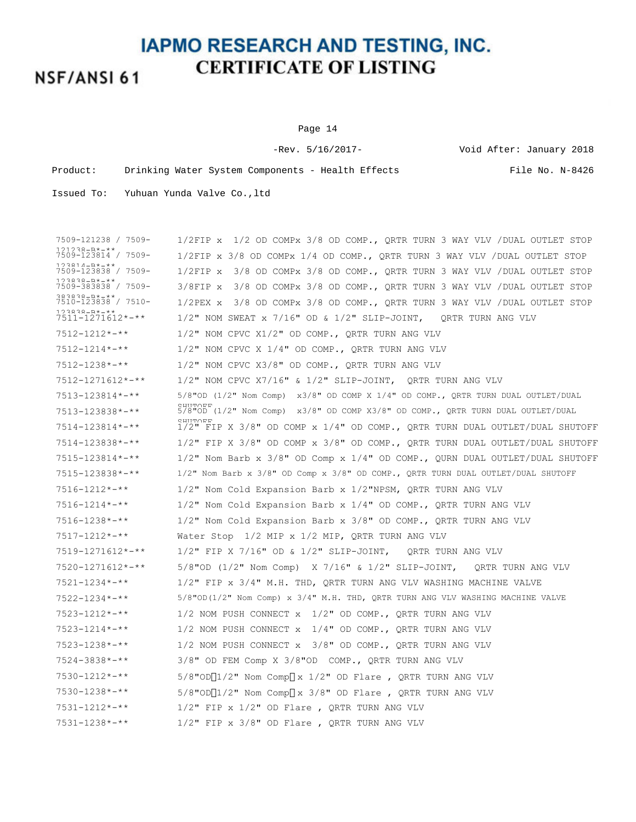### NSF/ANSI 61

#### Page 14

-Rev. 5/16/2017- Void After: January 2018 Product: Drinking Water System Components - Health Effects File No. N-8426

| 7509-121238 / 7509-                       | 1/2 OD COMPx 3/8 OD COMP., QRTR TURN 3 WAY VLV / DUAL OUTLET STOP<br>$1/2$ FIP $x$                    |
|-------------------------------------------|-------------------------------------------------------------------------------------------------------|
| 121238-B*-**<br>7509-123814 / 7509-       | $1/2$ FIP x 3/8 OD COMPx 1/4 OD COMP., QRTR TURN 3 WAY VLV /DUAL OUTLET STOP                          |
| $123814 - R* - **$<br>7509-123838 / 7509- | 3/8 OD COMPx 3/8 OD COMP., QRTR TURN 3 WAY VLV /DUAL OUTLET STOP<br>$1/2$ FIP $x$                     |
| $123838 - R* - **$<br>7509-383838 / 7509- | 3/8 OD COMPx 3/8 OD COMP., QRTR TURN 3 WAY VLV / DUAL OUTLET STOP<br>$3/8$ FIP x                      |
| $383838 - R* - **$<br>7510-123838 / 7510- | 3/8 OD COMPx 3/8 OD COMP., QRTR TURN 3 WAY VLV /DUAL OUTLET STOP<br>$1/2$ PEX $x$                     |
| $123838 - R* - **$<br>7511-1271612*-**    | $1/2$ " NOM SWEAT x 7/16" OD & $1/2$ " SLIP-JOINT,<br>ORTR TURN ANG VLV                               |
| $7512 - 1212 \times - \times \times$      | $1/2$ " NOM CPVC X $1/2$ " OD COMP., QRTR TURN ANG VLV                                                |
| $7512 - 1214$ *-**                        | $1/2$ " NOM CPVC X $1/4$ " OD COMP., QRTR TURN ANG VLV                                                |
| $7512 - 1238 \times - \times \times$      | $1/2$ " NOM CPVC X3/8" OD COMP., QRTR TURN ANG VLV                                                    |
| $7512 - 1271612 \times - \times \times$   | $1/2$ " NOM CPVC X7/16" & $1/2$ " SLIP-JOINT,<br>QRTR TURN ANG VLV                                    |
| 7513-123814*-**                           | $5/8$ "OD (1/2" Nom Comp) x3/8" OD COMP X 1/4" OD COMP., QRTR TURN DUAL OUTLET/DUAL                   |
| $7513 - 123838 \times - \times \times$    | <b>SHIIT∩FF</b><br>$5/8$ "OD (1/2" Nom Comp) x3/8" OD COMP X3/8" OD COMP., QRTR TURN DUAL OUTLET/DUAL |
| $7514 - 123814 \times - \times \times$    | <b>SHIIT∩FF</b><br>$1/2$ " FIP X 3/8" OD COMP x $1/4$ " OD COMP., QRTR TURN DUAL OUTLET/DUAL SHUTOFF  |
| $7514 - 123838 \times - \times \times$    | $1/2$ " FIP X 3/8" OD COMP x 3/8" OD COMP., QRTR TURN DUAL OUTLET/DUAL SHUTOFF                        |
| 7515-123814*-**                           | $1/2$ " Nom Barb x $3/8$ " OD Comp x $1/4$ " OD COMP., QURN DUAL OUTLET/DUAL SHUTOFF                  |
| $7515 - 123838 \times - \times \times$    | 1/2" Nom Barb x 3/8" OD Comp x 3/8" OD COMP., QRTR TURN DUAL OUTLET/DUAL SHUTOFF                      |
| $7516 - 1212 \times - \times \times$      | $1/2$ " Nom Cold Expansion Barb x $1/2$ "NPSM, QRTR TURN ANG VLV                                      |
| $7516 - 1214$ *-**                        | $1/2$ " Nom Cold Expansion Barb x $1/4$ " OD COMP., QRTR TURN ANG VLV                                 |
| $7516 - 1238$ *-**                        | $1/2$ " Nom Cold Expansion Barb x $3/8$ " OD COMP., QRTR TURN ANG VLV                                 |
| $7517 - 1212 \times - \times \times$      | Water Stop 1/2 MIP x 1/2 MIP, QRTR TURN ANG VLV                                                       |
| $7519 - 1271612 \times - \times \times$   | $1/2$ " FIP X 7/16" OD & $1/2$ " SLIP-JOINT,<br>ORTR TURN ANG VLV                                     |
| $7520 - 1271612 \times - \times$          | 5/8"OD (1/2" Nom Comp) $X$ 7/16" & 1/2" SLIP-JOINT,<br>ORTR TURN ANG VLV                              |
| $7521 - 1234 \times - \times \times$      | 1/2" FIP x 3/4" M.H. THD, QRTR TURN ANG VLV WASHING MACHINE VALVE                                     |
| $7522 - 1234 \times - \times \times$      | $5/8$ "OD( $1/2$ " Nom Comp) x $3/4$ " M.H. THD, QRTR TURN ANG VLV WASHING MACHINE VALVE              |
| $7523 - 1212 \times + \times$             | 1/2 NOM PUSH CONNECT x 1/2" OD COMP., QRTR TURN ANG VLV                                               |
| $7523 - 1214$ *-**                        | $1/2$ NOM PUSH CONNECT $x$ $1/4$ " OD COMP., QRTR TURN ANG VLV                                        |
| $7523 - 1238 \times - \times \times$      | 1/2 NOM PUSH CONNECT x 3/8" OD COMP., QRTR TURN ANG VLV                                               |
| $7524 - 3838 \times - \times \times$      | $3/8$ " OD FEM Comp X $3/8$ "OD COMP., QRTR TURN ANG VLV                                              |
| $7530 - 1212 \times 7 \times 7$           | $5/8$ "OD  1/2" Nom Comp  x 1/2" OD Flare, QRTR TURN ANG VLV                                          |
| $7530 - 1238 \times - \times \times$      | $5/8$ "OD $\lceil 1/2$ " Nom Comp $\lceil x \rceil \leq 3/8$ " OD Flare , QRTR TURN ANG VLV           |
| $7531 - 1212 \times - \times \times$      | $1/2$ " FIP x $1/2$ " OD Flare, QRTR TURN ANG VLV                                                     |
| $7531 - 1238 \times - \times \times$      | $1/2$ " FIP x $3/8$ " OD Flare, QRTR TURN ANG VLV                                                     |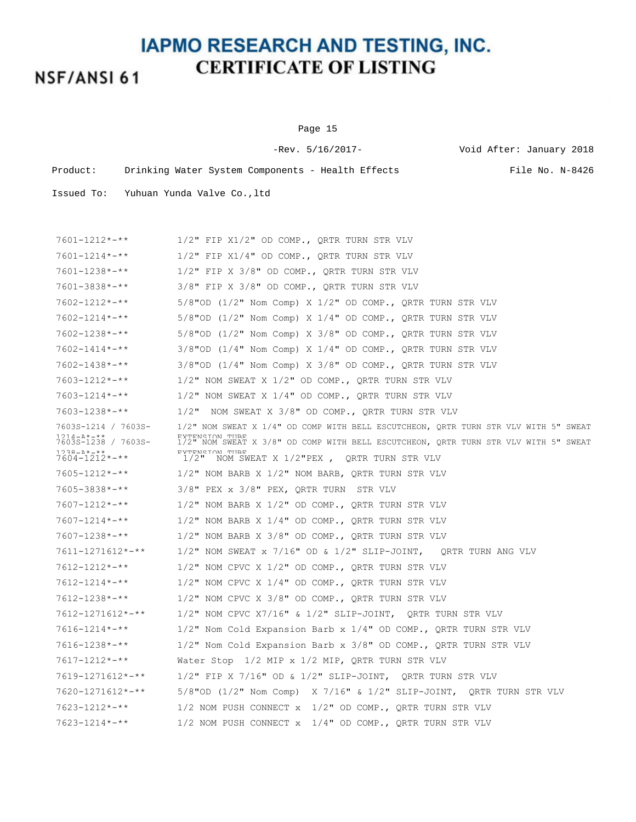# NSF/ANSI 61

Page 15

|          | $-$ Rev. 5/16/2017-                               | Void After: January 2018 |
|----------|---------------------------------------------------|--------------------------|
| Product: | Drinking Water System Components - Health Effects | File No. N-8426          |

| 7601-1212*-**                               | $1/2$ " FIP X $1/2$ " OD COMP., QRTR TURN STR VLV                                                            |
|---------------------------------------------|--------------------------------------------------------------------------------------------------------------|
| $7601 - 1214 \times - \times \times$        | $1/2$ " FIP X $1/4$ " OD COMP., QRTR TURN STR VLV                                                            |
| $7601 - 1238 \times - \times \times$        | 1/2" FIP X 3/8" OD COMP., QRTR TURN STR VLV                                                                  |
| $7601 - 3838 \times 311$                    | $3/8"$ FIP X $3/8"$ OD COMP., QRTR TURN STR VLV                                                              |
| $7602 - 1212 \times - \times \times$        | $5/8$ "OD (1/2" Nom Comp) X 1/2" OD COMP., QRTR TURN STR VLV                                                 |
| $7602 - 1214$ *-**                          | $5/8$ "OD (1/2" Nom Comp) X 1/4" OD COMP., QRTR TURN STR VLV                                                 |
| $7602 - 1238 \times 100$                    | $5/8$ "OD (1/2" Nom Comp) X 3/8" OD COMP., QRTR TURN STR VLV                                                 |
| $7602 - 1414$ *-**                          | $3/8$ "OD (1/4" Nom Comp) X 1/4" OD COMP., QRTR TURN STR VLV                                                 |
| $7602 - 1438$ *-**                          | $3/8$ "OD ( $1/4$ " Nom Comp) X $3/8$ " OD COMP., QRTR TURN STR VLV                                          |
| $7603 - 1212 \times - \times \times$        | $1/2$ " NOM SWEAT X $1/2$ " OD COMP., QRTR TURN STR VLV                                                      |
| $7603 - 1214 \times - \times \times$        | $1/2$ " NOM SWEAT X $1/4$ " OD COMP., QRTR TURN STR VLV                                                      |
| $7603 - 1238 \times 7 \times 7$             | 1/2" NOM SWEAT X 3/8" OD COMP., ORTR TURN STR VLV                                                            |
| 7603S-1214 / 7603S-                         | 1/2" NOM SWEAT X 1/4" OD COMP WITH BELL ESCUTCHEON, QRTR TURN STR VLV WITH 5" SWEAT                          |
| 21 4 - 2 * - * *<br>7603S-1238 / 7603S-     | <b>EXTENSION THRE</b><br>1/2" NOM SWEAT X 3/8" OD COMP WITH BELL ESCUTCHEON, QRTR TURN STR VLV WITH 5" SWEAT |
| 1つマヌーユャー**<br>$7604 - 1212 \times + \times$ | <b>EYTENSTON THRE</b><br>$1/2$ " NOM SWEAT X $1/2$ "PEX, QRTR TURN STR VLV                                   |
| $7605 - 1212 \times - \times \times$        | $1/2$ " NOM BARB X $1/2$ " NOM BARB, QRTR TURN STR VLV                                                       |
| 7605-3838*-**                               | $3/8"$ PEX x $3/8"$ PEX, QRTR TURN STR VLV                                                                   |
| $7607 - 1212 \times - \times \times$        | $1/2$ " NOM BARB X $1/2$ " OD COMP., QRTR TURN STR VLV                                                       |
| $7607 - 1214$ *-**                          | $1/2$ " NOM BARB X $1/4$ " OD COMP., QRTR TURN STR VLV                                                       |
| $7607 - 1238 \times 7 \times 7$             | $1/2$ " NOM BARB X 3/8" OD COMP., QRTR TURN STR VLV                                                          |
| $7611 - 1271612 \times - \times \times$     | $1/2$ " NOM SWEAT x 7/16" OD & 1/2" SLIP-JOINT, QRTR TURN ANG VLV                                            |
| $7612 - 1212 \times - \times \times$        | $1/2$ " NOM CPVC X $1/2$ " OD COMP., QRTR TURN STR VLV                                                       |
| $7612 - 1214 \times - \times \times$        | $1/2$ " NOM CPVC X $1/4$ " OD COMP., QRTR TURN STR VLV                                                       |
| $7612 - 1238 \times - \times \times$        | 1/2" NOM CPVC X 3/8" OD COMP., QRTR TURN STR VLV                                                             |
| $7612 - 1271612 \times - \times \times$     | $1/2$ " NOM CPVC X7/16" & $1/2$ " SLIP-JOINT, QRTR TURN STR VLV                                              |
| $7616 - 1214 \times - \times \times$        | $1/2$ " Nom Cold Expansion Barb x $1/4$ " OD COMP., QRTR TURN STR VLV                                        |
| $7616 - 1238$ *-**                          | $1/2$ " Nom Cold Expansion Barb x $3/8$ " OD COMP., QRTR TURN STR VLV                                        |
| $7617 - 1212 \times - \times \times$        | Water Stop 1/2 MIP x 1/2 MIP, QRTR TURN STR VLV                                                              |
| $7619 - 1271612 \times \rightarrow \times$  | $1/2$ " FIP X 7/16" OD & $1/2$ " SLIP-JOINT, QRTR TURN STR VLV                                               |
| 7620-1271612*-**                            | $5/8$ "OD (1/2" Nom Comp) X 7/16" & 1/2" SLIP-JOINT, QRTR TURN STR VLV                                       |
| $7623 - 1212 \times - \times \times$        | 1/2 NOM PUSH CONNECT $x$ 1/2" OD COMP., ORTR TURN STR VLV                                                    |
| $7623 - 1214 \times - \times \times$        | 1/2 NOM PUSH CONNECT $x$ 1/4" OD COMP., QRTR TURN STR VLV                                                    |
|                                             |                                                                                                              |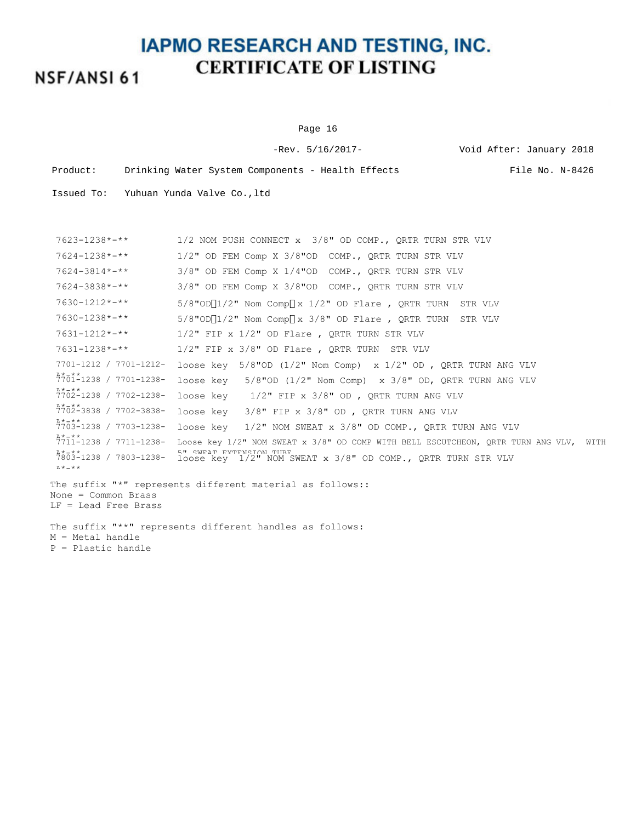NSF/ANSI 61

```
Page 16
```
-Rev. 5/16/2017- Void After: January 2018 Product: Drinking Water System Components - Health Effects File No. N-8426

| $7623 - 1238 \times - \times \times$                      | 1/2 NOM PUSH CONNECT $x$ 3/8" OD COMP., ORTR TURN STR VLV                                                             |
|-----------------------------------------------------------|-----------------------------------------------------------------------------------------------------------------------|
| $7624 - 1238 \times - \times \times$                      | $1/2$ " OD FEM Comp X 3/8"OD COMP., ORTR TURN STR VLV                                                                 |
| $7624 - 3814 \times - \times \times$                      | $3/8$ " OD FEM Comp X $1/4$ "OD COMP., ORTR TURN STR VLV                                                              |
| $7624 - 3838 \times - \times \times$                      | 3/8" OD FEM Comp X 3/8"OD COMP., QRTR TURN STR VLV                                                                    |
| $7630 - 1212 \times - \times$                             | $5/8$ "OD $\lceil 1/2$ " Nom Comp $\lceil x \frac{1}{2} \rceil$ OD Flare, QRTR TURN STR VLV                           |
| $7630 - 1238 \times 100$                                  | $5/8$ "OD $\sqrt{1/2}$ " Nom Comp $\sqrt{1} \times 3/8$ " OD Flare, QRTR TURN STR VLV                                 |
| $7631 - 1212 \times - \times \times$                      | $1/2$ " FIP x $1/2$ " OD Flare, QRTR TURN STR VLV                                                                     |
| 7631-1238*-**                                             | $1/2$ " FIP x $3/8$ " OD Flare, ORTR TURN STR VLV                                                                     |
| 7701-1212 / 7701-1212-                                    | loose key 5/8"OD $(1/2"$ Nom Comp) x $1/2"$ OD, QRTR TURN ANG VLV                                                     |
| $\lambda\star\_\star\star\star$<br>7701-1238 / 7701-1238- | $5/8$ "OD $(1/2$ " Nom Comp) x $3/8$ " OD, ORTR TURN ANG VLV<br>loose kev                                             |
| $\lambda * - * *$<br>7702-1238 / 7702-1238-               | loose key $1/2$ " FIP x 3/8" OD, QRTR TURN ANG VLV                                                                    |
| $\lambda * - * *$<br>7702-3838 / 7702-3838-               | $3/8$ " FIP x $3/8$ " OD, QRTR TURN ANG VLV<br>loose kev                                                              |
| $\lambda * - * *$<br>7703-1238 / 7703-1238-               | loose key $1/2$ " NOM SWEAT x $3/8$ " OD COMP., ORTR TURN ANG VLV                                                     |
| $\lambda * - * *$                                         | 7711-1238 / 7711-1238- Loose key 1/2" NOM SWEAT x 3/8" OD COMP WITH BELL ESCUTCHEON, QRTR TURN ANG VLV, WITH          |
| $\lambda * - * *$<br>$\lambda$ * $-$ * *                  | 5" SWEAT EXTENSION THRE<br>7803-1238 / 7803-1238- loose key 1/2" NOM SWEAT x 3/8" OD COMP., QRTR TURN STR VLV         |
| None = Common Brass<br>LF = Lead Free Brass               | The suffix "*" represents different material as follows::<br>The suffix "**" represents different handles as follows: |
| M = Metal handle<br>P = Plastic handle                    |                                                                                                                       |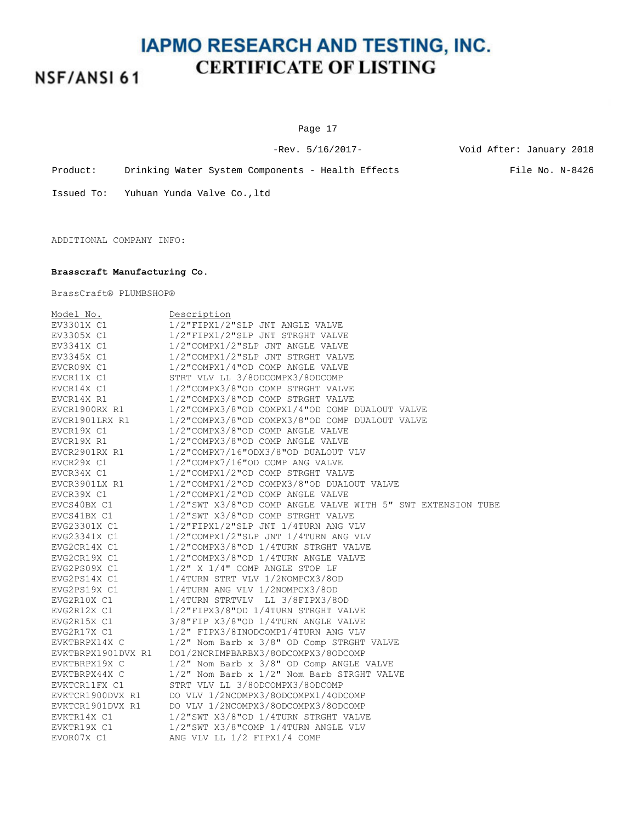NSF/ANSI 61

Page 17

-Rev. 5/16/2017- Void After: January 2018

Product: Drinking Water System Components - Health Effects File No. N-8426

Issued To: Yuhuan Yunda Valve Co.,ltd

ADDITIONAL COMPANY INFO:

#### **Brasscraft Manufacturing Co.**

BrassCraft® PLUMBSHOP®

| Model No.          | Description                                                 |
|--------------------|-------------------------------------------------------------|
| EV3301X C1         | 1/2"FIPX1/2"SLP JNT ANGLE VALVE                             |
| EV3305X C1         | 1/2"FIPX1/2"SLP JNT STRGHT VALVE                            |
| EV3341X C1         | 1/2"COMPX1/2"SLP JNT ANGLE VALVE                            |
| EV3345X C1         | 1/2"COMPX1/2"SLP JNT STRGHT VALVE                           |
| EVCR09X C1         | 1/2"COMPX1/4"OD COMP ANGLE VALVE                            |
| EVCR11X C1         | STRT VLV LL 3/80DCOMPX3/80DCOMP                             |
| EVCR14X C1         | 1/2"COMPX3/8"OD COMP STRGHT VALVE                           |
| EVCR14X R1         | 1/2"COMPX3/8"OD COMP STRGHT VALVE                           |
| EVCR1900RX R1      | 1/2"COMPX3/8"OD COMPX1/4"OD COMP DUALOUT VALVE              |
| EVCR1901LRX R1     | 1/2"COMPX3/8"OD COMPX3/8"OD COMP DUALOUT VALVE              |
| EVCR19X C1         | 1/2"COMPX3/8"OD COMP ANGLE VALVE                            |
| EVCR19X R1         | 1/2"COMPX3/8"OD COMP ANGLE VALVE                            |
| EVCR2901RX R1      | 1/2"COMPX7/16"ODX3/8"OD DUALOUT VLV                         |
| EVCR29X C1         | 1/2"COMPX7/16"OD COMP ANG VALVE                             |
| EVCR34X C1         | 1/2"COMPX1/2"OD COMP STRGHT VALVE                           |
| EVCR3901LX R1      | 1/2"COMPX1/2"OD COMPX3/8"OD DUALOUT VALVE                   |
| EVCR39X C1         | 1/2"COMPX1/2"OD COMP ANGLE VALVE                            |
| EVCS40BX C1        | 1/2"SWT X3/8"OD COMP ANGLE VALVE WITH 5" SWT EXTENSION TUBE |
| EVCS41BX C1        | 1/2"SWT X3/8"OD COMP STRGHT VALVE                           |
| EVG23301X C1       | 1/2"FIPX1/2"SLP JNT 1/4TURN ANG VLV                         |
| EVG23341X C1       | 1/2"COMPX1/2"SLP JNT 1/4TURN ANG VLV                        |
| EVG2CR14X C1       | 1/2"COMPX3/8"OD 1/4TURN STRGHT VALVE                        |
| EVG2CR19X C1       | 1/2"COMPX3/8"OD 1/4TURN ANGLE VALVE                         |
| EVG2PS09X C1       | $1/2$ " X $1/4$ " COMP ANGLE STOP LF                        |
| EVG2PS14X C1       | 1/4TURN STRT VLV 1/2NOMPCX3/8OD                             |
| EVG2PS19X C1       | 1/4TURN ANG VLV 1/2NOMPCX3/8OD                              |
| EVG2R10X C1        | 1/4TURN STRTVLV LL 3/8FIPX3/8OD                             |
| EVG2R12X C1        | 1/2"FIPX3/8"OD 1/4TURN STRGHT VALVE                         |
| EVG2R15X C1        | 3/8"FIP X3/8"OD 1/4TURN ANGLE VALVE                         |
| EVG2R17X C1        | 1/2" FIPX3/8INODCOMP1/4TURN ANG VLV                         |
| EVKTBRPX14X C      | 1/2" Nom Barb x 3/8" OD Comp STRGHT VALVE                   |
| EVKTBRPX1901DVX R1 | DO1/2NCRIMPBARBX3/8ODCOMPX3/8ODCOMP                         |
| EVKTBRPX19X C      | 1/2" Nom Barb x 3/8" OD Comp ANGLE VALVE                    |
| EVKTBRPX44X C      | 1/2" Nom Barb x 1/2" Nom Barb STRGHT VALVE                  |
| EVKTCR11FX C1      | STRT VLV LL 3/80DCOMPX3/80DCOMP                             |
| EVKTCR1900DVX R1   | DO VLV 1/2NCOMPX3/8ODCOMPX1/4ODCOMP                         |
| EVKTCR1901DVX R1   | DO VLV 1/2NCOMPX3/8ODCOMPX3/8ODCOMP                         |
| EVKTR14X C1        | 1/2"SWT X3/8"OD 1/4TURN STRGHT VALVE                        |
| EVKTR19X C1        | 1/2"SWT X3/8"COMP 1/4TURN ANGLE VLV                         |
| EVOR07X C1         | ANG VLV LL 1/2 FIPX1/4 COMP                                 |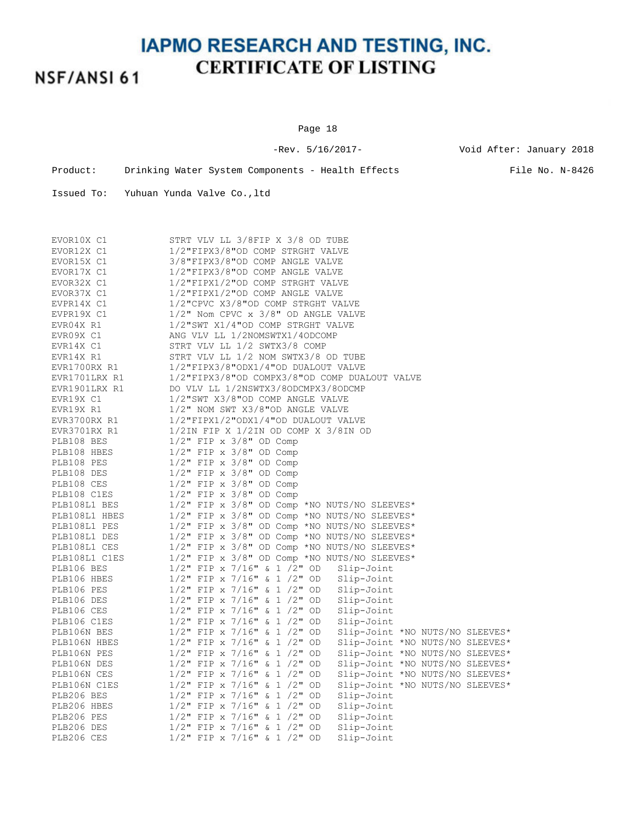NSF/ANSI 61

Page 18

-Rev. 5/16/2017- Void After: January 2018

| Product: |  | Drinking Water System Components - Health Effects |  | File No. N-8426 |
|----------|--|---------------------------------------------------|--|-----------------|
|----------|--|---------------------------------------------------|--|-----------------|

| EVOR10X C1    | STRT VLV LL 3/8FIP X 3/8 OD TUBE                                            |  |  |  |  |  |  |
|---------------|-----------------------------------------------------------------------------|--|--|--|--|--|--|
| EVOR12X C1    | 1/2"FIPX3/8"OD COMP STRGHT VALVE                                            |  |  |  |  |  |  |
| EVOR15X C1    | 3/8"FIPX3/8"OD COMP ANGLE VALVE                                             |  |  |  |  |  |  |
| EVOR17X C1    | 1/2"FIPX3/8"OD COMP ANGLE VALVE                                             |  |  |  |  |  |  |
| EVOR32X C1    | 1/2"FIPX1/2"OD COMP STRGHT VALVE                                            |  |  |  |  |  |  |
| EVOR37X C1    | 1/2"FIPX1/2"OD COMP ANGLE VALVE                                             |  |  |  |  |  |  |
| EVPR14X C1    | 1/2"CPVC X3/8"OD COMP STRGHT VALVE                                          |  |  |  |  |  |  |
| EVPR19X C1    | 1/2" Nom CPVC x 3/8" OD ANGLE VALVE                                         |  |  |  |  |  |  |
| EVR04X R1     | 1/2"SWT X1/4"OD COMP STRGHT VALVE                                           |  |  |  |  |  |  |
| EVR09X C1     | ANG VLV LL 1/2NOMSWTX1/4ODCOMP                                              |  |  |  |  |  |  |
| EVR14X C1     | STRT VLV LL 1/2 SWTX3/8 COMP                                                |  |  |  |  |  |  |
| EVR14X R1     | STRT VLV LL 1/2 NOM SWTX3/8 OD TUBE                                         |  |  |  |  |  |  |
| EVR1700RX R1  | 1/2"FIPX3/8"ODX1/4"OD DUALOUT VALVE                                         |  |  |  |  |  |  |
| EVR1701LRX R1 | 1/2"FIPX3/8"OD COMPX3/8"OD COMP DUALOUT VALVE                               |  |  |  |  |  |  |
| EVR1901LRX R1 | DO VLV LL 1/2NSWTX3/8ODCMPX3/8ODCMP                                         |  |  |  |  |  |  |
| EVR19X C1     | 1/2"SWT X3/8"OD COMP ANGLE VALVE                                            |  |  |  |  |  |  |
| EVR19X R1     | 1/2" NOM SWT X3/8"OD ANGLE VALVE                                            |  |  |  |  |  |  |
| EVR3700RX R1  | 1/2"FIPX1/2"ODX1/4"OD DUALOUT VALVE                                         |  |  |  |  |  |  |
| EVR3701RX R1  | $1/2$ IN FIP X $1/2$ IN OD COMP X $3/8$ IN OD                               |  |  |  |  |  |  |
| PLB108 BES    | $1/2$ " FIP x $3/8$ " OD Comp                                               |  |  |  |  |  |  |
| PLB108 HBES   | $1/2$ " FIP x $3/8$ " OD Comp                                               |  |  |  |  |  |  |
| PLB108 PES    | $1/2$ " FIP x $3/8$ " OD Comp                                               |  |  |  |  |  |  |
| PLB108 DES    | $1/2$ " FIP x $3/8$ " OD Comp                                               |  |  |  |  |  |  |
| PLB108 CES    | $1/2$ " FIP x $3/8$ " OD Comp                                               |  |  |  |  |  |  |
| PLB108 C1ES   | $1/2$ " FIP x $3/8$ " OD Comp                                               |  |  |  |  |  |  |
| PLB108L1 BES  | $1/2$ " FIP x 3/8" OD Comp *NO NUTS/NO SLEEVES*                             |  |  |  |  |  |  |
| PLB108L1 HBES | 1/2" FIP x 3/8" OD Comp *NO NUTS/NO SLEEVES*                                |  |  |  |  |  |  |
| PLB108L1 PES  | 1/2" FIP x 3/8" OD Comp *NO NUTS/NO SLEEVES*                                |  |  |  |  |  |  |
| PLB108L1 DES  | $1/2$ " FIP x 3/8" OD Comp *NO NUTS/NO SLEEVES*                             |  |  |  |  |  |  |
| PLB108L1 CES  | 1/2" FIP x 3/8" OD Comp *NO NUTS/NO SLEEVES*                                |  |  |  |  |  |  |
| PLB108L1 C1ES | 1/2" FIP x 3/8" OD Comp *NO NUTS/NO SLEEVES*                                |  |  |  |  |  |  |
| PLB106 BES    | $1/2$ " FIP x 7/16" & 1 /2" OD<br>Slip-Joint                                |  |  |  |  |  |  |
| PLB106 HBES   | $1/2$ " FIP x 7/16" & 1 /2" OD<br>Slip-Joint                                |  |  |  |  |  |  |
| PLB106 PES    | $1/2$ " FIP x 7/16" & 1 /2" OD<br>Slip-Joint                                |  |  |  |  |  |  |
| PLB106 DES    | $1/2$ " FIP x 7/16" & 1 /2" OD<br>Slip-Joint                                |  |  |  |  |  |  |
| PLB106 CES    | $1/2$ " FIP x 7/16" & 1 /2" OD<br>Slip-Joint                                |  |  |  |  |  |  |
| PLB106 C1ES   | $1/2$ " FIP x 7/16" & 1 /2" OD<br>Slip-Joint                                |  |  |  |  |  |  |
| PLB106N BES   | $1/2$ " FIP x 7/16" & 1 /2" OD<br>Slip-Joint *NO NUTS/NO SLEEVES*           |  |  |  |  |  |  |
| PLB106N HBES  | $1/2$ " FIP x 7/16" & 1 /2"<br>Slip-Joint *NO NUTS/NO SLEEVES*<br><b>OD</b> |  |  |  |  |  |  |
| PLB106N PES   | 1/2" FIP x 7/16" & 1 /2" OD<br>Slip-Joint *NO NUTS/NO SLEEVES*              |  |  |  |  |  |  |
| PLB106N DES   | $1/2$ " FIP x 7/16" & 1 /2" OD<br>Slip-Joint *NO NUTS/NO SLEEVES*           |  |  |  |  |  |  |
| PLB106N CES   | $1/2$ " FIP x 7/16" & 1 /2" OD<br>Slip-Joint *NO NUTS/NO SLEEVES*           |  |  |  |  |  |  |
| PLB106N C1ES  | $1/2$ " FIP x 7/16" & 1 /2" OD<br>Slip-Joint *NO NUTS/NO SLEEVES*           |  |  |  |  |  |  |
| PLB206 BES    | $1/2$ " FIP x 7/16" & 1 /2" OD<br>Slip-Joint                                |  |  |  |  |  |  |
| PLB206 HBES   | $1/2$ " FIP x 7/16" & 1 /2" OD<br>Slip-Joint                                |  |  |  |  |  |  |
| PLB206 PES    | $1/2$ " FIP x 7/16" & 1 /2" OD<br>Slip-Joint                                |  |  |  |  |  |  |
| PLB206 DES    | 1/2" FIP x 7/16" & 1 /2" OD<br>Slip-Joint                                   |  |  |  |  |  |  |
| PLB206 CES    | $1/2$ " FIP x 7/16" & 1 /2" OD<br>Slip-Joint                                |  |  |  |  |  |  |
|               |                                                                             |  |  |  |  |  |  |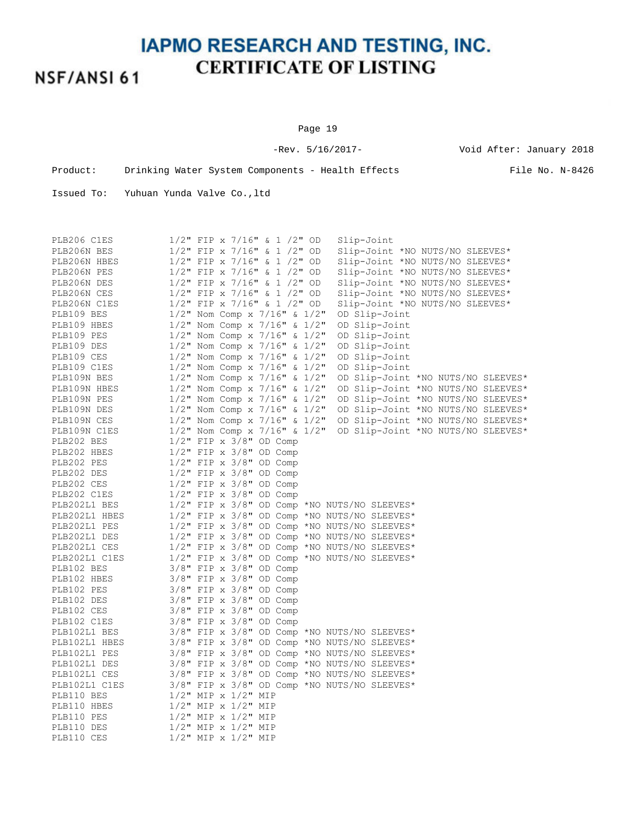Page 19

-Rev. 5/16/2017- Void After: January 2018

Product: Drinking Water System Components - Health Effects File No. N-8426

| PLB206 C1ES   |                               | $1/2$ " FIP x 7/16" & 1 /2" OD        | Slip-Joint                                      |
|---------------|-------------------------------|---------------------------------------|-------------------------------------------------|
| PLB206N BES   |                               | 1/2" FIP x 7/16" & 1 /2" OD           | Slip-Joint *NO NUTS/NO SLEEVES*                 |
| PLB206N HBES  |                               | $1/2$ " FIP x 7/16" & 1 /2" OD        | Slip-Joint *NO NUTS/NO SLEEVES*                 |
| PLB206N PES   |                               | 1/2" FIP x 7/16" & 1 /2" OD           | Slip-Joint *NO NUTS/NO SLEEVES*                 |
| PLB206N DES   |                               | 1/2" FIP x 7/16" & 1 /2" OD           | Slip-Joint *NO NUTS/NO SLEEVES*                 |
| PLB206N CES   |                               | $1/2$ " FIP x 7/16" & 1 /2" OD        | Slip-Joint *NO NUTS/NO SLEEVES*                 |
| PLB206N C1ES  |                               | $1/2$ " FIP x 7/16" & 1 /2" OD        | Slip-Joint *NO NUTS/NO SLEEVES*                 |
| PLB109 BES    |                               | $1/2$ " Nom Comp x 7/16" & $1/2$ "    | OD Slip-Joint                                   |
| PLB109 HBES   |                               | $1/2$ " Nom Comp x 7/16" & $1/2$ "    | OD Slip-Joint                                   |
| PLB109 PES    |                               | $1/2$ " Nom Comp x 7/16" & $1/2$ "    | OD Slip-Joint                                   |
| PLB109 DES    |                               | $1/2$ " Nom Comp x 7/16" & $1/2$ "    | OD Slip-Joint                                   |
| PLB109 CES    |                               | 1/2" Nom Comp x 7/16" & 1/2"          | OD Slip-Joint                                   |
| PLB109 C1ES   |                               | 1/2" Nom Comp x 7/16" & 1/2"          | OD Slip-Joint                                   |
| PLB109N BES   |                               | $1/2$ " Nom Comp x $7/16$ " & $1/2$ " | OD Slip-Joint *NO NUTS/NO SLEEVES*              |
| PLB109N HBES  |                               | $1/2$ " Nom Comp x 7/16" & $1/2$ "    | OD Slip-Joint *NO NUTS/NO SLEEVES*              |
| PLB109N PES   |                               | $1/2$ " Nom Comp x 7/16" & $1/2$ "    | OD Slip-Joint *NO NUTS/NO SLEEVES*              |
| PLB109N DES   |                               | $1/2$ " Nom Comp x 7/16" & $1/2$ "    | OD Slip-Joint *NO NUTS/NO SLEEVES*              |
| PLB109N CES   |                               | $1/2$ " Nom Comp x 7/16" & $1/2$ "    | OD Slip-Joint *NO NUTS/NO SLEEVES*              |
| PLB109N C1ES  |                               | $1/2$ " Nom Comp x 7/16" & $1/2$ "    | OD Slip-Joint *NO NUTS/NO SLEEVES*              |
| PLB202 BES    | $1/2$ " FIP x $3/8$ " OD Comp |                                       |                                                 |
| PLB202 HBES   | $1/2$ " FIP x $3/8$ " OD Comp |                                       |                                                 |
| PLB202 PES    | $1/2$ " FIP x $3/8$ " OD Comp |                                       |                                                 |
| PLB202 DES    | 1/2" FIP x 3/8" OD Comp       |                                       |                                                 |
| PLB202 CES    | $1/2$ " FIP x $3/8$ " OD Comp |                                       |                                                 |
| PLB202 C1ES   | 1/2" FIP x 3/8" OD Comp       |                                       |                                                 |
| PLB202L1 BES  |                               |                                       | 1/2" FIP x 3/8" OD Comp *NO NUTS/NO SLEEVES*    |
| PLB202L1 HBES |                               |                                       | $1/2$ " FIP x 3/8" OD Comp *NO NUTS/NO SLEEVES* |
| PLB202L1 PES  |                               |                                       | $1/2$ " FIP x 3/8" OD Comp *NO NUTS/NO SLEEVES* |
| PLB202L1 DES  |                               |                                       | 1/2" FIP x 3/8" OD Comp *NO NUTS/NO SLEEVES*    |
| PLB202L1 CES  |                               |                                       | 1/2" FIP x 3/8" OD Comp *NO NUTS/NO SLEEVES*    |
| PLB202L1 C1ES |                               |                                       | 1/2" FIP x 3/8" OD Comp *NO NUTS/NO SLEEVES*    |
| PLB102 BES    | $3/8"$ FIP x $3/8"$ OD Comp   |                                       |                                                 |
| PLB102 HBES   | 3/8" FIP x 3/8" OD Comp       |                                       |                                                 |
| PLB102 PES    | $3/8"$ FIP x $3/8"$ OD Comp   |                                       |                                                 |
| PLB102 DES    | $3/8"$ FIP x $3/8"$ OD Comp   |                                       |                                                 |
| PLB102 CES    | 3/8" FIP x 3/8" OD Comp       |                                       |                                                 |
| PLB102 C1ES   | 3/8" FIP x 3/8" OD Comp       |                                       |                                                 |
| PLB102L1 BES  |                               |                                       | 3/8" FIP x 3/8" OD Comp *NO NUTS/NO SLEEVES*    |
| PLB102L1 HBES |                               |                                       | 3/8" FIP x 3/8" OD Comp *NO NUTS/NO SLEEVES*    |
| PLB102L1 PES  |                               |                                       | 3/8" FIP x 3/8" OD Comp *NO NUTS/NO SLEEVES*    |
| PLB102L1 DES  |                               |                                       | 3/8" FIP x 3/8" OD Comp *NO NUTS/NO SLEEVES*    |
| PLB102L1 CES  |                               |                                       | 3/8" FIP x 3/8" OD Comp *NO NUTS/NO SLEEVES*    |
| PLB102L1 C1ES |                               |                                       | 3/8" FIP x 3/8" OD Comp *NO NUTS/NO SLEEVES*    |
| PLB110 BES    | $1/2$ " MIP x $1/2$ " MIP     |                                       |                                                 |
| PLB110 HBES   | $1/2$ " MIP x $1/2$ " MIP     |                                       |                                                 |
| PLB110 PES    | $1/2$ " MIP x $1/2$ " MIP     |                                       |                                                 |
| PLB110 DES    | $1/2$ " MIP x $1/2$ " MIP     |                                       |                                                 |
| PLB110 CES    | $1/2$ " MIP x $1/2$ " MIP     |                                       |                                                 |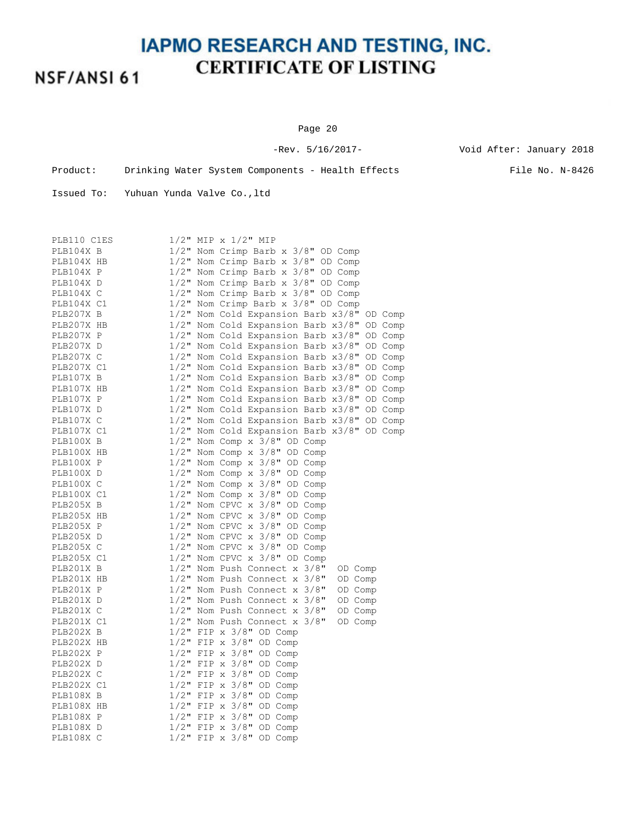NSF/ANSI 61

Page 20

-Rev. 5/16/2017- Void After: January 2018

Product: Drinking Water System Components - Health Effects File No. N-8426

| PLB110 C1ES |                 | 1/2" MIP x 1/2" MIP                           |
|-------------|-----------------|-----------------------------------------------|
| PLB104X B   |                 | $1/2$ " Nom Crimp Barb x $3/8$ " OD Comp      |
| PLB104X HB  |                 | $1/2$ " Nom Crimp Barb x $3/8$ " OD Comp      |
| PLB104X P   |                 | 1/2" Nom Crimp Barb x 3/8" OD Comp            |
| PLB104X D   | $1/2$ "         | Nom Crimp Barb x 3/8" OD Comp                 |
| PLB104X C   |                 | 1/2" Nom Crimp Barb x 3/8" OD Comp            |
| PLB104X C1  |                 | 1/2" Nom Crimp Barb x 3/8" OD Comp            |
| PLB207X B   | $1/2$ "         | Nom Cold Expansion Barb x3/8" OD Comp         |
| PLB207X HB  |                 | 1/2" Nom Cold Expansion Barb x3/8" OD Comp    |
| PLB207X P   |                 | 1/2" Nom Cold Expansion Barb x3/8"<br>OD Comp |
| PLB207X D   |                 | 1/2" Nom Cold Expansion Barb x3/8"<br>OD Comp |
| PLB207X C   | $1/2$ "         | Nom Cold Expansion Barb x3/8"<br>OD Comp      |
| PLB207X C1  |                 | 1/2" Nom Cold Expansion Barb x3/8"<br>OD Comp |
| PLB107X B   | $1/2$ "         | Nom Cold Expansion Barb x3/8"<br>OD Comp      |
| PLB107X HB  |                 | 1/2" Nom Cold Expansion Barb x3/8"<br>OD Comp |
| PLB107X P   |                 | 1/2" Nom Cold Expansion Barb x3/8"<br>OD Comp |
| PLB107X D   |                 | 1/2" Nom Cold Expansion Barb x3/8"<br>OD Comp |
| PLB107X C   |                 | 1/2" Nom Cold Expansion Barb x3/8" OD Comp    |
| PLB107X C1  | $1/2$ "         | Nom Cold Expansion Barb x3/8" OD Comp         |
| PLB100X B   |                 | $1/2$ " Nom Comp x $3/8$ " OD Comp            |
| PLB100X HB  | $1/2$ "         | Nom Comp $x$ 3/8" OD Comp                     |
| PLB100X P   | $1/2$ "         | Nom Comp $x$ 3/8" OD Comp                     |
| PLB100X D   | $1/2$ "         | Nom Comp $x$ 3/8" OD Comp                     |
| PLB100X C   | $1/2$ "         | Nom Comp x 3/8" OD Comp                       |
| PLB100X C1  |                 | 1/2" Nom Comp x 3/8" OD Comp                  |
| PLB205X B   | $1/2$ "         | Nom CPVC x 3/8" OD Comp                       |
| PLB205X HB  |                 | 1/2" Nom CPVC x 3/8" OD Comp                  |
| PLB205X P   | $1/2$ "         | Nom CPVC $x$ 3/8" OD Comp                     |
| PLB205X D   | $1/2$ "         | Nom CPVC x 3/8" OD Comp                       |
| PLB205X C   | $1/2$ "         | Nom CPVC x 3/8" OD Comp                       |
| PLB205X C1  |                 | $1/2$ " Nom CPVC x $3/8$ " OD Comp            |
| PLB201X B   |                 | $1/2$ " Nom Push Connect x $3/8$ "<br>OD Comp |
| PLB201X HB  |                 | 1/2" Nom Push Connect x 3/8"<br>OD Comp       |
| PLB201X P   |                 | $1/2$ " Nom Push Connect x $3/8$ "<br>OD Comp |
| PLB201X D   |                 | $1/2$ " Nom Push Connect x $3/8$ "<br>OD Comp |
| PLB201X C   |                 | 1/2" Nom Push Connect x 3/8"<br>OD Comp       |
| PLB201X C1  |                 | 1/2" Nom Push Connect x 3/8"<br>OD Comp       |
| PLB202X B   | $1/2$ "         | FIP $\times$ 3/8" OD Comp                     |
| PLB202X HB  | $1/2$ "         | FIP $\times$ 3/8" OD Comp                     |
| PLB202X P   | $1/2$ "         | FIP x 3/8" OD Comp                            |
| PLB202X D   | $1/2$ "         | FIP x 3/8" OD Comp                            |
| PLB202X C   | $1/2$ "         | FIP $\times$ 3/8"<br>OD Comp                  |
| PLB202X C1  | $1/2$ "         | FIP x 3/8" OD Comp                            |
| PLB108X B   | $1/2$ "         | FIP $\times$ 3/8"<br>OD Comp                  |
| PLB108X HB  | $1/2$ "         | FIP $\times$ 3/8"<br>OD Comp                  |
| PLB108X P   | $1/2$ "         | FIP $\times$ 3/8"<br>OD Comp                  |
| PLB108X D   |                 | $1/2$ " FIP x $3/8$ "<br>OD Comp              |
|             | $1/2$ " FIP $x$ | $3/8$ " OD Comp                               |
| PLB108X C   |                 |                                               |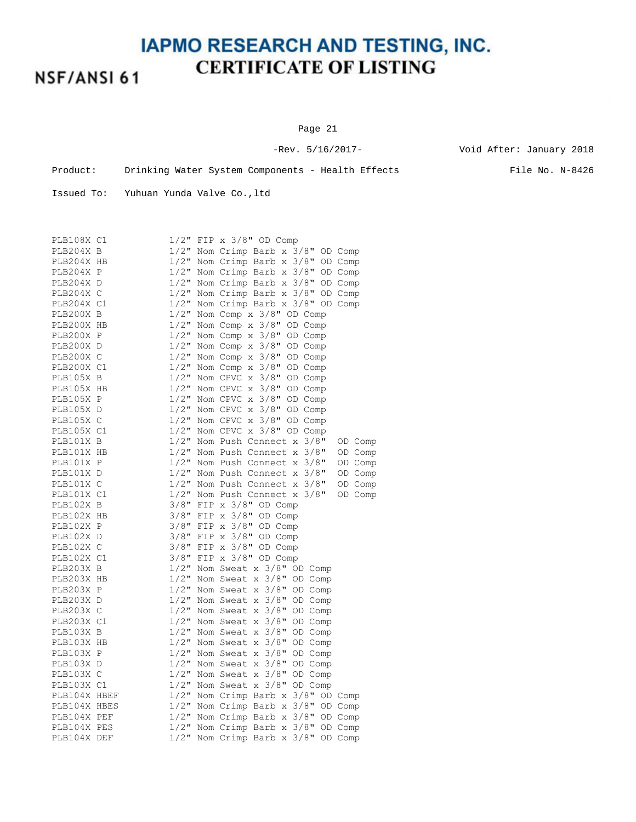Page 21

-Rev. 5/16/2017- Void After: January 2018

Product: Drinking Water System Components - Health Effects File No. N-8426

| PLB108X C1   |         | $1/2$ " FIP x $3/8$ " OD Comp                 |
|--------------|---------|-----------------------------------------------|
| PLB204X B    |         | 1/2" Nom Crimp Barb x 3/8" OD Comp            |
| PLB204X HB   |         | 1/2" Nom Crimp Barb x 3/8" OD Comp            |
| PLB204X P    | $1/2$ " | Nom Crimp Barb x 3/8" OD Comp                 |
| PLB204X D    |         | 1/2" Nom Crimp Barb x 3/8" OD Comp            |
| PLB204X C    | $1/2$ " | Nom Crimp Barb x 3/8" OD Comp                 |
| PLB204X C1   |         | 1/2" Nom Crimp Barb x 3/8" OD Comp            |
| PLB200X B    | $1/2$ " | Nom Comp x 3/8" OD Comp                       |
| PLB200X HB   | $1/2$ " | Nom Comp x 3/8" OD Comp                       |
| PLB200X P    | $1/2$ " | Nom Comp $x$ 3/8" OD Comp                     |
| PLB200X D    | $1/2$ " | Nom Comp $x = 3/8$ " OD Comp                  |
| PLB200X C    | $1/2$ " | Nom Comp x 3/8" OD Comp                       |
| PLB200X C1   | $1/2$ " | Nom Comp x 3/8" OD Comp                       |
| PLB105X B    | $1/2$ " | Nom CPVC $x$ 3/8" OD Comp                     |
| PLB105X HB   | $1/2$ " | Nom CPVC x 3/8" OD Comp                       |
| PLB105X P    | $1/2$ " | Nom CPVC x 3/8" OD Comp                       |
| PLB105X D    | $1/2$ " | Nom CPVC x 3/8" OD Comp                       |
| PLB105X C    | $1/2$ " | Nom CPVC x 3/8" OD Comp                       |
| PLB105X C1   | $1/2$ " | Nom CPVC x 3/8" OD Comp                       |
| PLB101X B    | $1/2$ " | Nom Push Connect x 3/8"<br>OD Comp            |
| PLB101X HB   | $1/2$ " | Nom Push Connect x 3/8"<br>OD Comp            |
| PLB101X P    | $1/2$ " | Nom Push Connect x 3/8"<br>OD Comp            |
| PLB101X D    |         | $1/2$ " Nom Push Connect x $3/8$ "<br>OD Comp |
| PLB101X C    | $1/2$ " | Nom Push Connect x 3/8"<br>OD Comp            |
| PLB101X C1   | $1/2$ " | Nom Push Connect x 3/8"<br>OD Comp            |
| PLB102X B    | $3/8$ " | FIP $x$ 3/8" OD Comp                          |
| PLB102X HB   | $3/8$ " | FIP $\times$ 3/8"<br>OD Comp                  |
| PLB102X P    | $3/8$ " | FIP $\times$ 3/8"<br>OD Comp                  |
| PLB102X D    | $3/8$ " | FIP $\times$ 3/8"<br>OD Comp                  |
| PLB102X C    | $3/8$ " | FIP $\times$ 3/8" OD Comp                     |
| PLB102X C1   | $3/8$ " | FIP x 3/8" OD Comp                            |
| PLB203X B    | $1/2$ " | Nom Sweat x 3/8" OD Comp                      |
| PLB203X HB   | $1/2$ " | Nom Sweat x 3/8" OD Comp                      |
| PLB203X P    | $1/2$ " | Nom Sweat x 3/8" OD Comp                      |
| PLB203X D    | $1/2$ " | Nom Sweat x 3/8" OD Comp                      |
| PLB203X C    | $1/2$ " | Nom Sweat x 3/8"<br>OD Comp                   |
| PLB203X C1   | $1/2$ " | Nom Sweat $x$ 3/8"<br>OD Comp                 |
| PLB103X B    | $1/2$ " | Nom Sweat $x$ 3/8"<br>OD Comp                 |
| PLB103X HB   | $1/2$ " | Nom Sweat x 3/8"<br>OD Comp                   |
| PLB103X P    | $1/2$ " | Nom Sweat $x$ 3/8"<br>OD Comp                 |
| PLB103X D    | $1/2$ " | Nom Sweat $x$ 3/8"<br>OD Comp                 |
| PLB103X C    | $1/2$ " | Nom Sweat $x$ 3/8"<br>OD Comp                 |
| PLB103X C1   | $1/2$ " | Nom Sweat $x$ 3/8"<br>OD Comp                 |
| PLB104X HBEF | $1/2$ " | Nom Crimp Barb x 3/8" OD Comp                 |
| PLB104X HBES | $1/2$ " | Nom Crimp Barb x 3/8" OD Comp                 |
| PLB104X PEF  | $1/2$ " | Nom Crimp Barb x 3/8" OD Comp                 |
| PLB104X PES  | $1/2$ " | Nom Crimp Barb x 3/8" OD Comp                 |
| PLB104X DEF  |         | 1/2" Nom Crimp Barb x 3/8" OD Comp            |
|              |         |                                               |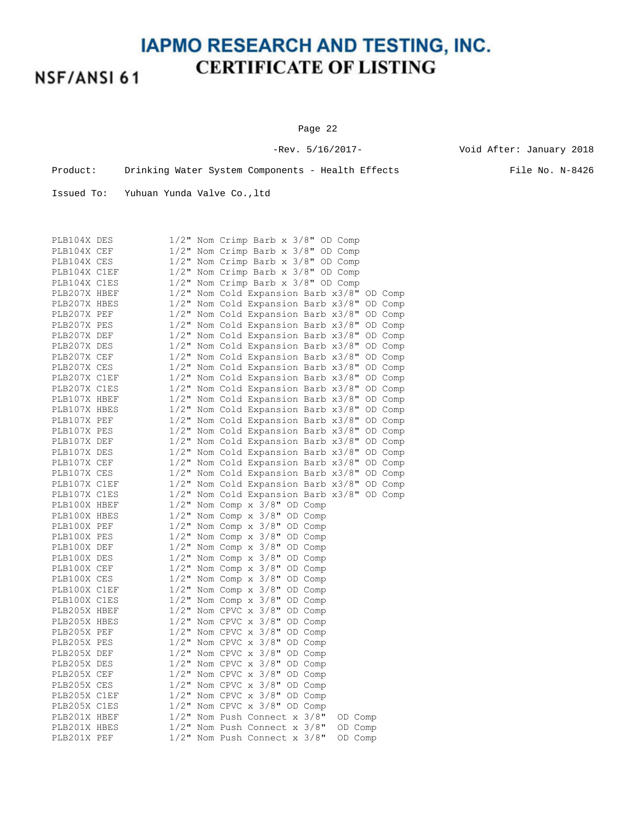NSF/ANSI 61

Page 22

-Rev. 5/16/2017- Void After: January 2018

Product: Drinking Water System Components - Health Effects File No. N-8426

| PLB104X DES  |         |  | 1/2" Nom Crimp Barb x 3/8" OD Comp                                  |         |         |         |
|--------------|---------|--|---------------------------------------------------------------------|---------|---------|---------|
| PLB104X CEF  |         |  | 1/2" Nom Crimp Barb x 3/8" OD Comp                                  |         |         |         |
| PLB104X CES  | $1/2$ " |  | Nom Crimp Barb x 3/8" OD Comp                                       |         |         |         |
| PLB104X C1EF |         |  | 1/2" Nom Crimp Barb x 3/8" OD Comp                                  |         |         |         |
| PLB104X C1ES | $1/2$ " |  | Nom Crimp Barb x 3/8" OD Comp                                       |         |         |         |
| PLB207X HBEF |         |  | 1/2" Nom Cold Expansion Barb x3/8" OD Comp                          |         |         |         |
| PLB207X HBES | $1/2$ " |  | Nom Cold Expansion Barb x3/8"                                       |         |         | OD Comp |
| PLB207X PEF  | $1/2$ " |  | Nom Cold Expansion Barb x3/8"                                       |         |         | OD Comp |
| PLB207X PES  |         |  | 1/2" Nom Cold Expansion Barb x3/8" OD Comp                          |         |         |         |
| PLB207X DEF  | $1/2$ " |  | Nom Cold Expansion Barb x3/8"                                       |         |         | OD Comp |
| PLB207X DES  |         |  | 1/2" Nom Cold Expansion Barb x3/8"                                  |         |         | OD Comp |
| PLB207X CEF  | $1/2$ " |  | Nom Cold Expansion Barb x3/8"                                       |         |         | OD Comp |
| PLB207X CES  |         |  | 1/2" Nom Cold Expansion Barb x3/8"                                  |         |         | OD Comp |
| PLB207X C1EF | $1/2$ " |  | Nom Cold Expansion Barb x3/8"                                       |         |         | OD Comp |
| PLB207X C1ES | $1/2$ " |  | Nom Cold Expansion Barb x3/8"                                       |         |         | OD Comp |
| PLB107X HBEF |         |  | 1/2" Nom Cold Expansion Barb x3/8"                                  |         |         | OD Comp |
| PLB107X HBES |         |  | 1/2" Nom Cold Expansion Barb x3/8"                                  |         |         | OD Comp |
| PLB107X PEF  |         |  | 1/2" Nom Cold Expansion Barb x3/8"                                  |         |         | OD Comp |
| PLB107X PES  | $1/2$ " |  |                                                                     |         |         |         |
| PLB107X DEF  |         |  | Nom Cold Expansion Barb x3/8"<br>1/2" Nom Cold Expansion Barb x3/8" |         |         | OD Comp |
|              | $1/2$ " |  |                                                                     |         |         | OD Comp |
| PLB107X DES  |         |  | Nom Cold Expansion Barb x3/8"                                       |         |         | OD Comp |
| PLB107X CEF  |         |  | 1/2" Nom Cold Expansion Barb x3/8"                                  |         |         | OD Comp |
| PLB107X CES  | $1/2$ " |  | Nom Cold Expansion Barb x3/8"                                       |         |         | OD Comp |
| PLB107X C1EF | $1/2$ " |  | Nom Cold Expansion Barb x3/8"                                       |         |         | OD Comp |
| PLB107X C1ES |         |  | 1/2" Nom Cold Expansion Barb x3/8" OD Comp                          |         |         |         |
| PLB100X HBEF | $1/2$ " |  | Nom Comp x 3/8" OD Comp                                             |         |         |         |
| PLB100X HBES |         |  | $1/2$ " Nom Comp x $3/8$ " OD Comp                                  |         |         |         |
| PLB100X PEF  | $1/2$ " |  | Nom Comp $x = 3/8$ " OD Comp                                        |         |         |         |
| PLB100X PES  | $1/2$ " |  | Nom Comp $x = 3/8$ " OD Comp                                        |         |         |         |
| PLB100X DEF  | $1/2$ " |  | Nom Comp x 3/8" OD Comp                                             |         |         |         |
| PLB100X DES  | $1/2$ " |  | Nom Comp $x$ 3/8" OD Comp                                           |         |         |         |
| PLB100X CEF  | $1/2$ " |  | Nom Comp x 3/8" OD Comp                                             |         |         |         |
| PLB100X CES  | $1/2$ " |  | Nom Comp $x = 3/8$ " OD Comp                                        |         |         |         |
| PLB100X C1EF |         |  | $1/2$ " Nom Comp x $3/8$ " OD Comp                                  |         |         |         |
| PLB100X C1ES | $1/2$ " |  | Nom Comp $\times$ 3/8"                                              | OD Comp |         |         |
| PLB205X HBEF | $1/2$ " |  | Nom CPVC $\times$ 3/8"                                              | OD Comp |         |         |
| PLB205X HBES | $1/2$ " |  | Nom CPVC $\times$ 3/8"                                              | OD Comp |         |         |
| PLB205X PEF  | $1/2$ " |  | Nom CPVC $\times$ 3/8"                                              | OD Comp |         |         |
| PLB205X PES  | $1/2$ " |  | Nom CPVC x 3/8" OD Comp                                             |         |         |         |
| PLB205X DEF  | $1/2$ " |  | Nom CPVC $\times$ 3/8"                                              | OD Comp |         |         |
| PLB205X DES  |         |  | $1/2$ " Nom CPVC $\times$ 3/8"                                      | OD Comp |         |         |
| PLB205X CEF  | $1/2$ " |  | Nom CPVC $\times$ 3/8"                                              | OD Comp |         |         |
| PLB205X CES  | $1/2$ " |  | Nom CPVC $\times$ 3/8"                                              | OD Comp |         |         |
| PLB205X C1EF | $1/2$ " |  | Nom CPVC $\times$ 3/8"                                              | OD Comp |         |         |
| PLB205X C1ES | $1/2$ " |  | Nom CPVC x 3/8" OD Comp                                             |         |         |         |
| PLB201X HBEF |         |  | 1/2" Nom Push Connect x 3/8"                                        |         | OD Comp |         |
| PLB201X HBES |         |  | 1/2" Nom Push Connect x 3/8"                                        |         | OD Comp |         |
| PLB201X PEF  |         |  | 1/2" Nom Push Connect x 3/8"                                        |         | OD Comp |         |
|              |         |  |                                                                     |         |         |         |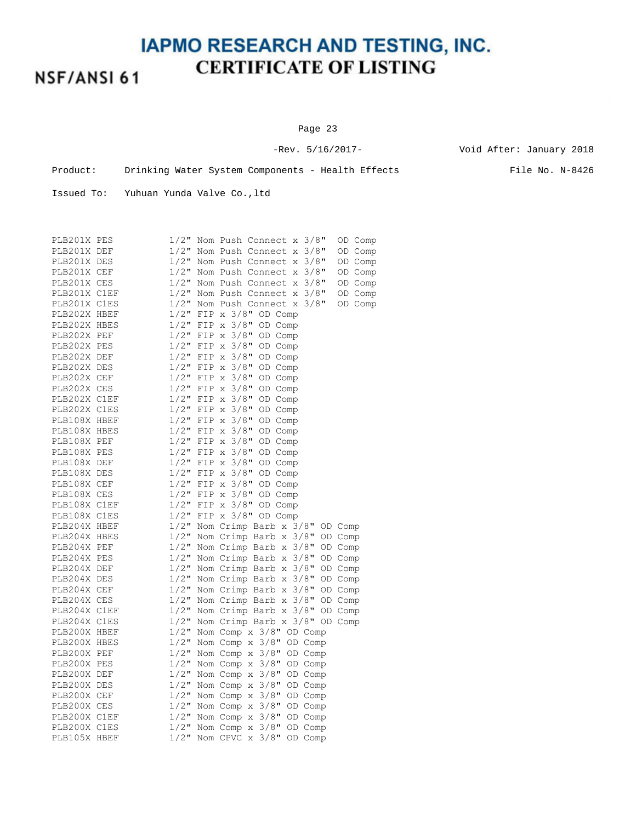Page 23

-Rev. 5/16/2017- Void After: January 2018

Product: Drinking Water System Components - Health Effects File No. N-8426

| PLB201X PES  |         | 1/2" Nom Push Connect x 3/8"<br>OD Comp |
|--------------|---------|-----------------------------------------|
| PLB201X DEF  | $1/2$ " | Nom Push Connect x 3/8"<br>OD Comp      |
| PLB201X DES  | $1/2$ " | Nom Push Connect x 3/8"<br>OD Comp      |
| PLB201X CEF  | $1/2$ " | Nom Push Connect x 3/8"<br>OD Comp      |
| PLB201X CES  | $1/2$ " | Nom Push Connect x 3/8"<br>OD Comp      |
| PLB201X C1EF | $1/2$ " | Nom Push Connect $x$ 3/8"<br>OD Comp    |
| PLB201X C1ES | $1/2$ " | Nom Push Connect x 3/8"<br>OD Comp      |
| PLB202X HBEF | $1/2$ " | FIP x 3/8" OD Comp                      |
| PLB202X HBES | $1/2$ " | FIP $\times$ 3/8"<br>OD Comp            |
| PLB202X PEF  | $1/2$ " | FIP $\times$ 3/8"<br>OD Comp            |
| PLB202X PES  | $1/2$ " | FIP $\times$ 3/8"<br>OD Comp            |
| PLB202X DEF  | $1/2$ " | FIP $\times$ 3/8"<br>OD Comp            |
| PLB202X DES  | $1/2$ " | FIP $\times$ 3/8"<br>OD Comp            |
| PLB202X CEF  | $1/2$ " | FIP $\times$ 3/8"<br>OD Comp            |
| PLB202X CES  | $1/2$ " | FIP $\times$ 3/8"<br>OD Comp            |
| PLB202X C1EF | $1/2$ " | FIP $\times$ 3/8"<br>OD Comp            |
| PLB202X C1ES | $1/2$ " | FIP $\times$ 3/8"<br>OD Comp            |
| PLB108X HBEF | $1/2$ " | FIP $\times$ 3/8"<br>OD Comp            |
| PLB108X HBES | $1/2$ " | FIP $\times$ 3/8"<br>OD Comp            |
| PLB108X PEF  | $1/2$ " | FIP $\times$ 3/8"<br>OD Comp            |
| PLB108X PES  | $1/2$ " | FIP $\times$ 3/8"<br>OD Comp            |
| PLB108X DEF  | $1/2$ " | FIP $\times$ 3/8"<br>OD Comp            |
| PLB108X DES  | $1/2$ " | FIP $\times$ 3/8"<br>OD Comp            |
| PLB108X CEF  | $1/2$ " | FIP $\times$ 3/8"<br>OD Comp            |
| PLB108X CES  | $1/2$ " | FIP $\times$ 3/8"<br>OD Comp            |
| PLB108X C1EF | $1/2$ " | FIP $\times$ 3/8"<br>OD Comp            |
| PLB108X C1ES | $1/2$ " | FIP $\times$ 3/8" OD Comp               |
| PLB204X HBEF | $1/2$ " | Nom Crimp Barb x 3/8" OD Comp           |
| PLB204X HBES | $1/2$ " | Nom Crimp Barb x 3/8" OD Comp           |
| PLB204X PEF  | $1/2$ " | Nom Crimp Barb x 3/8" OD Comp           |
| PLB204X PES  | $1/2$ " | Nom Crimp Barb x 3/8"<br>OD Comp        |
| PLB204X DEF  | $1/2$ " | Nom Crimp Barb x 3/8" OD Comp           |
| PLB204X DES  | $1/2$ " | Nom Crimp Barb x 3/8"<br>OD Comp        |
| PLB204X CEF  | $1/2$ " | Nom Crimp Barb x 3/8" OD Comp           |
| PLB204X CES  | $1/2$ " | Nom Crimp Barb x 3/8" OD Comp           |
| PLB204X C1EF | $1/2$ " | Nom Crimp Barb x 3/8"<br>OD Comp        |
| PLB204X C1ES | $1/2$ " | Nom Crimp Barb x 3/8" OD Comp           |
| PLB200X HBEF | $1/2$ " | Nom Comp $x$ 3/8" OD Comp               |
| PLB200X HBES | $1/2$ " | Nom Comp x 3/8" OD Comp                 |
| PLB200X PEF  | $1/2$ " | Nom Comp x 3/8" OD Comp                 |
| PLB200X PES  | $1/2$ " | Nom Comp $\times$ 3/8" OD Comp          |
| PLB200X DEF  | $1/2$ " | Nom Comp $x$ 3/8" OD Comp               |
| PLB200X DES  | $1/2$ " | Nom Comp x 3/8" OD Comp                 |
| PLB200X CEF  | $1/2$ " | Nom Comp $x = 3/8$ " OD Comp            |
| PLB200X CES  | $1/2$ " | Nom Comp $\times$ 3/8"<br>OD Comp       |
| PLB200X C1EF | $1/2$ " | Nom Comp x 3/8" OD Comp                 |
| PLB200X C1ES | $1/2$ " | Nom Comp $\times$ 3/8"<br>OD Comp       |
| PLB105X HBEF | $1/2$ " | Nom CPVC x 3/8" OD Comp                 |
|              |         |                                         |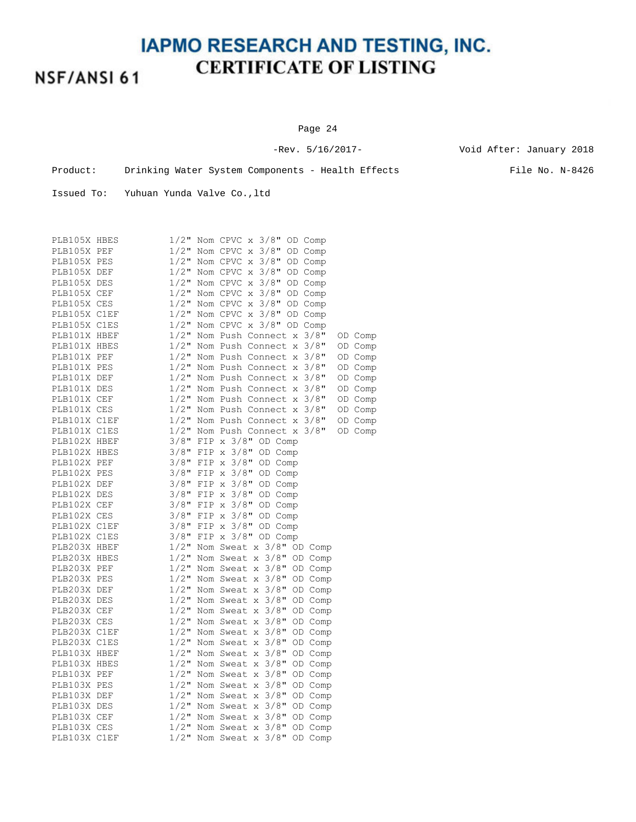Page 24

-Rev. 5/16/2017- Void After: January 2018

Product: Drinking Water System Components - Health Effects File No. N-8426

| PLB105X HBES | $1/2$ " |                | Nom CPVC $x$ 3/8"<br>OD Comp                                 |
|--------------|---------|----------------|--------------------------------------------------------------|
| PLB105X PEF  | $1/2$ " |                | $3/8$ "<br>Nom CPVC x<br>OD Comp                             |
| PLB105X PES  | $1/2$ " |                | Nom CPVC x<br>$3/8$ "<br>OD Comp                             |
| PLB105X DEF  | $1/2$ " |                | Nom CPVC x<br>$3/8$ "<br>OD Comp                             |
| PLB105X DES  | $1/2$ " |                | Nom CPVC x<br>$3/8$ "<br>OD Comp                             |
| PLB105X CEF  | $1/2$ " |                | Nom CPVC x<br>$3/8$ "<br>OD Comp                             |
| PLB105X CES  | $1/2$ " |                | Nom CPVC x<br>$3/8$ "<br>OD Comp                             |
| PLB105X C1EF | $1/2$ " |                | Nom CPVC $\times$ 3/8"<br>OD Comp                            |
| PLB105X C1ES | $1/2$ " |                | Nom CPVC $\times$ 3/8"<br>OD Comp                            |
| PLB101X HBEF | $1/2$ " |                | Nom Push Connect x<br>$3/8$ "<br>OD Comp                     |
| PLB101X HBES | $1/2$ " |                | Nom Push Connect x<br>$3/8$ "<br>OD Comp                     |
| PLB101X PEF  | $1/2$ " |                | Nom Push Connect x<br>$3/8$ "<br>OD Comp                     |
| PLB101X PES  | $1/2$ " |                | Nom Push Connect x<br>$3/8$ "<br>OD Comp                     |
| PLB101X DEF  | $1/2$ " |                | Nom Push Connect x<br>$3/8$ "<br>OD Comp                     |
| PLB101X DES  | $1/2$ " |                | Nom Push Connect x 3/8"<br>OD Comp                           |
| PLB101X CEF  | $1/2$ " |                | Nom Push Connect x 3/8"<br>OD Comp                           |
| PLB101X CES  | $1/2$ " |                | Nom Push Connect x 3/8"<br>OD Comp                           |
| PLB101X C1EF | $1/2$ " |                | Nom Push Connect x 3/8"<br>OD Comp                           |
| PLB101X C1ES | $1/2$ " |                | Nom Push Connect x 3/8"<br>OD Comp                           |
| PLB102X HBEF | $3/8$ " |                | FIP $x$ 3/8"<br>OD Comp                                      |
| PLB102X HBES | $3/8$ " | FIP x          | $3/8$ "<br>OD Comp                                           |
| PLB102X PEF  | $3/8$ " | FIP x          | $3/8$ "<br>OD Comp                                           |
| PLB102X PES  | $3/8$ " | FIP            | $3/8$ "<br>OD Comp<br>$\mathbf{x}$                           |
| PLB102X DEF  | $3/8$ " | FIP x          | $3/8$ "<br>OD Comp                                           |
| PLB102X DES  | $3/8$ " | FIP x          | $3/8$ "<br>OD Comp                                           |
| PLB102X CEF  | $3/8$ " | FIP x          | $3/8$ "<br>OD Comp                                           |
| PLB102X CES  | $3/8$ " | ${\tt FIP\_x}$ | $3/8$ "<br>OD Comp                                           |
| PLB102X C1EF | $3/8$ " | FIP x          | $3/8$ "<br>OD Comp                                           |
| PLB102X C1ES | $3/8$ " |                | FIP $\times$ 3/8"<br>OD Comp                                 |
| PLB203X HBEF | $1/2$ " |                | Nom Sweat $x$ 3/8"<br>OD Comp                                |
| PLB203X HBES | $1/2$ " |                | $3/8$ "<br>Nom Sweat x<br>OD Comp                            |
| PLB203X PEF  | $1/2$ " |                | $3/8$ "<br>Nom Sweat x<br>OD Comp                            |
| PLB203X PES  | $1/2$ " |                | $3/8$ "<br>Nom Sweat x<br>OD Comp                            |
| PLB203X DEF  | $1/2$ " |                | Nom Sweat x<br>$3/8$ "<br>OD Comp                            |
| PLB203X DES  | $1/2$ " |                | $3/8$ "<br>Nom Sweat x<br>OD Comp                            |
| PLB203X CEF  | $1/2$ " |                | $3/8$ "<br>Nom Sweat x<br>OD Comp                            |
| PLB203X CES  | $1/2$ " |                | $3/8$ "<br>Nom Sweat x<br>OD Comp                            |
| PLB203X C1EF | $1/2$ " |                | $3/8$ "<br>OD Comp<br>Nom Sweat x                            |
| PLB203X C1ES | $1/2$ " |                | Nom Sweat x<br>$3/8$ "<br>OD Comp                            |
| PLB103X HBEF | $1/2$ " |                | $3/8$ "<br>Nom Sweat x<br>OD Comp                            |
| PLB103X HBES | $1/2$ " |                | $3/8$ "<br>Nom Sweat x<br>OD Comp                            |
| PLB103X PEF  | $1/2$ " |                | $3/8$ "<br>Nom Sweat x<br>OD Comp                            |
| PLB103X PES  | $1/2$ " |                | Nom Sweat x<br>$3/8$ "<br>OD Comp                            |
| PLB103X DEF  | $1/2$ " |                | $3/8$ "<br>Nom Sweat x<br>OD Comp                            |
| PLB103X DES  | $1/2$ " |                | $3/8$ "<br>Nom Sweat x<br>OD Comp                            |
| PLB103X CEF  | $1/2$ " |                | $3/8$ "<br>Nom Sweat<br>OD Comp<br>$\boldsymbol{\mathsf{X}}$ |
| PLB103X CES  | $1/2$ " |                | Nom Sweat x<br>$3/8$ "<br>OD Comp                            |
| PLB103X C1EF | $1/2$ " |                | $3/8$ "<br>Nom Sweat<br>OD Comp<br>$\mathbf x$               |
|              |         |                |                                                              |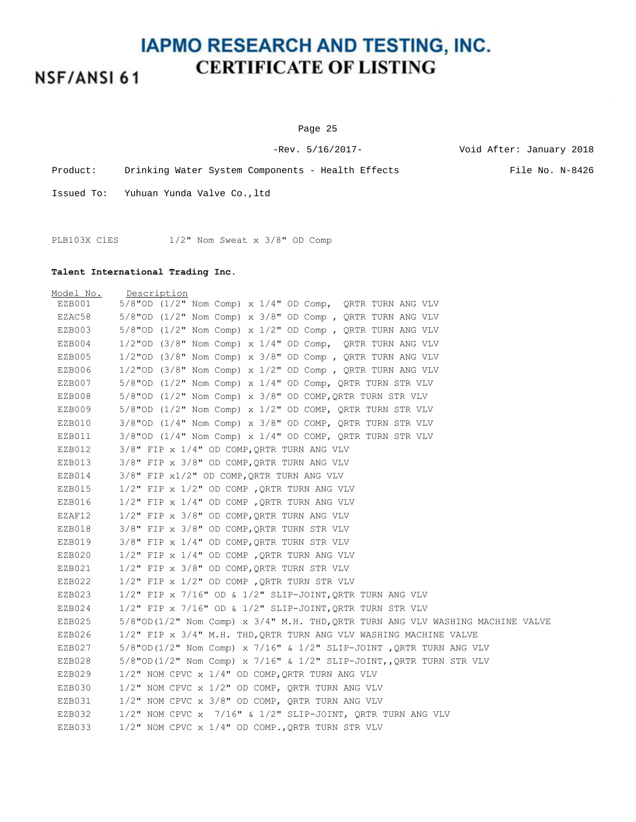NSF/ANSI 61

Page 25

-Rev. 5/16/2017- Void After: January 2018

Product: Drinking Water System Components - Health Effects File No. N-8426

Issued To: Yuhuan Yunda Valve Co.,ltd

PLB103X C1ES 1/2" Nom Sweat x 3/8" OD Comp

#### **Talent International Trading Inc.**

| Model No. | Description                                                                              |
|-----------|------------------------------------------------------------------------------------------|
| EZB001    | $5/8$ "OD (1/2" Nom Comp) x 1/4" OD Comp, QRTR TURN ANG VLV                              |
| EZAC58    | $5/8$ "OD (1/2" Nom Comp) x $3/8$ " OD Comp, QRTR TURN ANG VLV                           |
| EZB003    | $5/8$ "OD (1/2" Nom Comp) x 1/2" OD Comp, QRTR TURN ANG VLV                              |
| EZB004    | $1/2$ "OD (3/8" Nom Comp) x $1/4$ " OD Comp, QRTR TURN ANG VLV                           |
| EZB005    | $1/2$ "OD (3/8" Nom Comp) x 3/8" OD Comp, QRTR TURN ANG VLV                              |
| EZB006    | $1/2$ "OD (3/8" Nom Comp) x $1/2$ " OD Comp, QRTR TURN ANG VLV                           |
| EZB007    | $5/8$ "OD (1/2" Nom Comp) x 1/4" OD Comp, QRTR TURN STR VLV                              |
| EZB008    | $5/8$ "OD (1/2" Nom Comp) x $3/8$ " OD COMP, QRTR TURN STR VLV                           |
| EZB009    | $5/8$ "OD (1/2" Nom Comp) x 1/2" OD COMP, QRTR TURN STR VLV                              |
| EZB010    | $3/8$ "OD ( $1/4$ " Nom Comp) x $3/8$ " OD COMP, QRTR TURN STR VLV                       |
| EZB011    | $3/8$ "OD (1/4" Nom Comp) x 1/4" OD COMP, QRTR TURN STR VLV                              |
| EZB012    | $3/8"$ FIP x $1/4"$ OD COMP, ORTR TURN ANG VLV                                           |
| EZB013    | 3/8" FIP x 3/8" OD COMP, QRTR TURN ANG VLV                                               |
| EZB014    | 3/8" FIP x1/2" OD COMP, QRTR TURN ANG VLV                                                |
| EZB015    | $1/2$ " FIP x $1/2$ " OD COMP, ORTR TURN ANG VLV                                         |
| EZB016    | $1/2$ " FIP x $1/4$ " OD COMP, QRTR TURN ANG VLV                                         |
| EZAF12    | $1/2$ " FIP x $3/8$ " OD COMP, QRTR TURN ANG VLV                                         |
| EZB018    | 3/8" FIP x 3/8" OD COMP, ORTR TURN STR VLV                                               |
| EZB019    | $3/8"$ FIP x $1/4"$ OD COMP, QRTR TURN STR VLV                                           |
| EZB020    | $1/2$ " FIP x $1/4$ " OD COMP, ORTR TURN ANG VLV                                         |
| EZB021    | $1/2$ " FIP x $3/8$ " OD COMP, QRTR TURN STR VLV                                         |
| EZB022    | $1/2$ " FIP x $1/2$ " OD COMP, QRTR TURN STR VLV                                         |
| EZB023    | $1/2$ " FIP x 7/16" OD & $1/2$ " SLIP-JOINT, ORTR TURN ANG VLV                           |
| EZB024    | $1/2$ " FIP x 7/16" OD & 1/2" SLIP-JOINT, QRTR TURN STR VLV                              |
| EZB025    | $5/8$ "OD( $1/2$ " Nom Comp) x $3/4$ " M.H. THD, QRTR TURN ANG VLV WASHING MACHINE VALVE |
| EZB026    | $1/2$ " FIP x 3/4" M.H. THD, QRTR TURN ANG VLV WASHING MACHINE VALVE                     |
| EZB027    | $5/8$ "OD(1/2" Nom Comp) x 7/16" & 1/2" SLIP-JOINT, QRTR TURN ANG VLV                    |
| EZB028    | $5/8$ "OD( $1/2$ " Nom Comp) x 7/16" & $1/2$ " SLIP-JOINT, QRTR TURN STR VLV             |
| EZB029    | $1/2$ " NOM CPVC x $1/4$ " OD COMP, QRTR TURN ANG VLV                                    |
| EZB030    | $1/2$ " NOM CPVC x $1/2$ " OD COMP, QRTR TURN ANG VLV                                    |
| EZB031    | 1/2" NOM CPVC x 3/8" OD COMP, QRTR TURN ANG VLV                                          |
| EZB032    | $1/2$ " NOM CPVC x $7/16$ " & $1/2$ " SLIP-JOINT, QRTR TURN ANG VLV                      |
| EZB033    | $1/2$ " NOM CPVC x $1/4$ " OD COMP., QRTR TURN STR VLV                                   |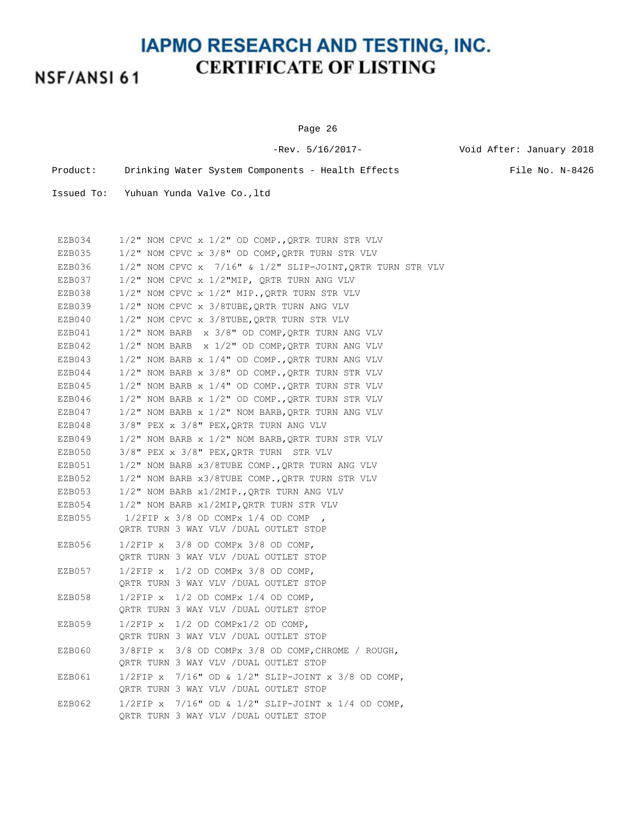# NSF/ANSI 61

Page 26

-Rev. 5/16/2017- Void After: January 2018

Product: Drinking Water System Components - Health Effects File No. N-8426

| EZB034 | $1/2$ " NOM CPVC x $1/2$ " OD COMP., QRTR TURN STR VLV                                                 |
|--------|--------------------------------------------------------------------------------------------------------|
| EZB035 | $1/2$ " NOM CPVC x $3/8$ " OD COMP, QRTR TURN STR VLV                                                  |
| EZB036 | $1/2$ " NOM CPVC x $7/16$ " & $1/2$ " SLIP-JOINT, QRTR TURN STR VLV                                    |
| EZB037 | $1/2$ " NOM CPVC x $1/2$ "MIP, QRTR TURN ANG VLV                                                       |
| EZB038 | $1/2$ " NOM CPVC x $1/2$ " MIP., QRTR TURN STR VLV                                                     |
| EZB039 | 1/2" NOM CPVC x 3/8TUBE, ORTR TURN ANG VLV                                                             |
| EZB040 | 1/2" NOM CPVC x 3/8TUBE, QRTR TURN STR VLV                                                             |
| EZB041 | $1/2$ " NOM BARB $\,\times\,$ 3/8" OD COMP, QRTR TURN ANG VLV                                          |
| EZB042 | $1/2$ " NOM BARB $\,\times\,1/2$ " OD COMP, QRTR TURN ANG VLV                                          |
| EZB043 | $1/2$ " NOM BARB x $1/4$ " OD COMP., QRTR TURN ANG VLV                                                 |
| EZB044 | $1/2$ " NOM BARB x $3/8$ " OD COMP., QRTR TURN STR VLV                                                 |
| EZB045 | $1/2$ " NOM BARB x $1/4$ " OD COMP., QRTR TURN STR VLV                                                 |
| EZB046 | $1/2$ " NOM BARB x $1/2$ " OD COMP., QRTR TURN STR VLV                                                 |
| EZB047 | $1/2$ " NOM BARB x $1/2$ " NOM BARB, QRTR TURN ANG VLV                                                 |
| EZB048 | $3/8$ " PEX x $3/8$ " PEX, QRTR TURN ANG VLV                                                           |
| EZB049 | $1/2$ " NOM BARB x $1/2$ " NOM BARB, QRTR TURN STR VLV                                                 |
| EZB050 | 3/8" PEX x 3/8" PEX, QRTR TURN STR VLV                                                                 |
| EZB051 | 1/2" NOM BARB x3/8TUBE COMP., QRTR TURN ANG VLV                                                        |
| EZB052 | 1/2" NOM BARB x3/8TUBE COMP., ORTR TURN STR VLV                                                        |
| EZB053 | 1/2" NOM BARB x1/2MIP., QRTR TURN ANG VLV                                                              |
| EZB054 | 1/2" NOM BARB x1/2MIP, QRTR TURN STR VLV                                                               |
| EZB055 | $1/2$ FIP x $3/8$ OD COMPx $1/4$ OD COMP<br>QRTR TURN 3 WAY VLV / DUAL OUTLET STOP                     |
| EZB056 | $1/2$ FIP x $3/8$ OD COMPx $3/8$ OD COMP,<br>QRTR TURN 3 WAY VLV / DUAL OUTLET STOP                    |
| EZB057 | $1/2$ FIP x $1/2$ OD COMPx $3/8$ OD COMP,<br>QRTR TURN 3 WAY VLV / DUAL OUTLET STOP                    |
| EZB058 | $1/2$ FIP x $1/2$ OD COMPx $1/4$ OD COMP,<br>QRTR TURN 3 WAY VLV / DUAL OUTLET STOP                    |
| EZB059 | $1/2$ FIP x<br>$1/2$ OD COMPx $1/2$ OD COMP,<br>QRTR TURN 3 WAY VLV / DUAL OUTLET STOP                 |
| EZB060 | $3/8$ FIP x $3/8$ OD COMPx $3/8$ OD COMP, CHROME / ROUGH,                                              |
|        | ORTR TURN 3 WAY VLV /DUAL OUTLET STOP                                                                  |
| EZB061 | $1/2$ FIP x 7/16" OD & $1/2$ " SLIP-JOINT x 3/8 OD COMP,<br>QRTR TURN 3 WAY VLV / DUAL OUTLET STOP     |
| EZB062 | $1/2$ FIP x $7/16$ " OD & $1/2$ " SLIP-JOINT x $1/4$ OD COMP,<br>QRTR TURN 3 WAY VLV /DUAL OUTLET STOP |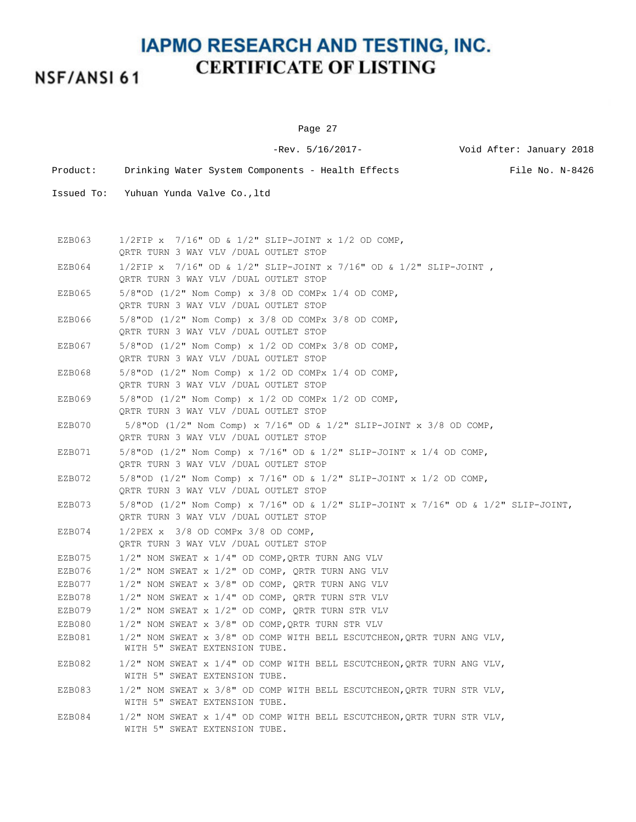## **NSF/ANSI 61**

Page 27

-Rev. 5/16/2017- Void After: January 2018

Product: Drinking Water System Components - Health Effects File No. N-8426

Issued To: Yuhuan Yunda Valve Co.,ltd

EZB063 1/2FIP x 7/16" OD & 1/2" SLIP-JOINT x 1/2 OD COMP, QRTR TURN 3 WAY VLV /DUAL OUTLET STOP EZB064 1/2FIP x 7/16" OD & 1/2" SLIP-JOINT x 7/16" OD & 1/2" SLIP-JOINT , QRTR TURN 3 WAY VLV /DUAL OUTLET STOP EZB065  $5/8$ "OD (1/2" Nom Comp) x 3/8 OD COMPx 1/4 OD COMP, QRTR TURN 3 WAY VLV /DUAL OUTLET STOP EZB066 5/8"OD (1/2" Nom Comp) x 3/8 OD COMPx 3/8 OD COMP, QRTR TURN 3 WAY VLV /DUAL OUTLET STOP EZB067  $5/8$ "OD (1/2" Nom Comp) x 1/2 OD COMPx 3/8 OD COMP, QRTR TURN 3 WAY VLV /DUAL OUTLET STOP EZB068  $5/8$  "OD (1/2" Nom Comp) x 1/2 OD COMPx 1/4 OD COMP, QRTR TURN 3 WAY VLV /DUAL OUTLET STOP EZB069 5/8"OD (1/2" Nom Comp) x 1/2 OD COMPx 1/2 OD COMP, QRTR TURN 3 WAY VLV /DUAL OUTLET STOP EZB070 5/8"OD (1/2" Nom Comp) x 7/16" OD & 1/2" SLIP-JOINT x 3/8 OD COMP, QRTR TURN 3 WAY VLV /DUAL OUTLET STOP EZB071 5/8"OD (1/2" Nom Comp) x 7/16" OD & 1/2" SLIP-JOINT x 1/4 OD COMP, QRTR TURN 3 WAY VLV /DUAL OUTLET STOP EZB072 5/8"OD (1/2" Nom Comp) x 7/16" OD & 1/2" SLIP-JOINT x 1/2 OD COMP, QRTR TURN 3 WAY VLV /DUAL OUTLET STOP EZB073 5/8"OD  $(1/2$ " Nom Comp) x 7/16" OD & 1/2" SLIP-JOINT x 7/16" OD & 1/2" SLIP-JOINT, QRTR TURN 3 WAY VLV /DUAL OUTLET STOP EZB074 1/2PEX x 3/8 OD COMPx 3/8 OD COMP, QRTR TURN 3 WAY VLV /DUAL OUTLET STOP EZB075 1/2" NOM SWEAT x 1/4" OD COMP,QRTR TURN ANG VLV EZB076 1/2" NOM SWEAT x 1/2" OD COMP, QRTR TURN ANG VLV EZB077 1/2" NOM SWEAT x 3/8" OD COMP, ORTR TURN ANG VLV EZB078 1/2" NOM SWEAT x 1/4" OD COMP, QRTR TURN STR VLV EZB079 1/2" NOM SWEAT x 1/2" OD COMP, QRTR TURN STR VLV EZB080 1/2" NOM SWEAT x 3/8" OD COMP, ORTR TURN STR VLV EZB081 1/2" NOM SWEAT x 3/8" OD COMP WITH BELL ESCUTCHEON,QRTR TURN ANG VLV, WITH 5" SWEAT EXTENSION TUBE. EZB082 1/2" NOM SWEAT x 1/4" OD COMP WITH BELL ESCUTCHEON,QRTR TURN ANG VLV, WITH 5" SWEAT EXTENSION TUBE. EZB083 1/2" NOM SWEAT x 3/8" OD COMP WITH BELL ESCUTCHEON,QRTR TURN STR VLV, WITH 5" SWEAT EXTENSION TUBE. EZB084 1/2" NOM SWEAT x 1/4" OD COMP WITH BELL ESCUTCHEON,QRTR TURN STR VLV, WITH 5" SWEAT EXTENSION TUBE.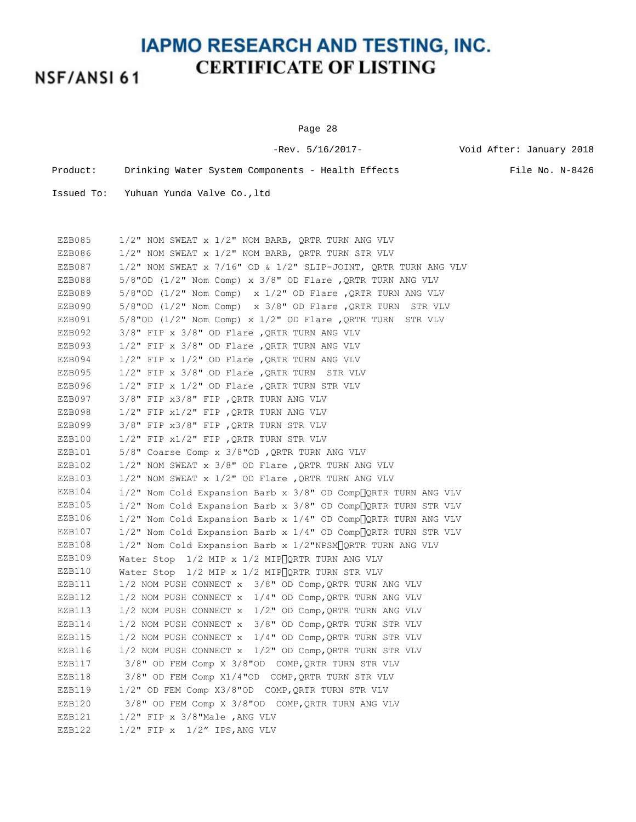NSF/ANSI 61

Page 28

-Rev. 5/16/2017- Void After: January 2018

Product: Drinking Water System Components - Health Effects File No. N-8426

Issued To: Yuhuan Yunda Valve Co.,ltd

EZB085 1/2" NOM SWEAT x 1/2" NOM BARB, QRTR TURN ANG VLV EZB086 1/2" NOM SWEAT x 1/2" NOM BARB, QRTR TURN STR VLV EZB087 1/2" NOM SWEAT x 7/16" OD & 1/2" SLIP-JOINT, QRTR TURN ANG VLV EZB088 5/8"OD (1/2" Nom Comp) x 3/8" OD Flare ,QRTR TURN ANG VLV EZB089  $5/8$ "OD (1/2" Nom Comp) x 1/2" OD Flare , ORTR TURN ANG VLV EZB090 5/8"OD (1/2" Nom Comp) x 3/8" OD Flare ,QRTR TURN STR VLV EZB091 5/8"OD (1/2" Nom Comp) x 1/2" OD Flare ,QRTR TURN STR VLV EZB092 3/8" FIP x 3/8" OD Flare , ORTR TURN ANG VLV EZB093 1/2" FIP x 3/8" OD Flare , ORTR TURN ANG VLV EZB094  $1/2$ " FIP x  $1/2$ " OD Flare , ORTR TURN ANG VLV EZB095 1/2" FIP x 3/8" OD Flare , QRTR TURN STR VLV EZB096  $1/2$ " FIP x  $1/2$ " OD Flare , ORTR TURN STR VLV EZB097 3/8" FIP x3/8" FIP , QRTR TURN ANG VLV EZB098 1/2" FIP x1/2" FIP , QRTR TURN ANG VLV EZB099 3/8" FIP x3/8" FIP , ORTR TURN STR VLV EZB100 1/2" FIP x1/2" FIP , ORTR TURN STR VLV EZB101 5/8" Coarse Comp x 3/8"OD ,QRTR TURN ANG VLV EZB102 1/2" NOM SWEAT x 3/8" OD Flare , ORTR TURN ANG VLV EZB103 1/2" NOM SWEAT x 1/2" OD Flare , QRTR TURN ANG VLV EZB104  $1/2$ " Nom Cold Expansion Barb x  $3/8$ " OD Comp $\sqrt{QRTR}$  TURN ANG VLV EZB105 1/2" Nom Cold Expansion Barb x 3/8" OD Comp<sup>[]</sup>QRTR TURN STR VLV EZB106  $1/2$ " Nom Cold Expansion Barb x  $1/4$ " OD Comp $Q$ RTR TURN ANG VLV EZB107  $1/2$ " Nom Cold Expansion Barb x  $1/4$ " OD Comp $Q$ RTR TURN STR VLV EZB108  $1/2$ " Nom Cold Expansion Barb x  $1/2$ "NPSM $\sqrt{Q}$ RTR TURN ANG VLV EZB109 Water Stop 1/2 MIP x 1/2 MIP QRTR TURN ANG VLV EZB110 Water Stop 1/2 MIP x 1/2 MIP QRTR TURN STR VLV EZB111 1/2 NOM PUSH CONNECT x 3/8" OD Comp,QRTR TURN ANG VLV EZB112 1/2 NOM PUSH CONNECT x 1/4" OD Comp,QRTR TURN ANG VLV EZB113 1/2 NOM PUSH CONNECT x 1/2" OD Comp,QRTR TURN ANG VLV EZB114 1/2 NOM PUSH CONNECT x 3/8" OD Comp,QRTR TURN STR VLV EZB115 1/2 NOM PUSH CONNECT x 1/4" OD Comp,QRTR TURN STR VLV EZB116 1/2 NOM PUSH CONNECT x 1/2" OD Comp, QRTR TURN STR VLV EZB117 3/8" OD FEM Comp X 3/8"OD COMP,QRTR TURN STR VLV EZB118 3/8" OD FEM Comp X1/4"OD COMP,QRTR TURN STR VLV EZB119 1/2" OD FEM Comp X3/8"OD COMP,QRTR TURN STR VLV EZB120 3/8" OD FEM Comp X 3/8"OD COMP,QRTR TURN ANG VLV EZB121 1/2" FIP x 3/8"Male ,ANG VLV EZB122 1/2" FIP x 1/2" IPS,ANG VLV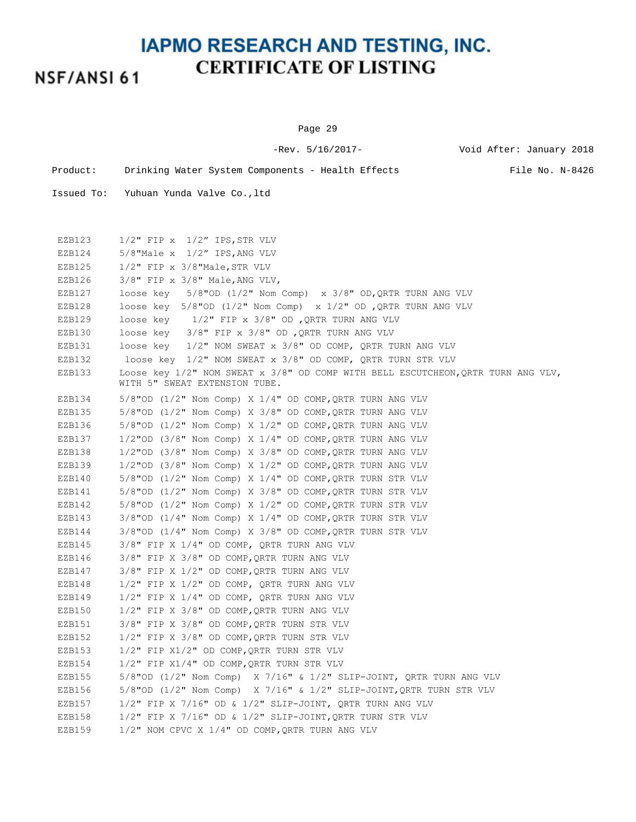NSF/ANSI 61

Page 29

-Rev. 5/16/2017- Void After: January 2018

Product: Drinking Water System Components - Health Effects File No. N-8426

Issued To: Yuhuan Yunda Valve Co.,ltd

EZB123 1/2" FIP x 1/2" IPS,STR VLV EZB124 5/8"Male x 1/2" IPS,ANG VLV EZB125 1/2" FIP x 3/8"Male, STR VLV EZB126 3/8" FIP x 3/8" Male,ANG VLV, EZB127 loose key 5/8"OD (1/2" Nom Comp) x 3/8" OD,QRTR TURN ANG VLV EZB128 loose key 5/8"OD (1/2" Nom Comp) x 1/2" OD ,QRTR TURN ANG VLV EZB129 loose key 1/2" FIP x 3/8" OD , QRTR TURN ANG VLV EZB130 loose key 3/8" FIP x 3/8" OD ,QRTR TURN ANG VLV EZB131 loose key 1/2" NOM SWEAT x 3/8" OD COMP, QRTR TURN ANG VLV EZB132 loose key 1/2" NOM SWEAT x 3/8" OD COMP, QRTR TURN STR VLV EZB133 Loose key 1/2" NOM SWEAT x 3/8" OD COMP WITH BELL ESCUTCHEON, QRTR TURN ANG VLV, WITH 5" SWEAT EXTENSION TUBE. EZB134 5/8"OD (1/2" Nom Comp) X 1/4" OD COMP,QRTR TURN ANG VLV EZB135 5/8"OD (1/2" Nom Comp) X 3/8" OD COMP,QRTR TURN ANG VLV EZB136 5/8"OD (1/2" Nom Comp) X 1/2" OD COMP,QRTR TURN ANG VLV EZB137 1/2"OD (3/8" Nom Comp) X 1/4" OD COMP,QRTR TURN ANG VLV EZB138 1/2"OD (3/8" Nom Comp) X 3/8" OD COMP,QRTR TURN ANG VLV EZB139 1/2"OD (3/8" Nom Comp) X 1/2" OD COMP,QRTR TURN ANG VLV EZB140 5/8"OD (1/2" Nom Comp) X 1/4" OD COMP,QRTR TURN STR VLV EZB141 5/8"OD (1/2" Nom Comp) X 3/8" OD COMP,QRTR TURN STR VLV EZB142 5/8"OD (1/2" Nom Comp) X 1/2" OD COMP,QRTR TURN STR VLV EZB143  $3/8$ "OD (1/4" Nom Comp) X 1/4" OD COMP, ORTR TURN STR VLV EZB144 3/8"OD (1/4" Nom Comp) X 3/8" OD COMP,QRTR TURN STR VLV EZB145 3/8" FIP X 1/4" OD COMP, QRTR TURN ANG VLV EZB146 3/8" FIP X 3/8" OD COMP,QRTR TURN ANG VLV EZB147 3/8" FIP X 1/2" OD COMP,QRTR TURN ANG VLV EZB148 1/2" FIP X 1/2" OD COMP, QRTR TURN ANG VLV EZB149 1/2" FIP X 1/4" OD COMP, ORTR TURN ANG VLV EZB150 1/2" FIP X 3/8" OD COMP,QRTR TURN ANG VLV EZB151 3/8" FIP X 3/8" OD COMP, ORTR TURN STR VLV EZB152 1/2" FIP X 3/8" OD COMP,QRTR TURN STR VLV EZB153 1/2" FIP X1/2" OD COMP,QRTR TURN STR VLV EZB154 1/2" FIP X1/4" OD COMP,QRTR TURN STR VLV EZB155 5/8"OD (1/2" Nom Comp) X 7/16" & 1/2" SLIP-JOINT, QRTR TURN ANG VLV EZB156 5/8"OD (1/2" Nom Comp) X 7/16" & 1/2" SLIP-JOINT,QRTR TURN STR VLV EZB157 1/2" FIP X 7/16" OD & 1/2" SLIP-JOINT, QRTR TURN ANG VLV EZB158 1/2" FIP X 7/16" OD & 1/2" SLIP-JOINT, ORTR TURN STR VLV EZB159 1/2" NOM CPVC X 1/4" OD COMP,QRTR TURN ANG VLV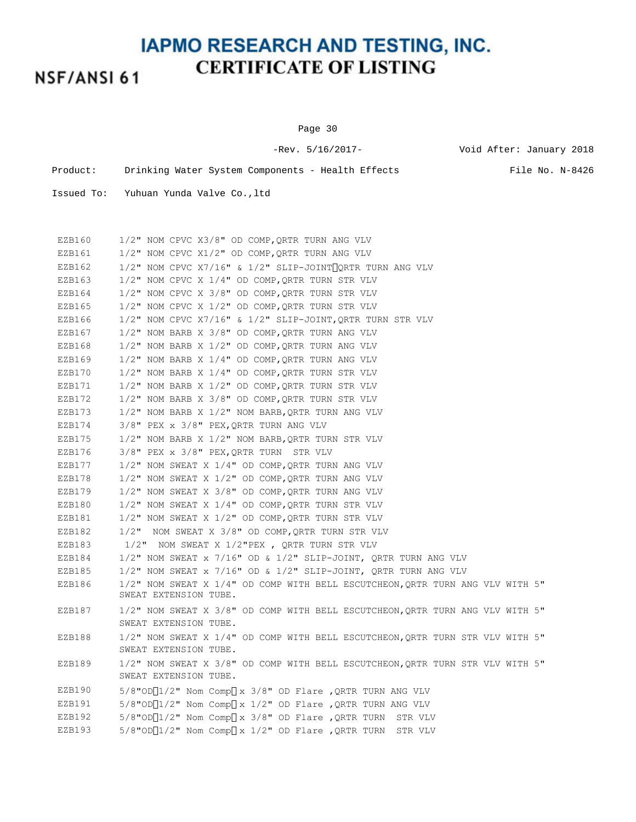# NSF/ANSI 61

Page 30

-Rev. 5/16/2017- Void After: January 2018

Product: Drinking Water System Components - Health Effects File No. N-8426

| EZB160 | 1/2" NOM CPVC X3/8" OD COMP, QRTR TURN ANG VLV                                                         |
|--------|--------------------------------------------------------------------------------------------------------|
| EZB161 | $1/2$ " NOM CPVC X $1/2$ " OD COMP, QRTR TURN ANG VLV                                                  |
| EZB162 | $1/2$ " NOM CPVC X7/16" & $1/2$ " SLIP-JOINT ORTR TURN ANG VLV                                         |
| EZB163 | $1/2$ " NOM CPVC X $1/4$ " OD COMP, QRTR TURN STR VLV                                                  |
| EZB164 | 1/2" NOM CPVC X 3/8" OD COMP, QRTR TURN STR VLV                                                        |
| EZB165 | $1/2$ " NOM CPVC X $1/2$ " OD COMP, QRTR TURN STR VLV                                                  |
| EZB166 | 1/2" NOM CPVC X7/16" & 1/2" SLIP-JOINT, QRTR TURN STR VLV                                              |
| EZB167 | 1/2" NOM BARB X 3/8" OD COMP, QRTR TURN ANG VLV                                                        |
| EZB168 | $1/2$ " NOM BARB X $1/2$ " OD COMP, QRTR TURN ANG VLV                                                  |
| EZB169 | $1/2$ " NOM BARB X $1/4$ " OD COMP, QRTR TURN ANG VLV                                                  |
| EZB170 | $1/2$ " NOM BARB X $1/4$ " OD COMP, QRTR TURN STR VLV                                                  |
| EZB171 | $1/2$ " NOM BARB X $1/2$ " OD COMP, QRTR TURN STR VLV                                                  |
| EZB172 | 1/2" NOM BARB X 3/8" OD COMP, QRTR TURN STR VLV                                                        |
| EZB173 | $1/2$ " NOM BARB X $1/2$ " NOM BARB, QRTR TURN ANG VLV                                                 |
| EZB174 | 3/8" PEX x 3/8" PEX, QRTR TURN ANG VLV                                                                 |
| EZB175 | $1/2$ " NOM BARB X $1/2$ " NOM BARB, QRTR TURN STR VLV                                                 |
| EZB176 | 3/8" PEX x 3/8" PEX, QRTR TURN STR VLV                                                                 |
| EZB177 | $1/2$ " NOM SWEAT X $1/4$ " OD COMP, QRTR TURN ANG VLV                                                 |
| EZB178 | $1/2$ " NOM SWEAT X $1/2$ " OD COMP, QRTR TURN ANG VLV                                                 |
| EZB179 | 1/2" NOM SWEAT X 3/8" OD COMP, QRTR TURN ANG VLV                                                       |
| EZB180 | 1/2" NOM SWEAT X 1/4" OD COMP, QRTR TURN STR VLV                                                       |
| EZB181 | $1/2$ " NOM SWEAT X $1/2$ " OD COMP, QRTR TURN STR VLV                                                 |
| EZB182 | 1/2" NOM SWEAT X 3/8" OD COMP, QRTR TURN STR VLV                                                       |
| EZB183 | $1/2$ " NOM SWEAT X $1/2$ "PEX, QRTR TURN STR VLV                                                      |
| EZB184 | $1/2$ " NOM SWEAT x 7/16" OD & $1/2$ " SLIP-JOINT, QRTR TURN ANG VLV                                   |
| EZB185 | $1/2$ " NOM SWEAT x 7/16" OD & $1/2$ " SLIP-JOINT, QRTR TURN ANG VLV                                   |
| EZB186 | 1/2" NOM SWEAT X 1/4" OD COMP WITH BELL ESCUTCHEON, QRTR TURN ANG VLV WITH 5"<br>SWEAT EXTENSION TUBE. |
| EZB187 | 1/2" NOM SWEAT X 3/8" OD COMP WITH BELL ESCUTCHEON, QRTR TURN ANG VLV WITH 5"<br>SWEAT EXTENSION TUBE. |
| EZB188 | 1/2" NOM SWEAT X 1/4" OD COMP WITH BELL ESCUTCHEON, QRTR TURN STR VLV WITH 5"<br>SWEAT EXTENSION TUBE. |
| EZB189 | 1/2" NOM SWEAT X 3/8" OD COMP WITH BELL ESCUTCHEON, QRTR TURN STR VLV WITH 5"<br>SWEAT EXTENSION TUBE. |
| EZB190 | 5/8"OD[1/2" Nom Comp[]x 3/8" OD Flare, QRTR TURN ANG VLV                                               |
| EZB191 | $5/8$ "OD $[1/2"$ Nom Comp $x 1/2"$ OD Flare ,QRTR TURN ANG VLV                                        |
| EZB192 | $5/8$ "OD $[1/2"$ Nom Comp $x$ 3/8" OD Flare , QRTR TURN STR VLV                                       |
| EZB193 | $5/8$ "OD $[1/2"$ Nom Comp $x$ $1/2"$ OD Flare , QRTR TURN STR VLV                                     |
|        |                                                                                                        |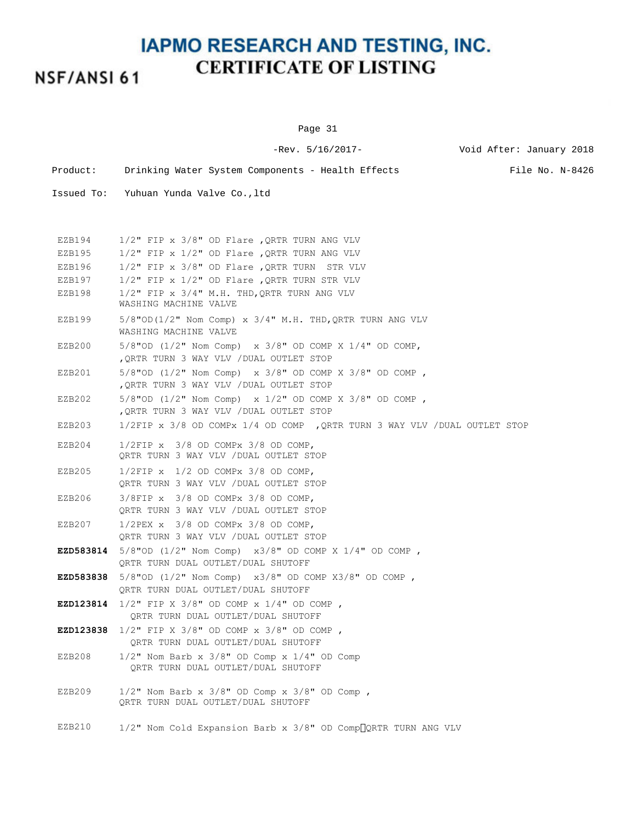NSF/ANSI 61

# **IAPMO RESEARCH AND TESTING, INC. CERTIFICATE OF LISTING**

Page 31

|          | $-$ Rev. 5/16/2017-                                                                                               | Void After: January 2018 |
|----------|-------------------------------------------------------------------------------------------------------------------|--------------------------|
| Product: | Drinking Water System Components - Health Effects                                                                 | File No. N-8426          |
|          | Issued To: Yuhuan Yunda Valve Co., ltd                                                                            |                          |
| EZB194   | $1/2$ " FIP x 3/8" OD Flare , QRTR TURN ANG VLV                                                                   |                          |
| EZB195   | $1/2$ " FIP x $1/2$ " OD Flare , QRTR TURN ANG VLV                                                                |                          |
| EZB196   | 1/2" FIP x 3/8" OD Flare, ORTR TURN STR VLV                                                                       |                          |
| EZB197   | $1/2$ " FIP x $1/2$ " OD Flare , QRTR TURN STR VLV                                                                |                          |
| EZB198   | $1/2$ " FIP x $3/4$ " M.H. THD, ORTR TURN ANG VLV<br>WASHING MACHINE VALVE                                        |                          |
| EZB199   | $5/8$ "OD( $1/2$ " Nom Comp) x $3/4$ " M.H. THD, QRTR TURN ANG VLV<br>WASHING MACHINE VALVE                       |                          |
| EZB200   | 5/8"OD $(1/2"$ Nom Comp) x 3/8" OD COMP X 1/4" OD COMP,<br>, ORTR TURN 3 WAY VLV / DUAL OUTLET STOP               |                          |
| EZB201   | 5/8"OD $(1/2"$ Nom Comp) x 3/8" OD COMP X 3/8" OD COMP,<br>, QRTR TURN 3 WAY VLV / DUAL OUTLET STOP               |                          |
| EZB202   | 5/8"OD (1/2" Nom Comp) $\times$ 1/2" OD COMP X 3/8" OD COMP,<br>ORTR TURN 3 WAY VLV / DUAL OUTLET STOP            |                          |
| EZB203   | 1/2FIP x 3/8 OD COMPx 1/4 OD COMP, QRTR TURN 3 WAY VLV / DUAL OUTLET STOP                                         |                          |
| EZB204   | $1/2$ FIP x $3/8$ OD COMPx $3/8$ OD COMP,<br>QRTR TURN 3 WAY VLV / DUAL OUTLET STOP                               |                          |
| EZB205   | $1/2$ FIP x $1/2$ OD COMPx 3/8 OD COMP,<br>QRTR TURN 3 WAY VLV / DUAL OUTLET STOP                                 |                          |
| EZB206   | $3/8$ FIP x $3/8$ OD COMPx $3/8$ OD COMP,<br>QRTR TURN 3 WAY VLV / DUAL OUTLET STOP                               |                          |
| EZB207   | $1/2PEX$ x $3/8$ OD COMPx $3/8$ OD COMP,<br>QRTR TURN 3 WAY VLV / DUAL OUTLET STOP                                |                          |
|          | <b>EZD583814</b> 5/8"OD $(1/2"$ Nom Comp) $x3/8"$ OD COMP X $1/4"$ OD COMP,<br>QRTR TURN DUAL OUTLET/DUAL SHUTOFF |                          |
|          | EZD583838 5/8"OD (1/2" Nom Comp) x3/8" OD COMP X3/8" OD COMP,<br>ORTR TURN DUAL OUTLET/DUAL SHUTOFF               |                          |
|          | <b>EZD123814</b> $1/2$ " FIP X 3/8" OD COMP x $1/4$ " OD COMP ,<br>QRTR TURN DUAL OUTLET/DUAL SHUTOFF             |                          |
|          | EZD123838 $1/2$ " FIP X 3/8" OD COMP x 3/8" OD COMP,<br>QRTR TURN DUAL OUTLET/DUAL SHUTOFF                        |                          |
| EZB208   | $1/2$ " Nom Barb x $3/8$ " OD Comp x $1/4$ " OD Comp<br>QRTR TURN DUAL OUTLET/DUAL SHUTOFF                        |                          |
| EZB209   | $1/2$ " Nom Barb x $3/8$ " OD Comp x $3/8$ " OD Comp ,<br>ORTR TURN DUAL OUTLET/DUAL SHUTOFF                      |                          |
| EZB210   | 1/2" Nom Cold Expansion Barb x 3/8" OD Comp QRTR TURN ANG VLV                                                     |                          |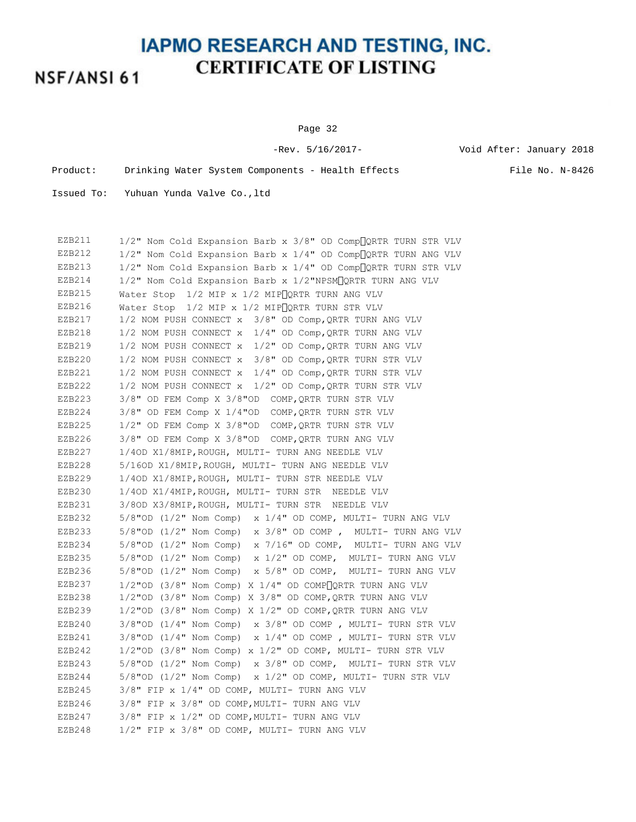### NSF/ANSI 61

Page 32

-Rev. 5/16/2017- Void After: January 2018

Product: Drinking Water System Components - Health Effects File No. N-8426

| EZB211 | 1/2" Nom Cold Expansion Barb x 3/8" OD Comp QRTR TURN STR VLV              |
|--------|----------------------------------------------------------------------------|
| EZB212 | 1/2" Nom Cold Expansion Barb x 1/4" OD Comp <sup>o</sup> QRTR TURN ANG VLV |
| EZB213 | 1/2" Nom Cold Expansion Barb x 1/4" OD Comp <sup>o</sup> QRTR TURN STR VLV |
| EZB214 | 1/2" Nom Cold Expansion Barb x 1/2"NPSM ORTR TURN ANG VLV                  |
| EZB215 | Water Stop 1/2 MIP x 1/2 MIP ORTR TURN ANG VLV                             |
| EZB216 | Water Stop 1/2 MIP x 1/2 MIP ORTR TURN STR VLV                             |
| EZB217 | 1/2 NOM PUSH CONNECT x 3/8" OD Comp, QRTR TURN ANG VLV                     |
| EZB218 | $1/2$ NOM PUSH CONNECT x $1/4$ " OD Comp, QRTR TURN ANG VLV                |
| EZB219 | 1/2 NOM PUSH CONNECT x 1/2" OD Comp, QRTR TURN ANG VLV                     |
| EZB220 | 1/2 NOM PUSH CONNECT x<br>3/8" OD Comp, QRTR TURN STR VLV                  |
| EZB221 | $1/2$ NOM PUSH CONNECT x $1/4$ " OD Comp, QRTR TURN STR VLV                |
| EZB222 | 1/2 NOM PUSH CONNECT x 1/2" OD Comp, QRTR TURN STR VLV                     |
| EZB223 | 3/8" OD FEM Comp X 3/8"OD COMP, QRTR TURN STR VLV                          |
| EZB224 | $3/8$ " OD FEM Comp X $1/4$ "OD COMP, QRTR TURN STR VLV                    |
| EZB225 | 1/2" OD FEM Comp X 3/8"OD COMP, QRTR TURN STR VLV                          |
| EZB226 | 3/8" OD FEM Comp X 3/8"OD COMP, QRTR TURN ANG VLV                          |
| EZB227 | 1/40D X1/8MIP, ROUGH, MULTI- TURN ANG NEEDLE VLV                           |
| EZB228 | 5/16OD X1/8MIP, ROUGH, MULTI- TURN ANG NEEDLE VLV                          |
| EZB229 | 1/40D X1/8MIP, ROUGH, MULTI- TURN STR NEEDLE VLV                           |
| EZB230 | 1/40D X1/4MIP, ROUGH, MULTI- TURN STR NEEDLE VLV                           |
| EZB231 | 3/80D X3/8MIP, ROUGH, MULTI- TURN STR NEEDLE VLV                           |
| EZB232 | $5/8$ "OD (1/2" Nom Comp) x 1/4" OD COMP, MULTI- TURN ANG VLV              |
| EZB233 | $5/8$ "OD (1/2" Nom Comp) x 3/8" OD COMP, MULTI- TURN ANG VLV              |
| EZB234 | $5/8$ "OD (1/2" Nom Comp) x 7/16" OD COMP, MULTI- TURN ANG VLV             |
| EZB235 | $5/8$ "OD (1/2" Nom Comp) x 1/2" OD COMP, MULTI- TURN ANG VLV              |
| EZB236 | 5/8"OD (1/2" Nom Comp) x 5/8" OD COMP, MULTI- TURN ANG VLV                 |
| EZB237 | $1/2$ "OD (3/8" Nom Comp) X $1/4$ " OD COMP $\sqrt{Q}$ RTR TURN ANG VLV    |
| EZB238 | $1/2$ "OD (3/8" Nom Comp) X 3/8" OD COMP, QRTR TURN ANG VLV                |
| EZB239 | $1/2$ "OD (3/8" Nom Comp) X $1/2$ " OD COMP, QRTR TURN ANG VLV             |
| EZB240 | $3/8$ "OD (1/4" Nom Comp) x $3/8$ " OD COMP, MULTI- TURN STR VLV           |
| EZB241 | $3/8$ "OD (1/4" Nom Comp) x 1/4" OD COMP, MULTI- TURN STR VLV              |
| EZB242 | $1/2$ "OD (3/8" Nom Comp) x $1/2$ " OD COMP, MULTI- TURN STR VLV           |
| EZB243 | $5/8$ "OD (1/2" Nom Comp) x 3/8" OD COMP, MULTI- TURN STR VLV              |
| EZB244 | $5/8$ "OD (1/2" Nom Comp) x 1/2" OD COMP, MULTI- TURN STR VLV              |
| EZB245 | $3/8"$ FIP x $1/4"$ OD COMP, MULTI- TURN ANG VLV                           |
| EZB246 | 3/8" FIP x 3/8" OD COMP, MULTI- TURN ANG VLV                               |
| EZB247 | 3/8" FIP x 1/2" OD COMP, MULTI- TURN ANG VLV                               |
| EZB248 | 1/2" FIP x 3/8" OD COMP, MULTI- TURN ANG VLV                               |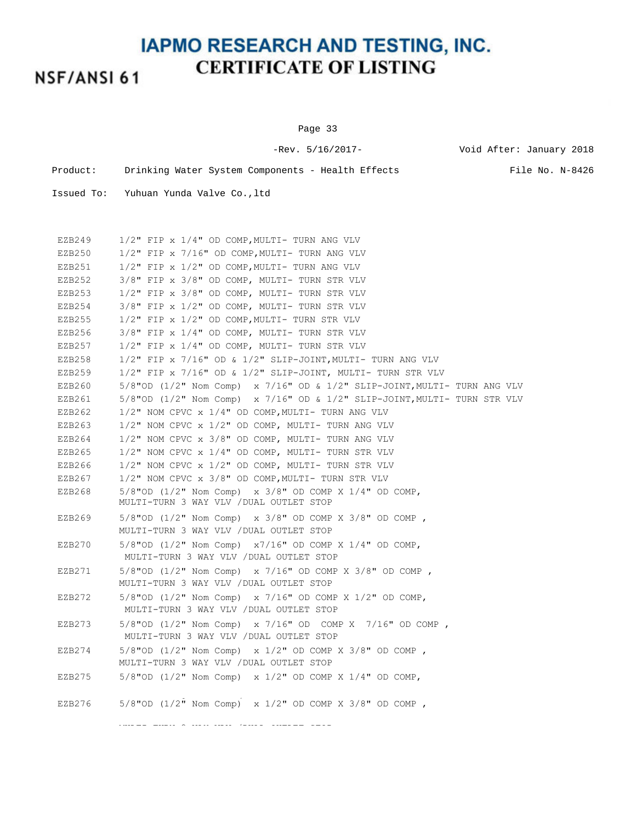**NSF/ANSI 61** 

# **IAPMO RESEARCH AND TESTING, INC. CERTIFICATE OF LISTING**

Page 33

-Rev. 5/16/2017- Void After: January 2018 Product: Drinking Water System Components - Health Effects File No. N-8426

Issued To: Yuhuan Yunda Valve Co.,ltd

EZB249 1/2" FIP x 1/4" OD COMP, MULTI- TURN ANG VLV EZB250 1/2" FIP x 7/16" OD COMP, MULTI- TURN ANG VLV EZB251 1/2" FIP x 1/2" OD COMP, MULTI- TURN ANG VLV EZB252 3/8" FIP x 3/8" OD COMP, MULTI- TURN STR VLV EZB253 1/2" FIP x 3/8" OD COMP, MULTI- TURN STR VLV EZB254 3/8" FIP x 1/2" OD COMP, MULTI- TURN STR VLV EZB255 1/2" FIP x 1/2" OD COMP, MULTI- TURN STR VLV EZB256 3/8" FIP x 1/4" OD COMP, MULTI- TURN STR VLV EZB257 1/2" FIP x 1/4" OD COMP, MULTI- TURN STR VLV EZB258  $1/2$ " FIP x  $7/16$ " OD &  $1/2$ " SLIP-JOINT, MULTI- TURN ANG VLV EZB259 1/2" FIP x 7/16" OD & 1/2" SLIP-JOINT, MULTI- TURN STR VLV EZB260 5/8"OD  $(1/2"$  Nom Comp) x 7/16" OD &  $1/2"$  SLIP-JOINT, MULTI- TURN ANG VLV EZB261 5/8"OD (1/2" Nom Comp) x 7/16" OD & 1/2" SLIP-JOINT, MULTI- TURN STR VLV EZB262 1/2" NOM CPVC x 1/4" OD COMP, MULTI- TURN ANG VLV EZB263 1/2" NOM CPVC x 1/2" OD COMP, MULTI- TURN ANG VLV EZB264 1/2" NOM CPVC x 3/8" OD COMP, MULTI- TURN ANG VLV EZB265 1/2" NOM CPVC x 1/4" OD COMP, MULTI- TURN STR VLV EZB266 1/2" NOM CPVC x 1/2" OD COMP, MULTI- TURN STR VLV EZB267 1/2" NOM CPVC x 3/8" OD COMP, MULTI- TURN STR VLV EZB268 5/8"OD (1/2" Nom Comp) x 3/8" OD COMP X 1/4" OD COMP, MULTI-TURN 3 WAY VLV /DUAL OUTLET STOP EZB269 5/8"OD  $(1/2$ " Nom Comp) x  $3/8$ " OD COMP X  $3/8$ " OD COMP, MULTI-TURN 3 WAY VLV /DUAL OUTLET STOP EZB270  $5/8$ "OD (1/2" Nom Comp)  $x7/16$ " OD COMP X 1/4" OD COMP, MULTI-TURN 3 WAY VLV /DUAL OUTLET STOP EZB271 5/8"OD (1/2" Nom Comp) x 7/16" OD COMP X 3/8" OD COMP , MULTI-TURN 3 WAY VLV /DUAL OUTLET STOP EZB272 5/8"OD  $(1/2$ " Nom Comp)  $\times$  7/16" OD COMP  $\times$  1/2" OD COMP, MULTI-TURN 3 WAY VLV /DUAL OUTLET STOP EZB273 5/8"OD (1/2" Nom Comp) x 7/16" OD COMP X 7/16" OD COMP , MULTI-TURN 3 WAY VLV /DUAL OUTLET STOP EZB274 5/8"OD  $(1/2$ " Nom Comp) x  $1/2$ " OD COMP X  $3/8$ " OD COMP, MULTI-TURN 3 WAY VLV /DUAL OUTLET STOP EZB275  $5/8$ "OD (1/2" Nom Comp) x 1/2" OD COMP X 1/4" OD COMP, EZB276  $5/8$ "OD (1/2" Nom Comp) x 1/2" OD COMP X 3/8" OD COMP,

MULTI-TURN 3 WAY VLV /DUAL OUTLET STOP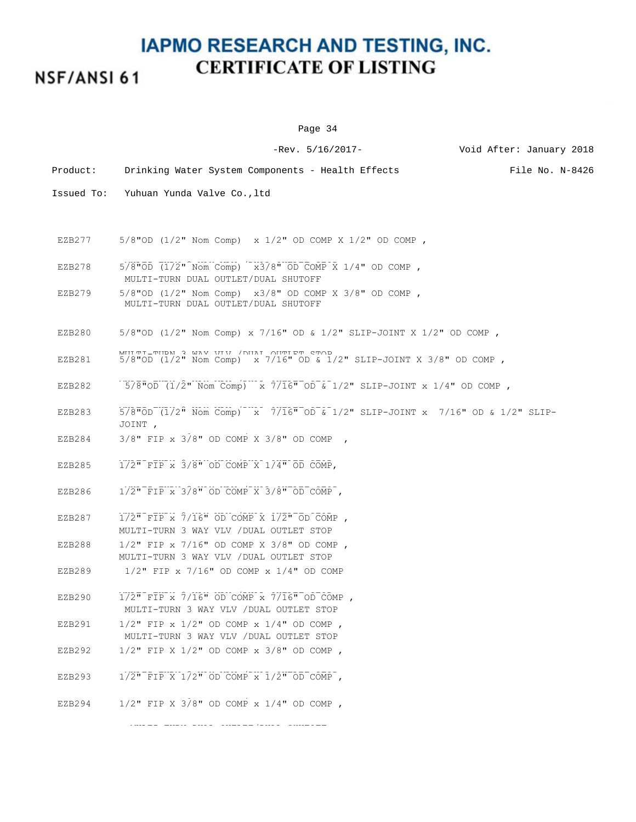# NSF/ANSI 61

#### Page 34

|            | $-$ Rev. $5/16/2017-$                                                                                 | Void After: January 2018 |
|------------|-------------------------------------------------------------------------------------------------------|--------------------------|
| Product:   | Drinking Water System Components - Health Effects                                                     | File No. N-8426          |
| Issued To: | Yuhuan Yunda Valve Co., ltd                                                                           |                          |
|            |                                                                                                       |                          |
| EZB277     | $5/8$ "OD (1/2" Nom Comp) x 1/2" OD COMP X 1/2" OD COMP,                                              |                          |
| EZB278     | $5/8$ "OD $(1/2)$ " Nom Comp) $x3/8$ " OD COMP X 1/4" OD COMP,<br>MULTI-TURN DUAL OUTLET/DUAL SHUTOFF |                          |
| EZB279     | 5/8"OD $(1/2"$ Nom Comp) $x3/8"$ OD COMP X 3/8" OD COMP,<br>MULTI-TURN DUAL OUTLET/DUAL SHUTOFF       |                          |
| EZB280     | 5/8"OD (1/2" Nom Comp) x 7/16" OD & 1/2" SLIP-JOINT X 1/2" OD COMP,                                   |                          |
| EZB281     | ארא א הא א הארור/ יוזי א הא הארור/ יוזי האוור/ יוזי א הא הארור/ הארור/ 5/8" OD COMP , 5/8" OD COMP ,  |                          |
| EZB282     | 5/8"OD $(1/2"$ Nom Comp) x 7/16" OD & 1/2" SLIP-JOINT x 1/4" OD COMP,                                 |                          |
| EZB283     | $5/8$ "OD $(1/2$ " Nom Comp) x 7/16" OD & 1/2" SLIP-JOINT x 7/16" OD & 1/2" SLIP-<br>JOINT,           |                          |
| EZB284     | 3/8" FIP x 3/8" OD COMP X 3/8" OD COMP,                                                               |                          |
| EZB285     | $1/2$ " FIP x $3/8$ " OD COMP X $1/4$ " OD COMP,                                                      |                          |
| EZB286     | $1/2$ " FIP x $3/8$ " OD COMP X 3/8" OD COMP,                                                         |                          |
| EZB287     | $1/2$ " FIP x 7/16" OD COMP X $1/2$ " OD COMP,<br>MULTI-TURN 3 WAY VLV / DUAL OUTLET STOP             |                          |
| EZB288     | $1/2$ " FIP x 7/16" OD COMP X 3/8" OD COMP,<br>MULTI-TURN 3 WAY VLV / DUAL OUTLET STOP                |                          |
| EZB289     | $1/2$ " FIP x 7/16" OD COMP x $1/4$ " OD COMP                                                         |                          |
| EZB290     | $1/2$ " FIP x 7/16" OD COMP x 7/16" OD COMP,<br>MULTI-TURN 3 WAY VLV / DUAL OUTLET STOP               |                          |
| EZB291     | $1/2$ " FIP x $1/2$ " OD COMP x $1/4$ " OD COMP,<br>MULTI-TURN 3 WAY VLV / DUAL OUTLET STOP           |                          |

EZB292 1/2" FIP X 1/2" OD COMP x 3/8" OD COMP ,

EZB293  $1/2$ " FIP X  $1/2$ " OD COMP x  $1/2$ " OD COMP ,

EZB294  $1/2$ " FIP X 3 $\overline{7}$ 8" OD COMP x 1/4" OD COMP ,

MULTI-TURN DUAL OUTLET/DUAL SHUTOFF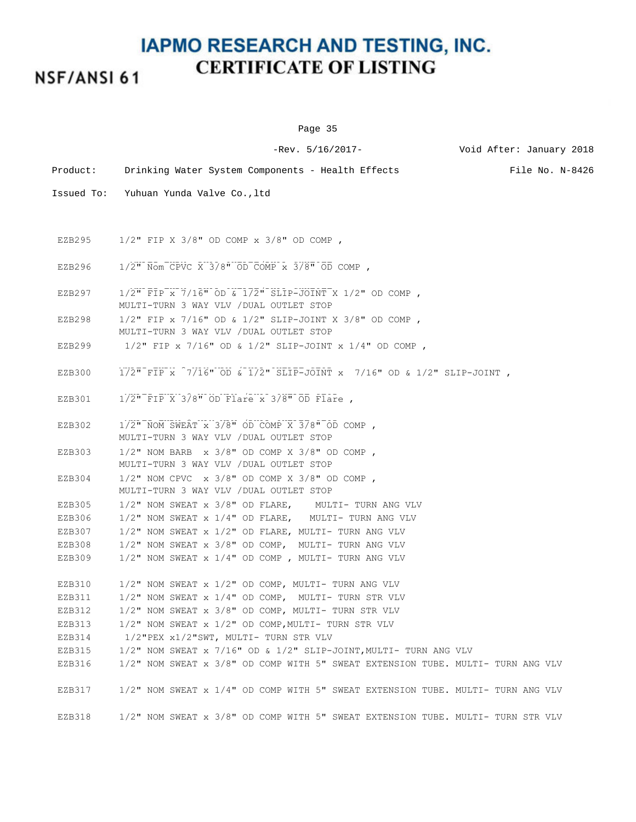# **NSF/ANSI 61**

Page 35

EZB295 1/2" FIP X 3/8" OD COMP x 3/8" OD COMP , EZB296  $1/2$ " Nom CPVC X 3/8" OD COMP x 3/8" OD COMP , EZB297  $1/2^{\pi}$   $\overline{FIP}$  x  $7/16^{\pi}$  OD &  $1/2^{\pi}$  SLIP-JOINT X  $1/2^{\pi}$  OD COMP , MULTI-TURN 3 WAY VLV /DUAL OUTLET STOP EZB298 1/2" FIP x 7/16" OD & 1/2" SLIP-JOINT X 3/8" OD COMP , MULTI-TURN 3 WAY VLV /DUAL OUTLET STOP EZB299  $1/2$ " FIP x 7/16" OD &  $1/2$ " SLIP-JOINT x  $1/4$ " OD COMP. EZB300  $1/2^{\pi}$  FIP x  $7/16^{\pi}$  OD &  $1/2^{\pi}$  SLIP-JOINT x 7/16" OD & 1/2" SLIP-JOINT , EZB301  $1/2$ " FIP X 3/8" OD Flare x 3/8" OD Flare, EZB302  $1/2$ " NOM SWEAT x  $3/8$ " OD COMP  $\overline{X}$   $\overline{3}/8$ " OD COMP , MULTI-TURN 3 WAY VLV /DUAL OUTLET STOP EZB303 1/2" NOM BARB x 3/8" OD COMP X 3/8" OD COMP , MULTI-TURN 3 WAY VLV /DUAL OUTLET STOP EZB304 1/2" NOM CPVC x 3/8" OD COMP X 3/8" OD COMP , MULTI-TURN 3 WAY VLV /DUAL OUTLET STOP EZB305 1/2" NOM SWEAT x 3/8" OD FLARE, MULTI- TURN ANG VLV EZB306 1/2" NOM SWEAT x 1/4" OD FLARE, MULTI- TURN ANG VLV EZB307 1/2" NOM SWEAT x 1/2" OD FLARE, MULTI- TURN ANG VLV EZB308 1/2" NOM SWEAT x 3/8" OD COMP, MULTI- TURN ANG VLV EZB309 1/2" NOM SWEAT x 1/4" OD COMP , MULTI- TURN ANG VLV EZB310 1/2" NOM SWEAT x 1/2" OD COMP, MULTI- TURN ANG VLV EZB311 1/2" NOM SWEAT x 1/4" OD COMP, MULTI- TURN STR VLV EZB312 1/2" NOM SWEAT x 3/8" OD COMP, MULTI- TURN STR VLV EZB313 1/2" NOM SWEAT x 1/2" OD COMP, MULTI- TURN STR VLV EZB314 1/2"PEX x1/2"SWT, MULTI- TURN STR VLV EZB315  $1/2$ " NOM SWEAT x  $7/16$ " OD &  $1/2$ " SLIP-JOINT, MULTI- TURN ANG VLV EZB316 1/2" NOM SWEAT x 3/8" OD COMP WITH 5" SWEAT EXTENSION TUBE. MULTI- TURN ANG VLV EZB317 1/2" NOM SWEAT x 1/4" OD COMP WITH 5" SWEAT EXTENSION TUBE. MULTI- TURN ANG VLV EZB318 1/2" NOM SWEAT x 3/8" OD COMP WITH 5" SWEAT EXTENSION TUBE. MULTI- TURN STR VLV -Rev. 5/16/2017- Void After: January 2018 Product: Drinking Water System Components - Health Effects File No. N-8426 Issued To: Yuhuan Yunda Valve Co.,ltd